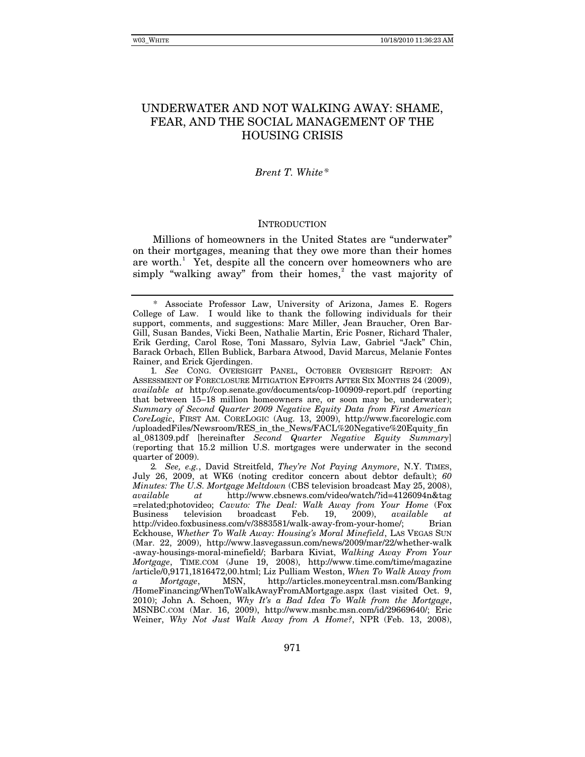# UNDERWATER AND NOT WALKING AWAY: SHAME, FEAR, AND THE SOCIAL MANAGEMENT OF THE HOUSING CRISIS

## *Brent T. White[\\*](#page-0-0)*

### **INTRODUCTION**

Millions of homeowners in the United States are "underwater" on their mortgages, meaning that they owe more than their homes are worth.<sup>[1](#page-0-1)</sup> Yet, despite all the concern over homeowners who are simply "walking away" from their homes, $\alpha$ <sup>[2](#page-0-2)</sup> the vast majority of

<span id="page-0-1"></span>1*. See* CONG. OVERSIGHT PANEL, OCTOBER OVERSIGHT REPORT: AN ASSESSMENT OF FORECLOSURE MITIGATION EFFORTS AFTER SIX MONTHS 24 (2009), *available at* http://cop.senate.gov/documents/cop-100909-report.pdf (reporting that between 15–18 million homeowners are, or soon may be, underwater); *Summary of Second Quarter 2009 Negative Equity Data from First American CoreLogic*, FIRST AM. CORELOGIC (Aug. 13, 2009), http://www.facorelogic.com /uploadedFiles/Newsroom/RES\_in\_the\_News/FACL%20Negative%20Equity\_fin al\_081309.pdf [hereinafter *Second Quarter Negative Equity Summary*] (reporting that 15.2 million U.S. mortgages were underwater in the second quarter of 2009).

<span id="page-0-2"></span>2*. See, e.g.*, David Streitfeld, *They're Not Paying Anymore*, N.Y. TIMES, July 26, 2009, at WK6 (noting creditor concern about debtor default); *60 Minutes: The U.S. Mortgage Meltdown* (CBS television broadcast May 25, 2008), *available at* http://www.cbsnews.com/video/watch/?id=4126094n&tag =related;photovideo; *Cavuto: The Deal: Walk Away from Your Home* (Fox Business television broadcast Feb. 19, 2009), *available at* http://video.foxbusiness.com/v/3883581/walk-away-from-your-home/; Brian Eckhouse, *Whether To Walk Away: Housing's Moral Minefield*, LAS VEGAS SUN (Mar. 22, 2009), http://www.lasvegassun.com/news/2009/mar/22/whether-walk -away-housings-moral-minefield/; Barbara Kiviat, *Walking Away From Your Mortgage*, TIME.COM (June 19, 2008), http://www.time.com/time/magazine /article/0,9171,1816472,00.html; Liz Pulliam Weston, *When To Walk Away from a Mortgage*, MSN, http://articles.moneycentral.msn.com/Banking /HomeFinancing/WhenToWalkAwayFromAMortgage.aspx (last visited Oct. 9, 2010); John A. Schoen, *Why It's a Bad Idea To Walk from the Mortgage*, MSNBC.COM (Mar. 16, 2009), http://www.msnbc.msn.com/id/29669640/; Eric Weiner, *Why Not Just Walk Away from A Home?*, NPR (Feb. 13, 2008),

<span id="page-0-0"></span><sup>\*</sup> Associate Professor Law, University of Arizona, James E. Rogers College of Law. I would like to thank the following individuals for their support, comments, and suggestions: Marc Miller, Jean Braucher, Oren Bar-Gill, Susan Bandes, Vicki Been, Nathalie Martin, Eric Posner, Richard Thaler, Erik Gerding, Carol Rose, Toni Massaro, Sylvia Law, Gabriel "Jack" Chin, Barack Orbach, Ellen Bublick, Barbara Atwood, David Marcus, Melanie Fontes Rainer, and Erick Gjerdingen.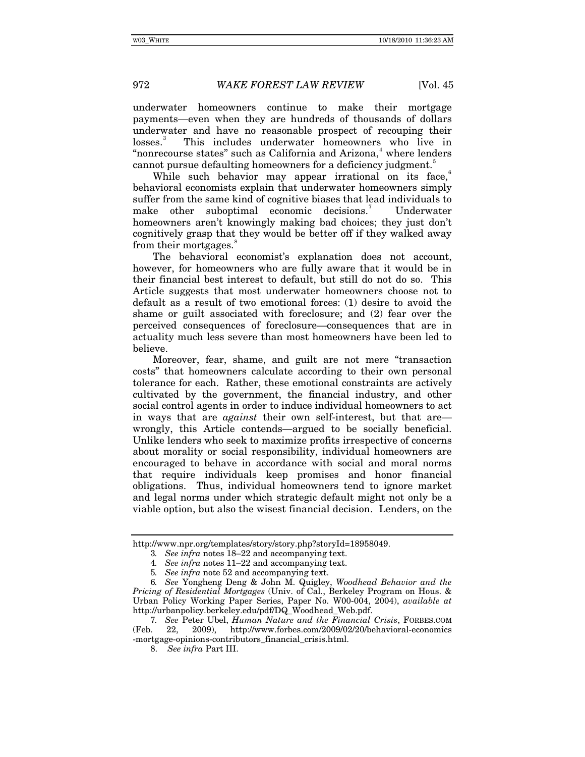underwater homeowners continue to make their mortgage payments—even when they are hundreds of thousands of dollars underwater and have no reasonable prospect of recouping their losses.<sup>[3](#page-1-0)</sup> This includes underwater homeowners who live in "nonrecourse states" such as California and Arizona,<sup>[4](#page-1-1)</sup> where lenders cannot pursue defaulting homeowners for a deficiency judgment.<sup>[5](#page-1-2)</sup>

While such behavior may appear irrational on its face, behavioral economists explain that underwater homeowners simply suffer from the same kind of cognitive biases that lead individuals to make other suboptimal economic decisions.<sup>[7](#page-1-4)</sup> Underwater homeowners aren't knowingly making bad choices; they just don't cognitively grasp that they would be better off if they walked away from their mortgages.<sup>[8](#page-1-5)</sup>

The behavioral economist's explanation does not account, however, for homeowners who are fully aware that it would be in their financial best interest to default, but still do not do so. This Article suggests that most underwater homeowners choose not to default as a result of two emotional forces: (1) desire to avoid the shame or guilt associated with foreclosure; and (2) fear over the perceived consequences of foreclosure—consequences that are in actuality much less severe than most homeowners have been led to believe.

Moreover, fear, shame, and guilt are not mere "transaction costs" that homeowners calculate according to their own personal tolerance for each. Rather, these emotional constraints are actively cultivated by the government, the financial industry, and other social control agents in order to induce individual homeowners to act in ways that are *against* their own self-interest, but that are wrongly, this Article contends—argued to be socially beneficial. Unlike lenders who seek to maximize profits irrespective of concerns about morality or social responsibility, individual homeowners are encouraged to behave in accordance with social and moral norms that require individuals keep promises and honor financial obligations. Thus, individual homeowners tend to ignore market and legal norms under which strategic default might not only be a viable option, but also the wisest financial decision. Lenders, on the

<span id="page-1-1"></span><span id="page-1-0"></span>http://www.npr.org/templates/story/story.php?storyId=18958049.

<sup>3</sup>*. See infra* notes 18–22 and accompanying text.

<sup>4</sup>*. See infra* notes 11–22 and accompanying text.

<sup>5</sup>*. See infra* note 52 and accompanying text.

<span id="page-1-3"></span><span id="page-1-2"></span><sup>6</sup>*. See* Yongheng Deng & John M. Quigley, *Woodhead Behavior and the Pricing of Residential Mortgages* (Univ. of Cal., Berkeley Program on Hous. & Urban Policy Working Paper Series, Paper No. W00-004, 2004), *available at*  http://urbanpolicy.berkeley.edu/pdf/DQ\_Woodhead\_Web.pdf.

<span id="page-1-5"></span><span id="page-1-4"></span><sup>7</sup>*. See* Peter Ubel, *Human Nature and the Financial Crisis*, FORBES.COM (Feb. 22, 2009), http://www.forbes.com/2009/02/20/behavioral-economics -mortgage-opinions-contributors\_financial\_crisis.html.

<sup>8.</sup> *See infra* Part III.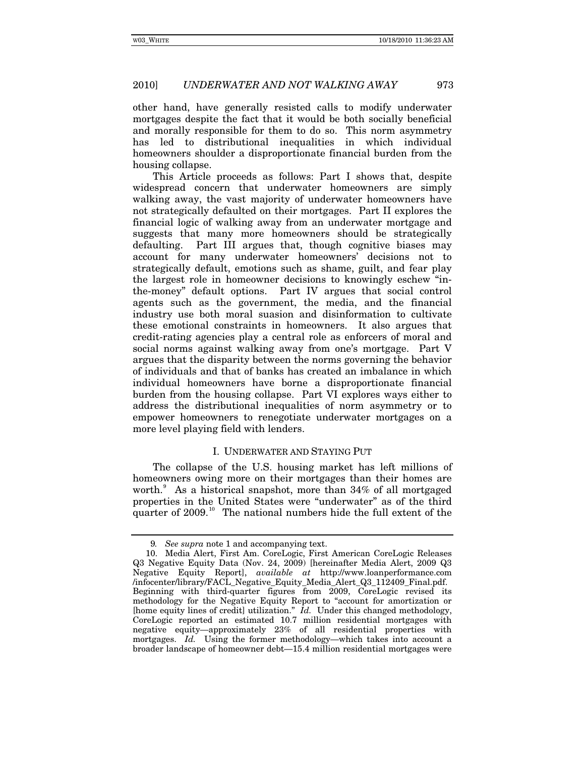other hand, have generally resisted calls to modify underwater mortgages despite the fact that it would be both socially beneficial and morally responsible for them to do so. This norm asymmetry has led to distributional inequalities in which individual homeowners shoulder a disproportionate financial burden from the housing collapse.

This Article proceeds as follows: Part I shows that, despite widespread concern that underwater homeowners are simply walking away, the vast majority of underwater homeowners have not strategically defaulted on their mortgages. Part II explores the financial logic of walking away from an underwater mortgage and suggests that many more homeowners should be strategically defaulting. Part III argues that, though cognitive biases may account for many underwater homeowners' decisions not to strategically default, emotions such as shame, guilt, and fear play the largest role in homeowner decisions to knowingly eschew "inthe-money" default options. Part IV argues that social control agents such as the government, the media, and the financial industry use both moral suasion and disinformation to cultivate these emotional constraints in homeowners. It also argues that credit-rating agencies play a central role as enforcers of moral and social norms against walking away from one's mortgage. Part V argues that the disparity between the norms governing the behavior of individuals and that of banks has created an imbalance in which individual homeowners have borne a disproportionate financial burden from the housing collapse. Part VI explores ways either to address the distributional inequalities of norm asymmetry or to empower homeowners to renegotiate underwater mortgages on a more level playing field with lenders.

## I. UNDERWATER AND STAYING PUT

The collapse of the U.S. housing market has left millions of homeowners owing more on their mortgages than their homes are worth.<sup>[9](#page-2-0)</sup> As a historical snapshot, more than 34% of all mortgaged properties in the United States were "underwater" as of the third quarter of 2009.<sup>[10](#page-2-1)</sup> The national numbers hide the full extent of the

<sup>9</sup>*. See supra* note 1 and accompanying text.

<span id="page-2-1"></span><span id="page-2-0"></span><sup>10.</sup> Media Alert, First Am. CoreLogic, First American CoreLogic Releases Q3 Negative Equity Data (Nov. 24, 2009) [hereinafter Media Alert, 2009 Q3 Negative Equity Report], *available at* http://www.loanperformance.com /infocenter/library/FACL\_Negative\_Equity\_Media\_Alert\_Q3\_112409\_Final.pdf. Beginning with third-quarter figures from 2009, CoreLogic revised its methodology for the Negative Equity Report to "account for amortization or [home equity lines of credit] utilization." *Id.* Under this changed methodology, CoreLogic reported an estimated 10.7 million residential mortgages with negative equity—approximately 23% of all residential properties with mortgages. *Id.* Using the former methodology—which takes into account a broader landscape of homeowner debt—15.4 million residential mortgages were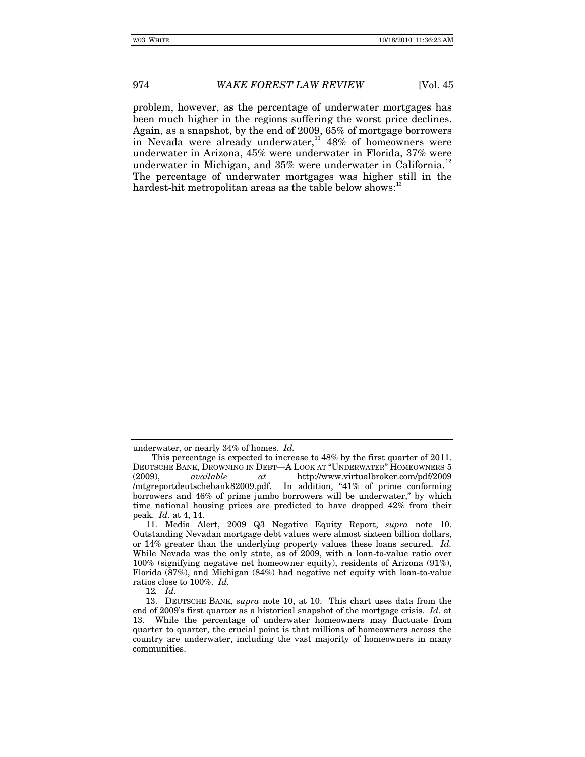problem, however, as the percentage of underwater mortgages has been much higher in the regions suffering the worst price declines. Again, as a snapshot, by the end of 2009, 65% of mortgage borrowers in Nevada were already underwater,<sup>[11](#page-3-0)</sup>  $48\%$  of homeowners were underwater in Arizona, 45% were underwater in Florida, 37% were underwater in Michigan, and 35% were underwater in California.<sup>[12](#page-3-1)</sup> The percentage of underwater mortgages was higher still in the hardest-hit metropolitan areas as the table below shows:

underwater, or nearly 34% of homes. *Id.*

This percentage is expected to increase to 48% by the first quarter of 2011. DEUTSCHE BANK, DROWNING IN DEBT—A LOOK AT "UNDERWATER" HOMEOWNERS 5 (2009), *available at* http://www.virtualbroker.com/pdf/2009 /mtgreportdeutschebank82009.pdf. In addition, "41% of prime conforming borrowers and 46% of prime jumbo borrowers will be underwater," by which time national housing prices are predicted to have dropped 42% from their peak. *Id.* at 4, 14.

<span id="page-3-0"></span><sup>11.</sup> Media Alert, 2009 Q3 Negative Equity Report, *supra* note 10. Outstanding Nevadan mortgage debt values were almost sixteen billion dollars, or 14% greater than the underlying property values these loans secured. *Id.* While Nevada was the only state, as of 2009, with a loan-to-value ratio over 100% (signifying negative net homeowner equity), residents of Arizona (91%), Florida (87%), and Michigan (84%) had negative net equity with loan-to-value ratios close to 100%. *Id.*

<sup>12</sup>*. Id.*

<span id="page-3-2"></span><span id="page-3-1"></span><sup>13.</sup> DEUTSCHE BANK, *supra* note 10, at 10. This chart uses data from the end of 2009's first quarter as a historical snapshot of the mortgage crisis. *Id.* at 13. While the percentage of underwater homeowners may fluctuate from quarter to quarter, the crucial point is that millions of homeowners across the country are underwater, including the vast majority of homeowners in many communities.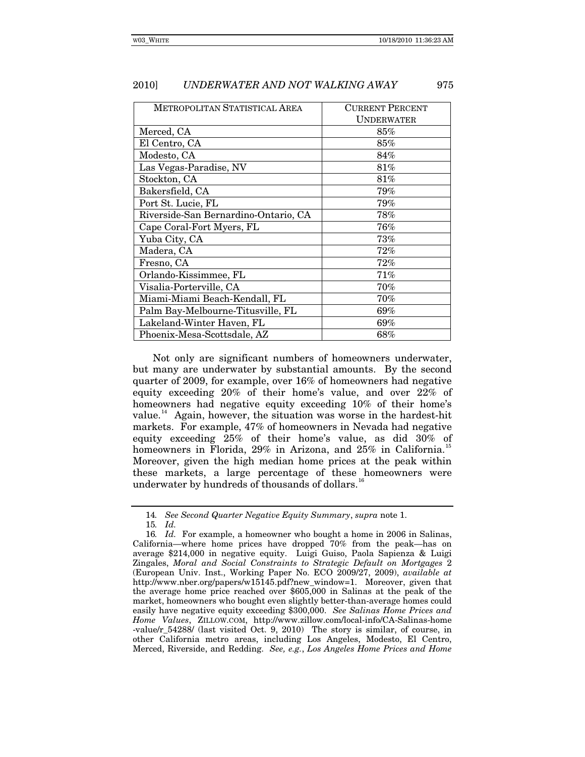| METROPOLITAN STATISTICAL AREA        | <b>CURRENT PERCENT</b> |  |
|--------------------------------------|------------------------|--|
|                                      | UNDERWATER             |  |
| Merced, CA                           | 85%                    |  |
| El Centro, CA                        | $85\%$                 |  |
| Modesto, CA                          | 84%                    |  |
| Las Vegas-Paradise, NV               | $81\%$                 |  |
| Stockton, CA                         | 81%                    |  |
| Bakersfield, CA                      | 79%                    |  |
| Port St. Lucie, FL                   | 79%                    |  |
| Riverside-San Bernardino-Ontario, CA | 78%                    |  |
| Cape Coral-Fort Myers, FL            | $76\%$                 |  |
| Yuba City, CA                        | 73%                    |  |
| Madera, CA                           | $72\%$                 |  |
| Fresno, CA                           | 72%                    |  |
| Orlando-Kissimmee, FL                | $71\%$                 |  |
| Visalia-Porterville, CA              | 70%                    |  |
| Miami-Miami Beach-Kendall, FL        | 70%                    |  |
| Palm Bay-Melbourne-Titusville, FL    | $69\%$                 |  |
| Lakeland-Winter Haven, FL            | 69%                    |  |
| Phoenix-Mesa-Scottsdale, AZ          | $68\%$                 |  |

Not only are significant numbers of homeowners underwater, but many are underwater by substantial amounts. By the second quarter of 2009, for example, over 16% of homeowners had negative equity exceeding 20% of their home's value, and over 22% of homeowners had negative equity exceeding 10% of their home's value.<sup>[14](#page-4-0)</sup> Again, however, the situation was worse in the hardest-hit markets. For example, 47% of homeowners in Nevada had negative equity exceeding 25% of their home's value, as did 30% of homeowners in Florida, 29% in Arizona, and 25% in California.<sup>[15](#page-4-1)</sup> Moreover, given the high median home prices at the peak within these markets, a large percentage of these homeowners were underwater by hundreds of thousands of dollars.<sup>[16](#page-4-2)</sup>

<sup>14</sup>*. See Second Quarter Negative Equity Summary*, *supra* note 1.

<sup>15</sup>*. Id.*

<span id="page-4-2"></span><span id="page-4-1"></span><span id="page-4-0"></span><sup>16</sup>*. Id.* For example, a homeowner who bought a home in 2006 in Salinas, California—where home prices have dropped 70% from the peak—has on average \$214,000 in negative equity. Luigi Guiso, Paola Sapienza & Luigi Zingales, *Moral and Social Constraints to Strategic Default on Mortgages* 2 (European Univ. Inst., Working Paper No. ECO 2009/27, 2009), *available at* http://www.nber.org/papers/w15145.pdf?new\_window=1. Moreover, given that the average home price reached over \$605,000 in Salinas at the peak of the market, homeowners who bought even slightly better-than-average homes could easily have negative equity exceeding \$300,000. *See Salinas Home Prices and Home Values*, ZILLOW.COM, http://www.zillow.com/local-info/CA-Salinas-home -value/r\_54288/ (last visited Oct. 9, 2010) The story is similar, of course, in other California metro areas, including Los Angeles, Modesto, El Centro, Merced, Riverside, and Redding. *See, e.g.*, *Los Angeles Home Prices and Home*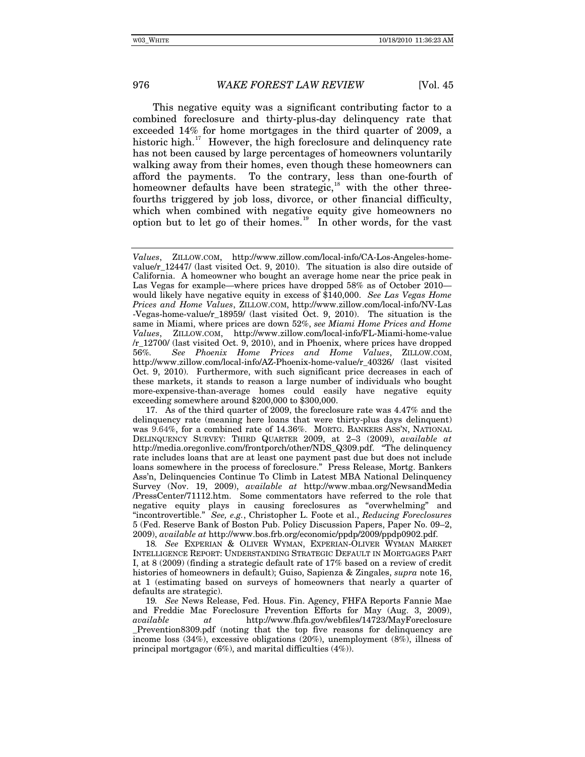This negative equity was a significant contributing factor to a combined foreclosure and thirty-plus-day delinquency rate that exceeded 14% for home mortgages in the third quarter of 2009, a historic high.<sup>[17](#page-5-0)</sup> However, the high foreclosure and delinquency rate has not been caused by large percentages of homeowners voluntarily walking away from their homes, even though these homeowners can afford the payments. To the contrary, less than one-fourth of homeowner defaults have been strategic,<sup>[18](#page-5-1)</sup> with the other threefourths triggered by job loss, divorce, or other financial difficulty, which when combined with negative equity give homeowners no option but to let go of their homes.<sup>[19](#page-5-2)</sup> In other words, for the vast

*Values*, ZILLOW.COM, http://www.zillow.com/local-info/CA-Los-Angeles-homevalue/r\_12447/ (last visited Oct. 9, 2010). The situation is also dire outside of California. A homeowner who bought an average home near the price peak in Las Vegas for example—where prices have dropped 58% as of October 2010 would likely have negative equity in excess of \$140,000. *See Las Vegas Home Prices and Home Values*, ZILLOW.COM, http://www.zillow.com/local-info/NV-Las -Vegas-home-value/r\_18959/ (last visited Oct. 9, 2010). The situation is the same in Miami, where prices are down 52%, *see Miami Home Prices and Home Values*, ZILLOW.COM, http://www.zillow.com/local-info/FL-Miami-home-value /r\_12700/ (last visited Oct. 9, 2010), and in Phoenix, where prices have dropped 56*%. See Phoenix Home Prices and Home Values*, ZILLOW.COM, http://www.zillow.com/local-info/AZ-Phoenix-home-value/r\_40326/ (last visited Oct. 9, 2010). Furthermore, with such significant price decreases in each of these markets, it stands to reason a large number of individuals who bought more-expensive-than-average homes could easily have negative equity exceeding somewhere around \$200,000 to \$300,000.

<span id="page-5-0"></span><sup>17.</sup> As of the third quarter of 2009, the foreclosure rate was 4.47% and the delinquency rate (meaning here loans that were thirty-plus days delinquent) was 9.64%, for a combined rate of 14.36%. MORTG. BANKERS ASS'N, NATIONAL DELINQUENCY SURVEY: THIRD QUARTER 2009, at 2–3 (2009), *available at* http://media.oregonlive.com/frontporch/other/NDS\_Q309.pdf. "The delinquency rate includes loans that are at least one payment past due but does not include loans somewhere in the process of foreclosure." Press Release, Mortg. Bankers Ass'n, Delinquencies Continue To Climb in Latest MBA National Delinquency Survey (Nov. 19, 2009), *available at* http://www.mbaa.org/NewsandMedia /PressCenter/71112.htm. Some commentators have referred to the role that negative equity plays in causing foreclosures as "overwhelming" and "incontrovertible." *See, e.g.*, Christopher L. Foote et al., *Reducing Foreclosures* 5 (Fed. Reserve Bank of Boston Pub. Policy Discussion Papers, Paper No. 09–2, 2009), *available at* http://www.bos.frb.org/economic/ppdp/2009/ppdp0902.pdf.

<span id="page-5-1"></span><sup>18</sup>*. See* EXPERIAN & OLIVER WYMAN, EXPERIAN-OLIVER WYMAN MARKET INTELLIGENCE REPORT: UNDERSTANDING STRATEGIC DEFAULT IN MORTGAGES PART I, at 8 (2009) (finding a strategic default rate of 17% based on a review of credit histories of homeowners in default); Guiso, Sapienza & Zingales, *supra* note 16, at 1 (estimating based on surveys of homeowners that nearly a quarter of defaults are strategic).

<span id="page-5-2"></span><sup>19</sup>*. See* News Release, Fed. Hous. Fin. Agency, FHFA Reports Fannie Mae and Freddie Mac Foreclosure Prevention Efforts for May (Aug. 3, 2009), *available at* http://www.fhfa.gov/webfiles/14723/MayForeclosure \_Prevention8309.pdf (noting that the top five reasons for delinquency are income loss (34%), excessive obligations (20%), unemployment (8%), illness of principal mortgagor (6%), and marital difficulties (4%)).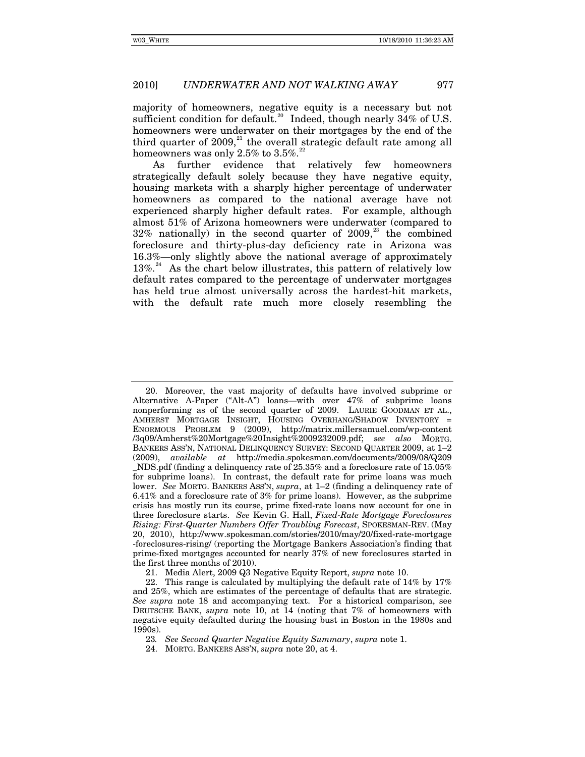majority of homeowners, negative equity is a necessary but not sufficient condition for default.<sup>[20](#page-6-0)</sup> Indeed, though nearly  $34\%$  of U.S. homeowners were underwater on their mortgages by the end of the third quarter of  $2009$ ,<sup>[21](#page-6-1)</sup>, the overall strategic default rate among all homeowners was only 2.5% to 3.5%.<sup>[22](#page-6-2)</sup>

As further evidence that relatively few homeowners strategically default solely because they have negative equity, housing markets with a sharply higher percentage of underwater homeowners as compared to the national average have not experienced sharply higher default rates. For example, although almost 51% of Arizona homeowners were underwater (compared to  $32\%$  nationally) in the second quarter of  $2009<sup>33</sup>$  the combined foreclosure and thirty-plus-day deficiency rate in Arizona was 16.3%—only slightly above the national average of approximately  $13\%$ .<sup>[24](#page-6-4)</sup> As the chart below illustrates, this pattern of relatively low default rates compared to the percentage of underwater mortgages has held true almost universally across the hardest-hit markets, with the default rate much more closely resembling the

23*. See Second Quarter Negative Equity Summary*, *supra* note 1.

<span id="page-6-0"></span><sup>20.</sup> Moreover, the vast majority of defaults have involved subprime or Alternative A-Paper ("Alt-A") loans—with over 47% of subprime loans nonperforming as of the second quarter of 2009. LAURIE GOODMAN ET AL., AMHERST MORTGAGE INSIGHT, HOUSING OVERHANG/SHADOW INVENTORY = ENORMOUS PROBLEM 9 (2009), http://matrix.millersamuel.com/wp-content /3q09/Amherst%20Mortgage%20Insight%2009232009.pdf; *see also* MORTG. BANKERS ASS'N, NATIONAL DELINQUENCY SURVEY: SECOND QUARTER 2009, at 1–2 (2009), *available at* http://media.spokesman.com/documents/2009/08/Q209 \_NDS.pdf (finding a delinquency rate of 25.35% and a foreclosure rate of 15.05% for subprime loans). In contrast, the default rate for prime loans was much lower. *See* MORTG. BANKERS ASS'N, *supra*, at 1–2 (finding a delinquency rate of 6.41% and a foreclosure rate of 3% for prime loans). However, as the subprime crisis has mostly run its course, prime fixed-rate loans now account for one in three foreclosure starts. *See* Kevin G. Hall, *Fixed-Rate Mortgage Foreclosures Rising: First-Quarter Numbers Offer Troubling Forecast*, SPOKESMAN-REV. (May 20, 2010), http://www.spokesman.com/stories/2010/may/20/fixed-rate-mortgage -foreclosures-rising/ (reporting the Mortgage Bankers Association's finding that prime-fixed mortgages accounted for nearly 37% of new foreclosures started in the first three months of 2010).

<sup>21.</sup> Media Alert, 2009 Q3 Negative Equity Report, *supra* note 10.

<span id="page-6-3"></span><span id="page-6-2"></span><span id="page-6-1"></span><sup>22.</sup> This range is calculated by multiplying the default rate of 14% by 17% and 25%, which are estimates of the percentage of defaults that are strategic. *See supra* note 18 and accompanying text. For a historical comparison, see DEUTSCHE BANK, *supra* note 10, at 14 (noting that 7% of homeowners with negative equity defaulted during the housing bust in Boston in the 1980s and 1990s).

<span id="page-6-4"></span><sup>24.</sup> MORTG. BANKERS ASS'N, *supra* note 20, at 4.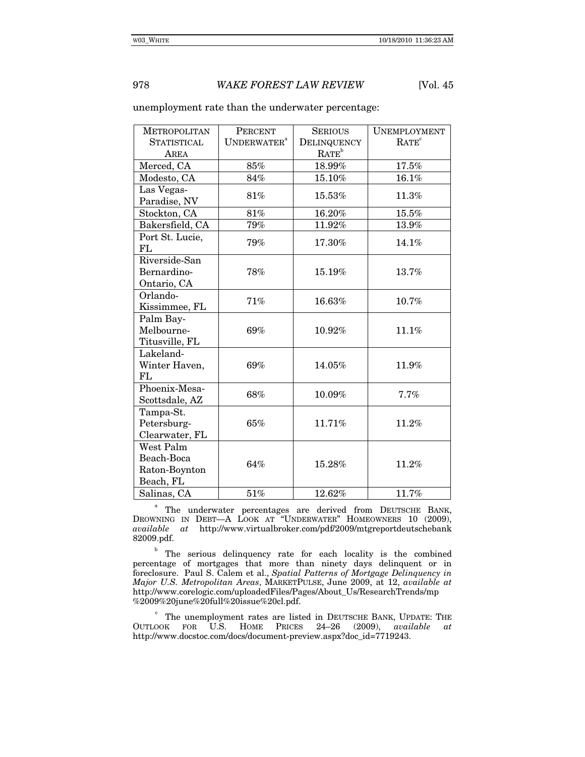| <b>METROPOLITAN</b>                                   | <b>PERCENT</b>          | <b>SERIOUS</b>    | <b>UNEMPLOYMENT</b> |
|-------------------------------------------------------|-------------------------|-------------------|---------------------|
| <b>STATISTICAL</b>                                    | UNDERWATER <sup>a</sup> | DELINQUENCY       | RATE <sup>c</sup>   |
| AREA                                                  |                         | RATE <sup>b</sup> |                     |
| Merced, CA                                            | 85%                     | 18.99%            | 17.5%               |
| Modesto, CA                                           | 84%                     | 15.10%            | $16.1\%$            |
| Las Vegas-<br>Paradise, NV                            | 81%                     | 15.53%            | 11.3%               |
| Stockton, CA                                          | 81%                     | 16.20%            | 15.5%               |
| Bakersfield, CA                                       | $79\%$                  | 11.92%            | $13.9\%$            |
| Port St. Lucie,<br>FL                                 | 79%                     | 17.30%            | 14.1%               |
| Riverside-San<br>Bernardino-<br>Ontario, CA           | 78%                     | 15.19%            | 13.7%               |
| Orlando-<br>Kissimmee, FL                             | 71%                     | 16.63%            | 10.7%               |
| Palm Bay-<br>Melbourne-<br>Titusville, FL             | 69%                     | $10.92\%$         | 11.1%               |
| Lakeland-<br>Winter Haven,<br>FL                      | 69%                     | 14.05%            | 11.9%               |
| Phoenix-Mesa-<br>Scottsdale, AZ                       | 68%                     | $10.09\%$         | 7.7%                |
| Tampa-St.<br>Petersburg-<br>Clearwater, FL            | $65\%$                  | 11.71%            | 11.2%               |
| West Palm<br>Beach-Boca<br>Raton-Boynton<br>Beach, FL | 64%                     | 15.28%            | 11.2%               |
| Salinas, CA                                           | $51\%$                  | 12.62%            | 11.7%               |

## unemployment rate than the underwater percentage:

<sup>a</sup> The underwater percentages are derived from DEUTSCHE BANK, DROWNING IN DEBT—A LOOK AT "UNDERWATER" HOMEOWNERS 10 (2009), *available at* http://www.virtualbroker.com/pdf/2009/mtgreportdeutschebank 82009.pdf.

The serious delinquency rate for each locality is the combined percentage of mortgages that more than ninety days delinquent or in foreclosure. Paul S. Calem et al., *Spatial Patterns of Mortgage Delinquency in Major U.S. Metropolitan Areas*, MARKETPULSE, June 2009, at 12, *available at* http://www.corelogic.com/uploadedFiles/Pages/About\_Us/ResearchTrends/mp %2009%20june%20full%20issue%20cl.pdf.

 $\degree$  The unemployment rates are listed in DEUTSCHE BANK, UPDATE: THE OOK FOR U.S. HOME PRICES 24–26 (2009), available at OUTLOOK FOR U.S. HOME PRICES 24-26 (2009), *available* http://www.docstoc.com/docs/document-preview.aspx?doc\_id=7719243.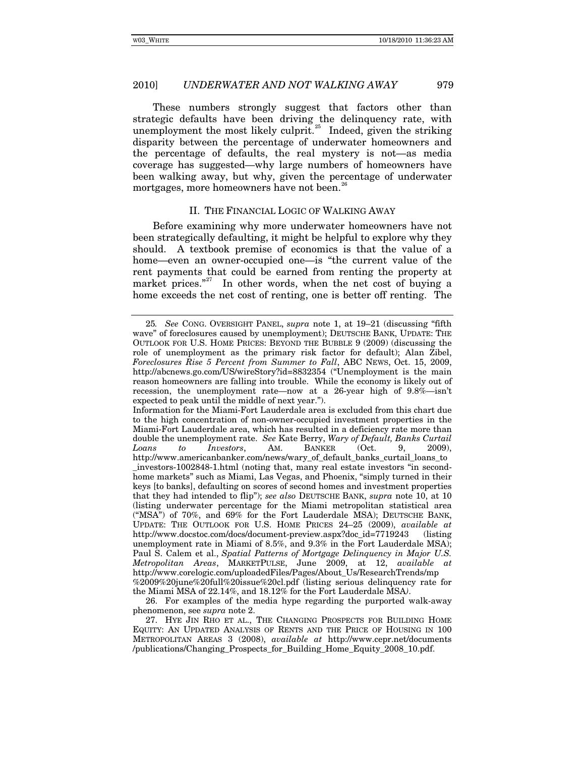These numbers strongly suggest that factors other than strategic defaults have been driving the delinquency rate, with unemployment the most likely culprit.<sup>[25](#page-8-0)</sup> Indeed, given the striking disparity between the percentage of underwater homeowners and the percentage of defaults, the real mystery is not—as media coverage has suggested—why large numbers of homeowners have been walking away, but why, given the percentage of underwater mortgages, more homeowners have not been.<sup>[26](#page-8-1)</sup>

## II. THE FINANCIAL LOGIC OF WALKING AWAY

Before examining why more underwater homeowners have not been strategically defaulting, it might be helpful to explore why they should. A textbook premise of economics is that the value of a home—even an owner-occupied one—is "the current value of the rent payments that could be earned from renting the property at market prices."<sup>[27](#page-8-2)</sup> In other words, when the net cost of buying a home exceeds the net cost of renting, one is better off renting. The

<span id="page-8-1"></span>26. For examples of the media hype regarding the purported walk-away phenomenon, see *supra* note 2.

<span id="page-8-0"></span><sup>25</sup>*. See* CONG. OVERSIGHT PANEL, *supra* note 1, at 19–21 (discussing "fifth wave" of foreclosures caused by unemployment); DEUTSCHE BANK, UPDATE: THE OUTLOOK FOR U.S. HOME PRICES: BEYOND THE BUBBLE 9 (2009) (discussing the role of unemployment as the primary risk factor for default); Alan Zibel, *Foreclosures Rise 5 Percent from Summer to Fall*, ABC NEWS, Oct. 15, 2009, http://abcnews.go.com/US/wireStory?id=8832354 ("Unemployment is the main reason homeowners are falling into trouble. While the economy is likely out of recession, the unemployment rate—now at a 26-year high of 9.8%—isn't expected to peak until the middle of next year.").

Information for the Miami-Fort Lauderdale area is excluded from this chart due to the high concentration of non-owner-occupied investment properties in the Miami-Fort Lauderdale area, which has resulted in a deficiency rate more than double the unemployment rate. *See* Kate Berry, *Wary of Default, Banks Curtail Loans to Investors*, AM. BANKER (Oct. 9, 2009), http://www.americanbanker.com/news/wary\_of\_default\_banks\_curtail\_loans\_to \_investors-1002848-1.html (noting that, many real estate investors "in secondhome markets" such as Miami, Las Vegas, and Phoenix, "simply turned in their keys [to banks], defaulting on scores of second homes and investment properties that they had intended to flip"); *see also* DEUTSCHE BANK, *supra* note 10, at 10 (listing underwater percentage for the Miami metropolitan statistical area ("MSA") of 70%, and 69% for the Fort Lauderdale MSA); DEUTSCHE BANK, UPDATE: THE OUTLOOK FOR U.S. HOME PRICES 24–25 (2009), *available at* http://www.docstoc.com/docs/document-preview.aspx?doc\_id=7719243 (listing unemployment rate in Miami of 8.5%, and 9.3% in the Fort Lauderdale MSA); Paul S. Calem et al., *Spatial Patterns of Mortgage Delinquency in Major U.S. Metropolitan Areas*, MARKETPULSE, June 2009, at 12, *available at* http://www.corelogic.com/uploadedFiles/Pages/About\_Us/ResearchTrends/mp %2009%20june%20full%20issue%20cl.pdf (listing serious delinquency rate for the Miami MSA of 22.14%, and 18.12% for the Fort Lauderdale MSA*)*.

<span id="page-8-2"></span><sup>27.</sup> HYE JIN RHO ET AL., THE CHANGING PROSPECTS FOR BUILDING HOME EQUITY: AN UPDATED ANALYSIS OF RENTS AND THE PRICE OF HOUSING IN 100 METROPOLITAN AREAS 3 (2008), *available at* http://www.cepr.net/documents /publications/Changing\_Prospects\_for\_Building\_Home\_Equity\_2008\_10.pdf.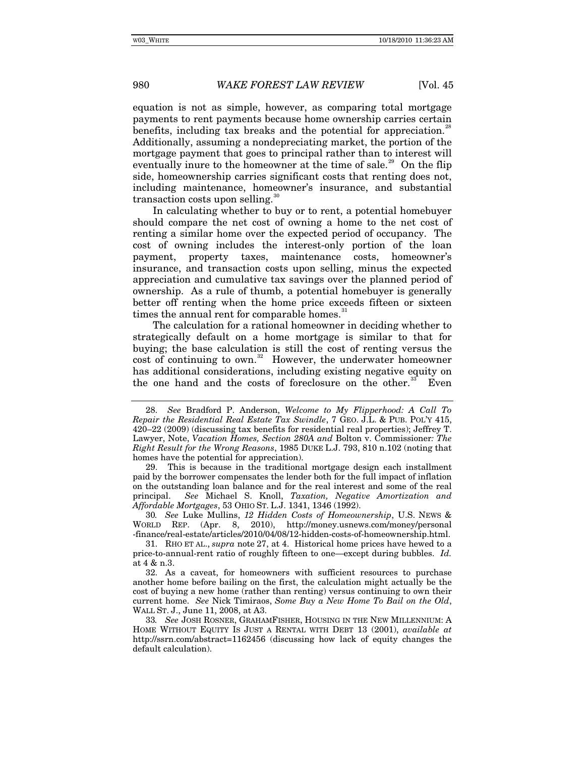equation is not as simple, however, as comparing total mortgage payments to rent payments because home ownership carries certain benefits, including tax breaks and the potential for appreciation.<sup>2</sup> Additionally, assuming a nondepreciating market, the portion of the mortgage payment that goes to principal rather than to interest will eventually inure to the homeowner at the time of sale.<sup>[29](#page-9-1)</sup> On the flip side, homeownership carries significant costs that renting does not, including maintenance, homeowner's insurance, and substantial transaction costs upon selling.

In calculating whether to buy or to rent, a potential homebuyer should compare the net cost of owning a home to the net cost of renting a similar home over the expected period of occupancy. The cost of owning includes the interest-only portion of the loan payment, property taxes, maintenance costs, homeowner's insurance, and transaction costs upon selling, minus the expected appreciation and cumulative tax savings over the planned period of ownership. As a rule of thumb, a potential homebuyer is generally better off renting when the home price exceeds fifteen or sixteen times the annual rent for comparable homes.<sup>[31](#page-9-3)</sup>

The calculation for a rational homeowner in deciding whether to strategically default on a home mortgage is similar to that for buying; the base calculation is still the cost of renting versus the cost of continuing to own. $32$  However, the underwater homeowner has additional considerations, including existing negative equity on the one hand and the costs of foreclosure on the other.<sup>[33](#page-9-5)</sup> Even

<span id="page-9-1"></span> 29. This is because in the traditional mortgage design each installment paid by the borrower compensates the lender both for the full impact of inflation on the outstanding loan balance and for the real interest and some of the real principal. *See* Michael S. Knoll, *Taxation, Negative Amortization and Affordable Mortgages*, 53 OHIO ST. L.J. 1341, 1346 (1992).

<span id="page-9-2"></span>30*. See* Luke Mullins, *12 Hidden Costs of Homeownership*, U.S. NEWS & WORLD REP. (Apr. 8, 2010), http://money.usnews.com/money/personal -finance/real-estate/articles/2010/04/08/12-hidden-costs-of-homeownership.html.

<span id="page-9-3"></span>31. RHO ET AL., *supra* note 27, at 4. Historical home prices have hewed to a price-to-annual-rent ratio of roughly fifteen to one—except during bubbles. *Id.* at 4 & n.3.

<span id="page-9-4"></span>32. As a caveat, for homeowners with sufficient resources to purchase another home before bailing on the first, the calculation might actually be the cost of buying a new home (rather than renting) versus continuing to own their current home. *See* Nick Timiraos, *Some Buy a New Home To Bail on the Old*, WALL ST. J., June 11, 2008, at A3.

<span id="page-9-5"></span>33*. See* JOSH ROSNER, GRAHAMFISHER, HOUSING IN THE NEW MILLENNIUM: A HOME WITHOUT EQUITY IS JUST A RENTAL WITH DEBT 13 (2001), *available at* http://ssrn.com/abstract=1162456 (discussing how lack of equity changes the default calculation).

<span id="page-9-0"></span><sup>28.</sup> *See* Bradford P. Anderson, *Welcome to My Flipperhood: A Call To Repair the Residential Real Estate Tax Swindle*, 7 GEO. J.L. & PUB. POL'Y 415, 420–22 (2009) (discussing tax benefits for residential real properties); Jeffrey T. Lawyer, Note, *Vacation Homes, Section 280A and* Bolton v. Commissioner*: The Right Result for the Wrong Reasons*, 1985 DUKE L.J. 793, 810 n.102 (noting that homes have the potential for appreciation).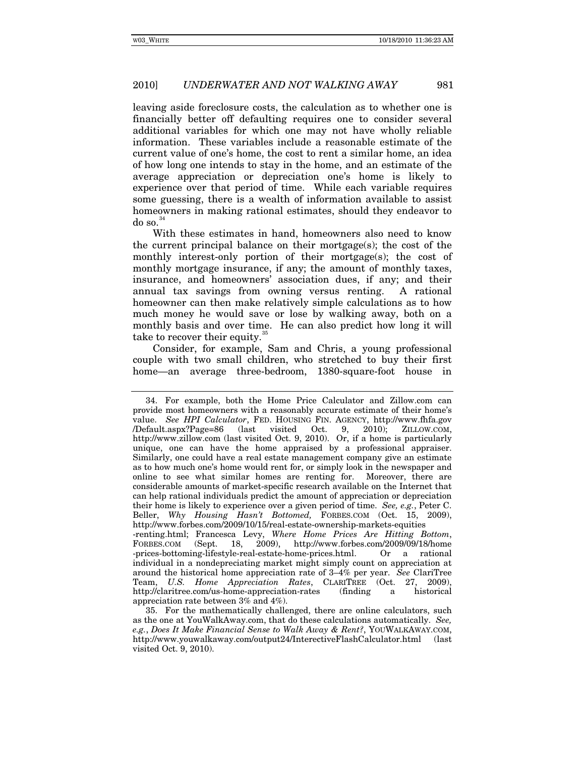leaving aside foreclosure costs, the calculation as to whether one is financially better off defaulting requires one to consider several additional variables for which one may not have wholly reliable information. These variables include a reasonable estimate of the current value of one's home, the cost to rent a similar home, an idea of how long one intends to stay in the home, and an estimate of the average appreciation or depreciation one's home is likely to experience over that period of time. While each variable requires some guessing, there is a wealth of information available to assist homeowners in making rational estimates, should they endeavor to  $do$  so. $34$ 

With these estimates in hand, homeowners also need to know the current principal balance on their mortgage(s); the cost of the monthly interest-only portion of their mortgage(s); the cost of monthly mortgage insurance, if any; the amount of monthly taxes, insurance, and homeowners' association dues, if any; and their annual tax savings from owning versus renting. A rational homeowner can then make relatively simple calculations as to how much money he would save or lose by walking away, both on a monthly basis and over time. He can also predict how long it will take to recover their equity.<sup>3</sup>

Consider, for example, Sam and Chris, a young professional couple with two small children, who stretched to buy their first home—an average three-bedroom, 1380-square-foot house in

http://claritree.com/us-home-appreciation-rates (finding a historical

<span id="page-10-0"></span><sup>34.</sup> For example, both the Home Price Calculator and Zillow.com can provide most homeowners with a reasonably accurate estimate of their home's value. *See HPI Calculator*, FED. HOUSING FIN. AGENCY, http://www.fhfa.gov /Default.aspx?Page=86 (last visited Oct. 9, 2010); ZILLOW.COM, http://www.zillow.com (last visited Oct. 9, 2010). Or, if a home is particularly unique, one can have the home appraised by a professional appraiser. Similarly, one could have a real estate management company give an estimate as to how much one's home would rent for, or simply look in the newspaper and online to see what similar homes are renting for. Moreover, there are considerable amounts of market-specific research available on the Internet that can help rational individuals predict the amount of appreciation or depreciation their home is likely to experience over a given period of time. *See, e.g.*, Peter C. Beller, *Why Housing Hasn't Bottomed,* FORBES.COM (Oct. 15, 2009), http://www.forbes.com/2009/10/15/real-estate-ownership-markets-equities -renting.html; Francesca Levy, *Where Home Prices Are Hitting Bottom*, FORBES.COM (Sept. 18, 2009), http://www.forbes.com/2009/09/18/home -prices-bottoming-lifestyle-real-estate-home-prices.html. Or a rational individual in a nondepreciating market might simply count on appreciation at around the historical home appreciation rate of 3–4% per year. *See* ClariTree Team, *U.S. Home Appreciation Rates*, CLARITREE (Oct. 27, 2009),

<span id="page-10-1"></span>appreciation rate between 3% and 4%). 35. For the mathematically challenged, there are online calculators, such as the one at YouWalkAway.com, that do these calculations automatically. *See, e.g.*, *Does It Make Financial Sense to Walk Away & Rent?*, YOUWALKAWAY.COM, http://www.youwalkaway.com/output24/InterectiveFlashCalculator.html (last visited Oct. 9, 2010).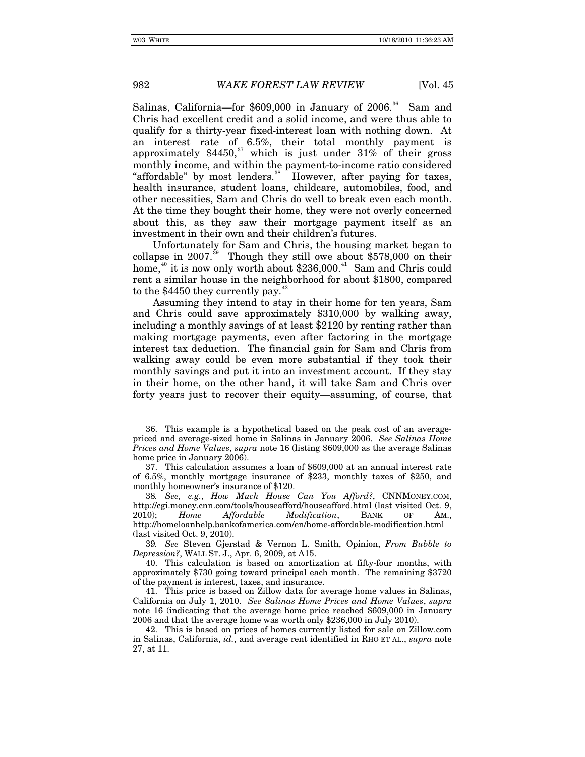Salinas, California—for  $$609,000$  in January of  $2006$ .<sup>[36](#page-11-0)</sup> Sam and Chris had excellent credit and a solid income, and were thus able to qualify for a thirty-year fixed-interest loan with nothing down. At an interest rate of 6.5%, their total monthly payment is approximately  $$4450$ ,<sup>[37](#page-11-1)</sup> which is just under  $31\%$  of their gross monthly income, and within the payment-to-income ratio considered "affordable" by most lenders.<sup>[38](#page-11-2)</sup> However, after paying for taxes, health insurance, student loans, childcare, automobiles, food, and other necessities, Sam and Chris do well to break even each month. At the time they bought their home, they were not overly concerned about this, as they saw their mortgage payment itself as an investment in their own and their children's futures.

Unfortunately for Sam and Chris, the housing market began to collapse in 2007.<sup>[39](#page-11-3)</sup> Though they still owe about \$578,000 on their home, $40$  it is now only worth about \$236,000.<sup>[41](#page-11-5)</sup> Sam and Chris could rent a similar house in the neighborhood for about \$1800, compared to the  $$4450$  they currently pay.<sup>4</sup>

Assuming they intend to stay in their home for ten years, Sam and Chris could save approximately \$310,000 by walking away, including a monthly savings of at least \$2120 by renting rather than making mortgage payments, even after factoring in the mortgage interest tax deduction. The financial gain for Sam and Chris from walking away could be even more substantial if they took their monthly savings and put it into an investment account. If they stay in their home, on the other hand, it will take Sam and Chris over forty years just to recover their equity—assuming, of course, that

<span id="page-11-0"></span><sup>36.</sup> This example is a hypothetical based on the peak cost of an averagepriced and average-sized home in Salinas in January 2006. *See Salinas Home Prices and Home Values*, *supra* note 16 (listing \$609,000 as the average Salinas home price in January 2006).

<span id="page-11-1"></span><sup>37.</sup> This calculation assumes a loan of \$609,000 at an annual interest rate of 6.5%, monthly mortgage insurance of \$233, monthly taxes of \$250, and monthly homeowner's insurance of \$120.

<span id="page-11-2"></span><sup>38</sup>*. See, e.g.*, *How Much House Can You Afford?*, CNNMONEY.COM, http://cgi.money.cnn.com/tools/houseafford/houseafford.html (last visited Oct. 9, 2010); *Home Affordable Modification*, BANK OF AM., http://homeloanhelp.bankofamerica.com/en/home-affordable-modification.html (last visited Oct. 9, 2010).

<span id="page-11-3"></span><sup>39</sup>*. See* Steven Gjerstad & Vernon L. Smith, Opinion, *From Bubble to Depression?*, WALL ST. J., Apr. 6, 2009, at A15.

<span id="page-11-4"></span><sup>40.</sup> This calculation is based on amortization at fifty-four months, with approximately \$730 going toward principal each month. The remaining \$3720 of the payment is interest, taxes, and insurance.

<span id="page-11-5"></span><sup>41.</sup> This price is based on Zillow data for average home values in Salinas, California on July 1, 2010. *See Salinas Home Prices and Home Values*, *supra* note 16 (indicating that the average home price reached \$609,000 in January 2006 and that the average home was worth only \$236,000 in July 2010).

<span id="page-11-6"></span><sup>42.</sup> This is based on prices of homes currently listed for sale on Zillow.com in Salinas, California, *id.*, and average rent identified in RHO ET AL., *supra* note 27, at 11.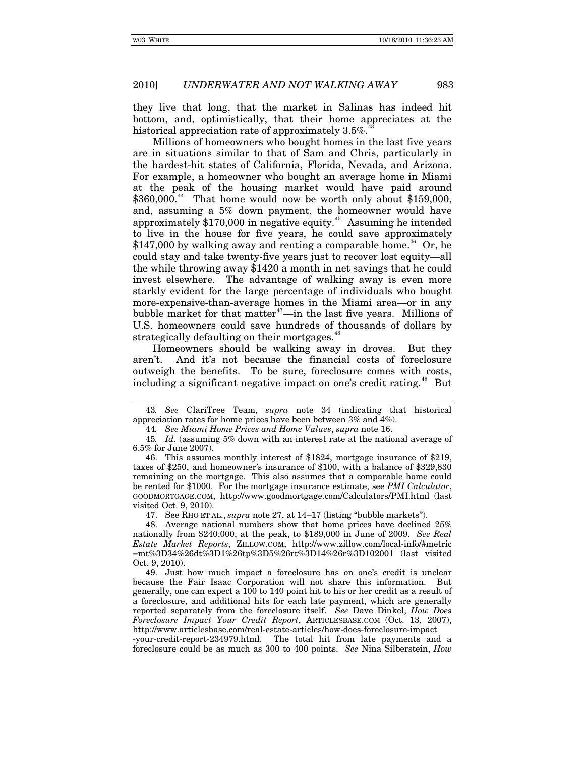they live that long, that the market in Salinas has indeed hit bottom, and, optimistically, that their home appreciates at the historical appreciation rate of approximately 3.5%.

Millions of homeowners who bought homes in the last five years are in situations similar to that of Sam and Chris, particularly in the hardest-hit states of California, Florida, Nevada, and Arizona. For example, a homeowner who bought an average home in Miami at the peak of the housing market would have paid around  $$360,000.<sup>44</sup>$  $$360,000.<sup>44</sup>$  $$360,000.<sup>44</sup>$  That home would now be worth only about \$159,000, and, assuming a 5% down payment, the homeowner would have approximately \$170,000 in negative equity.[45](#page-12-2) Assuming he intended to live in the house for five years, he could save approximately  $$147,000$  by walking away and renting a comparable home.<sup>[46](#page-12-3)</sup> Or, he could stay and take twenty-five years just to recover lost equity—all the while throwing away \$1420 a month in net savings that he could invest elsewhere. The advantage of walking away is even more starkly evident for the large percentage of individuals who bought more-expensive-than-average homes in the Miami area—or in any bubble market for that matter<sup> $47$ </sup>—in the last five years. Millions of U.S. homeowners could save hundreds of thousands of dollars by strategically defaulting on their mortgages.<sup>[48](#page-12-5)</sup>

Homeowners should be walking away in droves. But they aren't. And it's not because the financial costs of foreclosure outweigh the benefits. To be sure, foreclosure comes with costs, including a significant negative impact on one's credit rating.<sup>[49](#page-12-6)</sup> But

47. See RHO ET AL., *supra* note 27, at 14–17 (listing "bubble markets").

<span id="page-12-0"></span><sup>43</sup>*. See* ClariTree Team, *supra* note 34 (indicating that historical appreciation rates for home prices have been between 3% and 4%).

<sup>44</sup>*. See Miami Home Prices and Home Values*, *supra* note 16.

<span id="page-12-2"></span><span id="page-12-1"></span><sup>45</sup>*. Id.* (assuming 5% down with an interest rate at the national average of 6.5% for June 2007).

<span id="page-12-3"></span><sup>46.</sup> This assumes monthly interest of \$1824, mortgage insurance of \$219, taxes of \$250, and homeowner's insurance of \$100, with a balance of \$329,830 remaining on the mortgage. This also assumes that a comparable home could be rented for \$1000. For the mortgage insurance estimate, see *PMI Calculator*, GOODMORTGAGE.COM, http://www.goodmortgage.com/Calculators/PMI.html (last visited Oct. 9, 2010).

<span id="page-12-5"></span><span id="page-12-4"></span><sup>48.</sup> Average national numbers show that home prices have declined 25% nationally from \$240,000, at the peak, to \$189,000 in June of 2009. *See Real Estate Market Reports*, ZILLOW.COM, http://www.zillow.com/local-info/#metric =mt%3D34%26dt%3D1%26tp%3D5%26rt%3D14%26r%3D102001 (last visited Oct. 9, 2010).

<span id="page-12-6"></span><sup>49.</sup> Just how much impact a foreclosure has on one's credit is unclear because the Fair Isaac Corporation will not share this information. But generally, one can expect a 100 to 140 point hit to his or her credit as a result of a foreclosure, and additional hits for each late payment, which are generally reported separately from the foreclosure itself. *See* Dave Dinkel, *How Does Foreclosure Impact Your Credit Report*, ARTICLESBASE.COM (Oct. 13, 2007), http://www.articlesbase.com/real-estate-articles/how-does-foreclosure-impact

<sup>-</sup>your-credit-report-234979.html. The total hit from late payments and a foreclosure could be as much as 300 to 400 points. *See* Nina Silberstein, *How*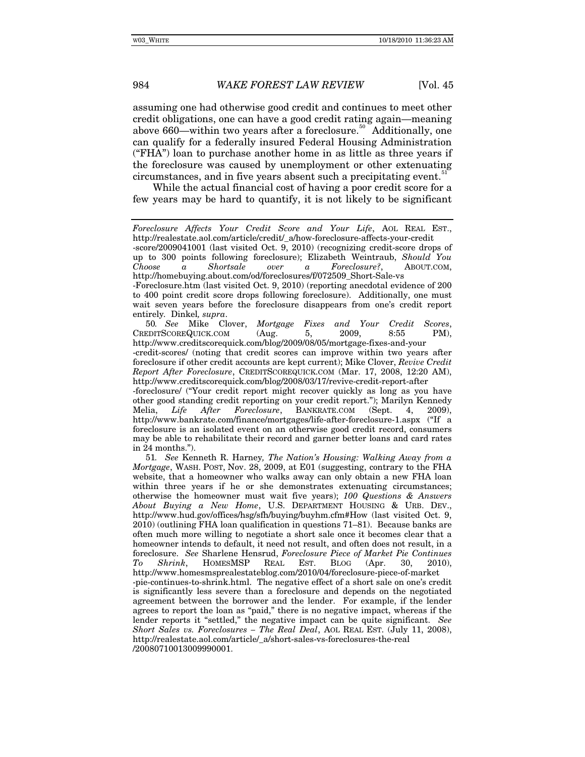assuming one had otherwise good credit and continues to meet other credit obligations, one can have a good credit rating again—meaning above 660—within two years after a foreclosure.<sup>[50](#page-13-0)</sup> Additionally, one can qualify for a federally insured Federal Housing Administration ("FHA") loan to purchase another home in as little as three years if the foreclosure was caused by unemployment or other extenuating circumstances, and in five years absent such a precipitating event.<sup>5</sup>

While the actual financial cost of having a poor credit score for a few years may be hard to quantify, it is not likely to be significant

<span id="page-13-0"></span>50*. See* Mike Clover, *Mortgage Fixes and Your Credit Scores*, CREDITSCOREQUICK.COM (Aug. 5, 2009, 8:55 PM), http://www.creditscorequick.com/blog/2009/08/05/mortgage-fixes-and-your

-credit-scores/ (noting that credit scores can improve within two years after foreclosure if other credit accounts are kept current); Mike Clover, *Revive Credit Report After Foreclosure*, CREDITSCOREQUICK.COM (Mar. 17, 2008, 12:20 AM), http://www.creditscorequick.com/blog/2008/03/17/revive-credit-report-after

-foreclosure/ ("Your credit report might recover quickly as long as you have other good standing credit reporting on your credit report."); Marilyn Kennedy<br>Melia, *Life After Foreclosure*, BANKRATE.COM (Sept. 4, 2009), After Foreclosure, BANKRATE.COM (Sept. 4, 2009), http://www.bankrate.com/finance/mortgages/life-after-foreclosure-1.aspx ("If a foreclosure is an isolated event on an otherwise good credit record, consumers may be able to rehabilitate their record and garner better loans and card rates in 24 months.").

<span id="page-13-1"></span>51*. See* Kenneth R. Harney*, The Nation's Housing: Walking Away from a Mortgage*, WASH. POST, Nov. 28, 2009, at E01 (suggesting, contrary to the FHA website, that a homeowner who walks away can only obtain a new FHA loan within three years if he or she demonstrates extenuating circumstances; otherwise the homeowner must wait five years); *100 Questions & Answers About Buying a New Home*, U.S. DEPARTMENT HOUSING & URB. DEV., http://www.hud.gov/offices/hsg/sfh/buying/buyhm.cfm#How (last visited Oct. 9, 2010) (outlining FHA loan qualification in questions 71–81). Because banks are often much more willing to negotiate a short sale once it becomes clear that a homeowner intends to default, it need not result, and often does not result, in a foreclosure. *See* Sharlene Hensrud, *Foreclosure Piece of Market Pie Continues To Shrink*, HOMESMSP REAL EST. BLOG (Apr. 30, 2010), http://www.homesmsprealestateblog.com/2010/04/foreclosure-piece-of-market -pie-continues-to-shrink.html. The negative effect of a short sale on one's credit is significantly less severe than a foreclosure and depends on the negotiated agreement between the borrower and the lender. For example, if the lender agrees to report the loan as "paid," there is no negative impact, whereas if the lender reports it "settled," the negative impact can be quite significant. *See Short Sales vs. Foreclosures – The Real Deal*, AOL REAL EST. (July 11, 2008), http://realestate.aol.com/article/\_a/short-sales-vs-foreclosures-the-real /20080710013009990001.

*Foreclosure Affects Your Credit Score and Your Life*, AOL REAL EST., http://realestate.aol.com/article/credit/\_a/how-foreclosure-affects-your-credit

<sup>-</sup>score/2009041001 (last visited Oct. 9, 2010) (recognizing credit-score drops of up to 300 points following foreclosure); Elizabeth Weintraub, *Should You Choose a Shortsale over a Foreclosure?*, ABOUT.COM, http://homebuying.about.com/od/foreclosures/f/072509\_Short-Sale-vs

<sup>-</sup>Foreclosure.htm (last visited Oct. 9, 2010) (reporting anecdotal evidence of 200 to 400 point credit score drops following foreclosure). Additionally, one must wait seven years before the foreclosure disappears from one's credit report entirely*.* Dinkel*, supra*.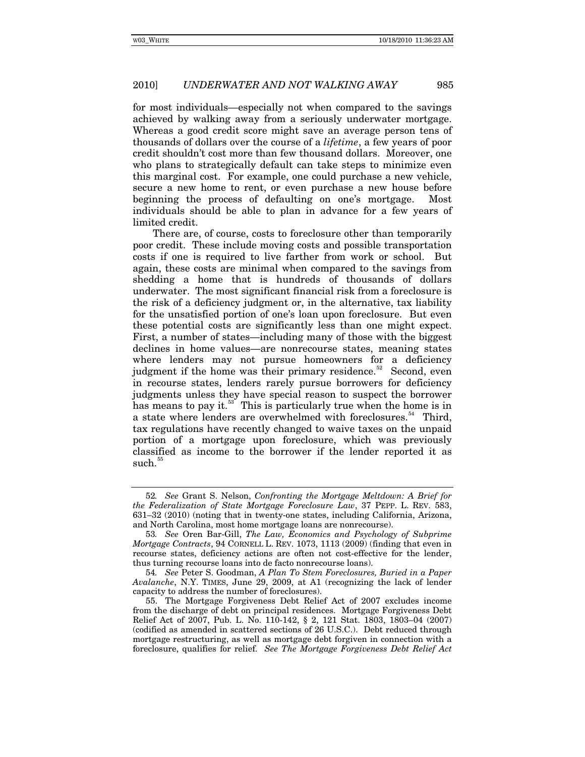for most individuals—especially not when compared to the savings achieved by walking away from a seriously underwater mortgage. Whereas a good credit score might save an average person tens of thousands of dollars over the course of a *lifetime*, a few years of poor credit shouldn't cost more than few thousand dollars. Moreover, one who plans to strategically default can take steps to minimize even this marginal cost. For example, one could purchase a new vehicle, secure a new home to rent, or even purchase a new house before beginning the process of defaulting on one's mortgage. Most individuals should be able to plan in advance for a few years of limited credit.

There are, of course, costs to foreclosure other than temporarily poor credit. These include moving costs and possible transportation costs if one is required to live farther from work or school. But again, these costs are minimal when compared to the savings from shedding a home that is hundreds of thousands of dollars underwater. The most significant financial risk from a foreclosure is the risk of a deficiency judgment or, in the alternative, tax liability for the unsatisfied portion of one's loan upon foreclosure. But even these potential costs are significantly less than one might expect. First, a number of states—including many of those with the biggest declines in home values—are nonrecourse states, meaning states where lenders may not pursue homeowners for a deficiency judgment if the home was their primary residence.<sup>[52](#page-14-0)</sup> Second, even in recourse states, lenders rarely pursue borrowers for deficiency judgments unless they have special reason to suspect the borrower has means to pay it.<sup>[53](#page-14-1)</sup> This is particularly true when the home is in a state where lenders are overwhelmed with foreclosures.<sup>[54](#page-14-2)</sup> Third, tax regulations have recently changed to waive taxes on the unpaid portion of a mortgage upon foreclosure, which was previously classified as income to the borrower if the lender reported it as  $such.<sup>55</sup>$  $such.<sup>55</sup>$  $such.<sup>55</sup>$ 

<span id="page-14-0"></span><sup>52</sup>*. See* Grant S. Nelson, *Confronting the Mortgage Meltdown: A Brief for the Federalization of State Mortgage Foreclosure Law*, 37 PEPP. L. REV. 583, 631–32 (2010) (noting that in twenty-one states, including California, Arizona, and North Carolina, most home mortgage loans are nonrecourse).

<span id="page-14-1"></span><sup>53</sup>*. See* Oren Bar-Gill, *The Law, Economics and Psychology of Subprime Mortgage Contracts*, 94 CORNELL L. REV. 1073, 1113 (2009) (finding that even in recourse states, deficiency actions are often not cost-effective for the lender, thus turning recourse loans into de facto nonrecourse loans).

<span id="page-14-2"></span><sup>54</sup>*. See* Peter S. Goodman, *A Plan To Stem Foreclosures, Buried in a Paper Avalanche*, N.Y. TIMES, June 29, 2009, at A1 (recognizing the lack of lender capacity to address the number of foreclosures).

<span id="page-14-3"></span><sup>55.</sup> The Mortgage Forgiveness Debt Relief Act of 2007 excludes income from the discharge of debt on principal residences. Mortgage Forgiveness Debt Relief Act of 2007, Pub. L. No. 110-142, § 2, 121 Stat. 1803, 1803–04 (2007) (codified as amended in scattered sections of 26 U.S.C.). Debt reduced through mortgage restructuring, as well as mortgage debt forgiven in connection with a foreclosure, qualifies for relief. *See The Mortgage Forgiveness Debt Relief Act*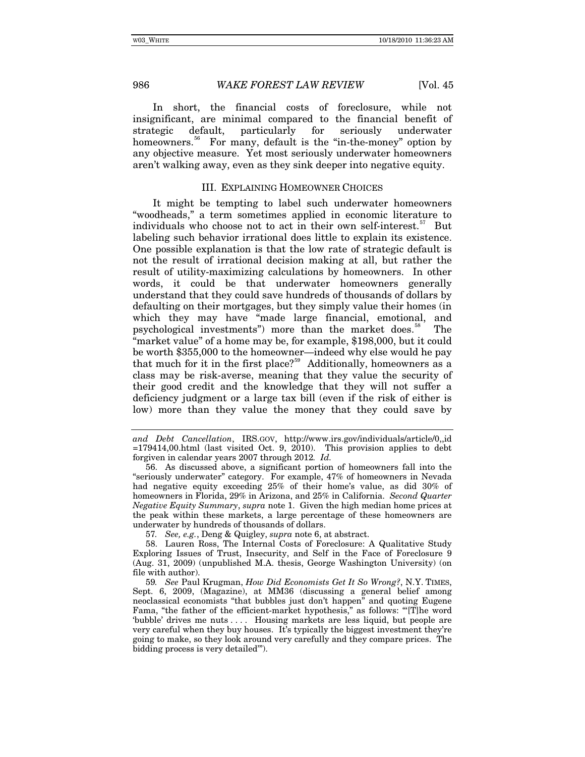In short, the financial costs of foreclosure, while not insignificant, are minimal compared to the financial benefit of strategic default, particularly for seriously underwater homeowners.<sup>[56](#page-15-0)</sup> For many, default is the "in-the-money" option by any objective measure. Yet most seriously underwater homeowners aren't walking away, even as they sink deeper into negative equity.

### III. EXPLAINING HOMEOWNER CHOICES

It might be tempting to label such underwater homeowners "woodheads," a term sometimes applied in economic literature to individuals who choose not to act in their own self-interest.<sup>[57](#page-15-1)</sup> But labeling such behavior irrational does little to explain its existence. One possible explanation is that the low rate of strategic default is not the result of irrational decision making at all, but rather the result of utility-maximizing calculations by homeowners. In other words, it could be that underwater homeowners generally understand that they could save hundreds of thousands of dollars by defaulting on their mortgages, but they simply value their homes (in which they may have "made large financial, emotional, and psychological investments") more than the market does.<sup>[58](#page-15-2)</sup> The "market value" of a home may be, for example, \$198,000, but it could be worth \$355,000 to the homeowner—indeed why else would he pay that much for it in the first place?<sup>[59](#page-15-3)</sup> Additionally, homeowners as a class may be risk-averse, meaning that they value the security of their good credit and the knowledge that they will not suffer a deficiency judgment or a large tax bill (even if the risk of either is low) more than they value the money that they could save by

<span id="page-15-0"></span>56. As discussed above, a significant portion of homeowners fall into the "seriously underwater" category. For example, 47% of homeowners in Nevada had negative equity exceeding 25% of their home's value, as did 30% of homeowners in Florida, 29% in Arizona, and 25% in California. *Second Quarter Negative Equity Summary*, *supra* note 1. Given the high median home prices at the peak within these markets, a large percentage of these homeowners are underwater by hundreds of thousands of dollars.

57*. See, e.g.*, Deng & Quigley, *supra* note 6, at abstract.

<span id="page-15-2"></span><span id="page-15-1"></span>58. Lauren Ross, The Internal Costs of Foreclosure: A Qualitative Study Exploring Issues of Trust, Insecurity, and Self in the Face of Foreclosure 9 (Aug. 31, 2009) (unpublished M.A. thesis, George Washington University) (on file with author).

<span id="page-15-3"></span>59*. See* Paul Krugman, *How Did Economists Get It So Wrong?*, N.Y. TIMES, Sept. 6, 2009, (Magazine), at MM36 (discussing a general belief among neoclassical economists "that bubbles just don't happen" and quoting Eugene Fama, "the father of the efficient-market hypothesis," as follows: "'[T]he word 'bubble' drives me nuts . . . . Housing markets are less liquid, but people are very careful when they buy houses. It's typically the biggest investment they're going to make, so they look around very carefully and they compare prices. The bidding process is very detailed'").

*and Debt Cancellation*, IRS.GOV, http://www.irs.gov/individuals/article/0,,id  $=179414,00.$ html (last visited Oct. 9, 2010). This provision applies to debt forgiven in calendar years 2007 through 2012*. Id.*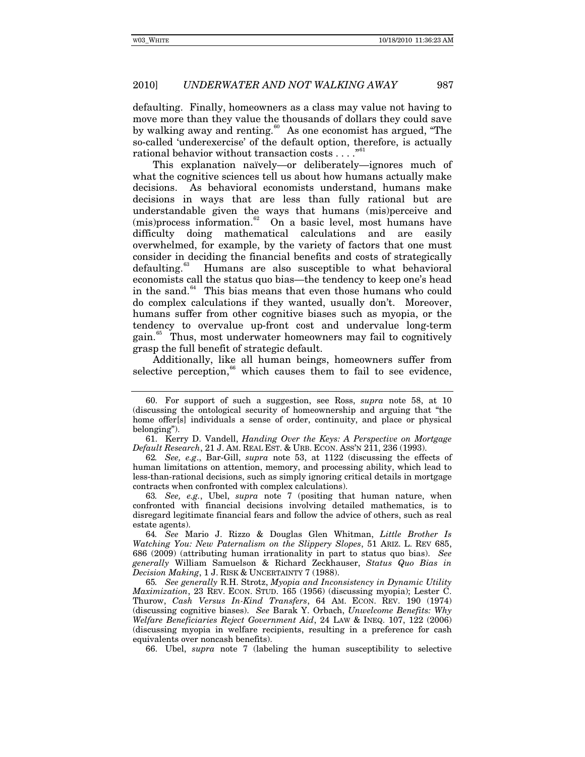defaulting. Finally, homeowners as a class may value not having to move more than they value the thousands of dollars they could save by walking away and renting.<sup>[60](#page-16-0)</sup> As one economist has argued, "The so-called 'underexercise' of the default option, therefore, is actually rational behavior without transaction costs . . . . "<sup>[61](#page-16-1)</sup>

This explanation naïvely—or deliberately—ignores much of what the cognitive sciences tell us about how humans actually make decisions. As behavioral economists understand, humans make decisions in ways that are less than fully rational but are understandable given the ways that humans (mis)perceive and  $(mis)$ process information. $62$  On a basic level, most humans have difficulty doing mathematical calculations and are easily overwhelmed, for example, by the variety of factors that one must consider in deciding the financial benefits and costs of strategically defaulting.<sup>[63](#page-16-3)</sup> Humans are also susceptible to what behavioral economists call the status quo bias—the tendency to keep one's head in the sand. $64$  This bias means that even those humans who could do complex calculations if they wanted, usually don't. Moreover, humans suffer from other cognitive biases such as myopia, or the tendency to overvalue up-front cost and undervalue long-term gain.[65](#page-16-5) Thus, most underwater homeowners may fail to cognitively grasp the full benefit of strategic default.

Additionally, like all human beings, homeowners suffer from selective perception, $66$  which causes them to fail to see evidence,

<span id="page-16-0"></span><sup>60.</sup> For support of such a suggestion, see Ross, *supra* note 58, at 10 (discussing the ontological security of homeownership and arguing that "the home offer[s] individuals a sense of order, continuity, and place or physical belonging").

<span id="page-16-1"></span><sup>61.</sup> Kerry D. Vandell, *Handing Over the Keys: A Perspective on Mortgage Default Research*, 21 J. AM. REAL EST. & URB. ECON. ASS'N 211, 236 (1993).

<span id="page-16-2"></span><sup>62</sup>*. See, e.g*., Bar-Gill, *supra* note 53, at 1122 (discussing the effects of human limitations on attention, memory, and processing ability, which lead to less-than-rational decisions, such as simply ignoring critical details in mortgage contracts when confronted with complex calculations).

<span id="page-16-3"></span><sup>63</sup>*. See, e.g.*, Ubel, *supra* note 7 (positing that human nature, when confronted with financial decisions involving detailed mathematics, is to disregard legitimate financial fears and follow the advice of others, such as real estate agents).

<span id="page-16-4"></span><sup>64</sup>*. See* Mario J. Rizzo & Douglas Glen Whitman, *Little Brother Is Watching You: New Paternalism on the Slippery Slopes*, 51 ARIZ. L. REV 685, 686 (2009) (attributing human irrationality in part to status quo bias). *See generally* William Samuelson & Richard Zeckhauser, *Status Quo Bias in Decision Making*, 1 J. RISK & UNCERTAINTY 7 (1988).

<span id="page-16-5"></span><sup>65</sup>*. See generally* R.H. Strotz, *Myopia and Inconsistency in Dynamic Utility Maximization*, 23 REV. ECON. STUD. 165 (1956) (discussing myopia); Lester C. Thurow, *Cash Versus In-Kind Transfers*, 64 AM. ECON. REV. 190 (1974) (discussing cognitive biases). *See* Barak Y. Orbach, *Unwelcome Benefits: Why Welfare Beneficiaries Reject Government Aid*, 24 LAW & INEQ. 107, 122 (2006) (discussing myopia in welfare recipients, resulting in a preference for cash equivalents over noncash benefits).

<span id="page-16-6"></span><sup>66.</sup> Ubel, *supra* note 7 (labeling the human susceptibility to selective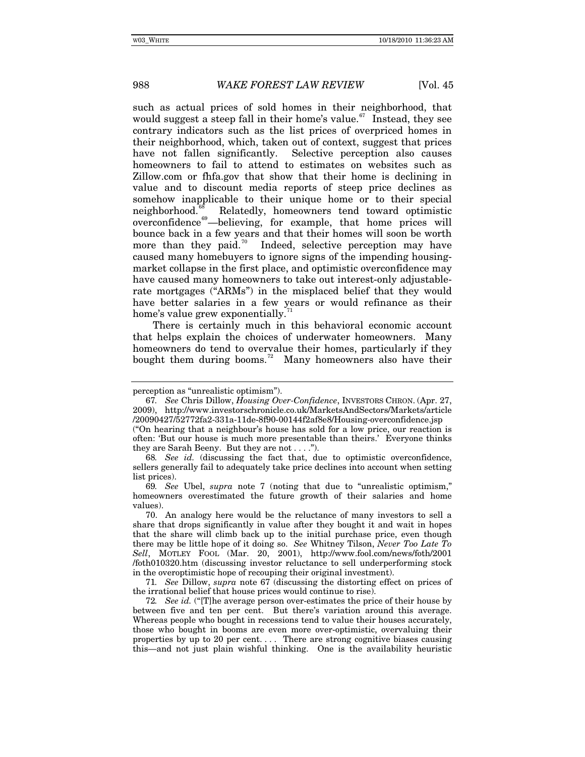such as actual prices of sold homes in their neighborhood, that would suggest a steep fall in their home's value.<sup>[67](#page-17-0)</sup> Instead, they see contrary indicators such as the list prices of overpriced homes in their neighborhood, which, taken out of context, suggest that prices have not fallen significantly. Selective perception also causes homeowners to fail to attend to estimates on websites such as Zillow.com or fhfa.gov that show that their home is declining in value and to discount media reports of steep price declines as somehow inapplicable to their unique home or to their special neighborhood.<sup>[68](#page-17-1)</sup> Relatedly, homeowners tend toward optimistic overconfidence<sup>[69](#page-17-2)</sup>—believing, for example, that home prices will bounce back in a few years and that their homes will soon be worth more than they paid.<sup>[70](#page-17-3)</sup> Indeed, selective perception may have caused many homebuyers to ignore signs of the impending housingmarket collapse in the first place, and optimistic overconfidence may have caused many homeowners to take out interest-only adjustablerate mortgages ("ARMs") in the misplaced belief that they would have better salaries in a few years or would refinance as their home's value grew exponentially.

There is certainly much in this behavioral economic account that helps explain the choices of underwater homeowners. Many homeowners do tend to overvalue their homes, particularly if they bought them during booms.<sup>[72](#page-17-5)</sup> Many homeowners also have their

perception as "unrealistic optimism").

<span id="page-17-0"></span><sup>67</sup>*. See* Chris Dillow, *Housing Over-Confidence*, INVESTORS CHRON. (Apr. 27, 2009), http://www.investorschronicle.co.uk/MarketsAndSectors/Markets/article /20090427/52772fa2-331a-11de-8f90-00144f2af8e8/Housing-overconfidence.jsp ("On hearing that a neighbour's house has sold for a low price, our reaction is often: 'But our house is much more presentable than theirs.' Everyone thinks they are Sarah Beeny. But they are not  $\dots$ .").

<span id="page-17-1"></span><sup>68</sup>*. See id.* (discussing the fact that, due to optimistic overconfidence, sellers generally fail to adequately take price declines into account when setting list prices).

<span id="page-17-2"></span><sup>69</sup>*. See* Ubel, *supra* note 7 (noting that due to "unrealistic optimism," homeowners overestimated the future growth of their salaries and home values).

<span id="page-17-3"></span><sup>70.</sup> An analogy here would be the reluctance of many investors to sell a share that drops significantly in value after they bought it and wait in hopes that the share will climb back up to the initial purchase price, even though there may be little hope of it doing so. *See* Whitney Tilson, *Never Too Late To Sell*, MOTLEY FOOL (Mar. 20, 2001), http://www.fool.com/news/foth/2001 /foth010320.htm (discussing investor reluctance to sell underperforming stock in the overoptimistic hope of recouping their original investment).

<span id="page-17-4"></span><sup>71</sup>*. See* Dillow, *supra* note 67 (discussing the distorting effect on prices of the irrational belief that house prices would continue to rise).

<span id="page-17-5"></span><sup>72</sup>*. See id.* ("[T]he average person over-estimates the price of their house by between five and ten per cent. But there's variation around this average. Whereas people who bought in recessions tend to value their houses accurately, those who bought in booms are even more over-optimistic, overvaluing their properties by up to 20 per cent. . . . There are strong cognitive biases causing this—and not just plain wishful thinking. One is the availability heuristic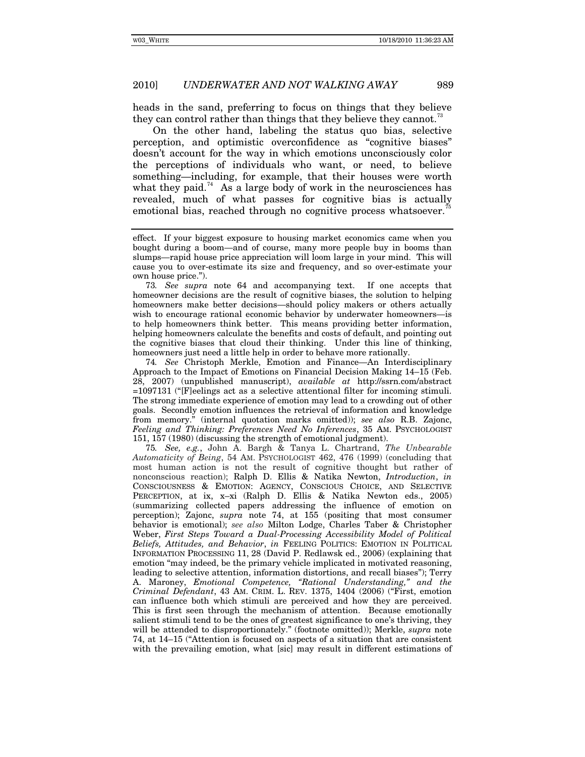heads in the sand, preferring to focus on things that they believe they can control rather than things that they believe they cannot.<sup>13</sup>

On the other hand, labeling the status quo bias, selective perception, and optimistic overconfidence as "cognitive biases" doesn't account for the way in which emotions unconsciously color the perceptions of individuals who want, or need, to believe something—including, for example, that their houses were worth what they paid.<sup>[74](#page-18-1)</sup> As a large body of work in the neurosciences has revealed, much of what passes for cognitive bias is actually emotional bias, reached through no cognitive process whatsoever.

<span id="page-18-0"></span>73*. See supra* note 64 and accompanying text. If one accepts that homeowner decisions are the result of cognitive biases, the solution to helping homeowners make better decisions—should policy makers or others actually wish to encourage rational economic behavior by underwater homeowners—is to help homeowners think better. This means providing better information, helping homeowners calculate the benefits and costs of default, and pointing out the cognitive biases that cloud their thinking. Under this line of thinking, homeowners just need a little help in order to behave more rationally.

<span id="page-18-1"></span>74*. See* Christoph Merkle, Emotion and Finance—An Interdisciplinary Approach to the Impact of Emotions on Financial Decision Making 14–15 (Feb. 28, 2007) (unpublished manuscript), *available at* http://ssrn.com/abstract =1097131 ("[F]eelings act as a selective attentional filter for incoming stimuli. The strong immediate experience of emotion may lead to a crowding out of other goals. Secondly emotion influences the retrieval of information and knowledge from memory." (internal quotation marks omitted)); *see also* R.B. Zajonc, *Feeling and Thinking: Preferences Need No Inferences*, 35 AM. PSYCHOLOGIST 151, 157 (1980) (discussing the strength of emotional judgment).

<span id="page-18-2"></span>75*. See, e.g.*, John A. Bargh & Tanya L. Chartrand, *The Unbearable Automaticity of Being*, 54 AM. PSYCHOLOGIST 462, 476 (1999) (concluding that most human action is not the result of cognitive thought but rather of nonconscious reaction); Ralph D. Ellis & Natika Newton, *Introduction*, *in*  CONSCIOUSNESS & EMOTION: AGENCY, CONSCIOUS CHOICE, AND SELECTIVE PERCEPTION, at ix, x–xi (Ralph D. Ellis & Natika Newton eds., 2005) (summarizing collected papers addressing the influence of emotion on perception); Zajonc, *supra* note 74, at 155 (positing that most consumer behavior is emotional); *see also* Milton Lodge, Charles Taber & Christopher Weber, *First Steps Toward a Dual-Processing Accessibility Model of Political Beliefs, Attitudes, and Behavior*, *in* FEELING POLITICS: EMOTION IN POLITICAL INFORMATION PROCESSING 11, 28 (David P. Redlawsk ed., 2006) (explaining that emotion "may indeed, be the primary vehicle implicated in motivated reasoning, leading to selective attention, information distortions, and recall biases"); Terry A. Maroney, *Emotional Competence, "Rational Understanding," and the Criminal Defendant*, 43 AM. CRIM. L. REV. 1375, 1404 (2006) ("First, emotion can influence both which stimuli are perceived and how they are perceived. This is first seen through the mechanism of attention. Because emotionally salient stimuli tend to be the ones of greatest significance to one's thriving, they will be attended to disproportionately." (footnote omitted)); Merkle, *supra* note 74, at 14–15 ("Attention is focused on aspects of a situation that are consistent with the prevailing emotion, what [sic] may result in different estimations of

effect. If your biggest exposure to housing market economics came when you bought during a boom—and of course, many more people buy in booms than slumps—rapid house price appreciation will loom large in your mind. This will cause you to over-estimate its size and frequency, and so over-estimate your own house price.").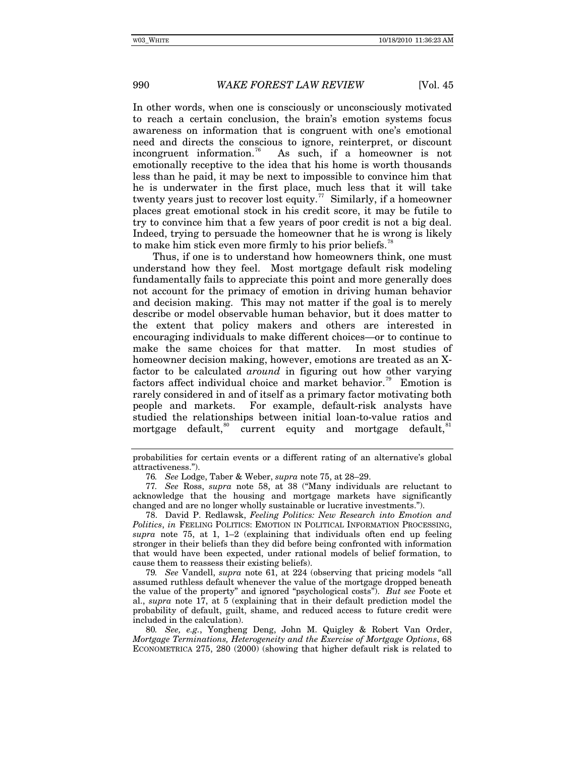In other words, when one is consciously or unconsciously motivated to reach a certain conclusion, the brain's emotion systems focus awareness on information that is congruent with one's emotional need and directs the conscious to ignore, reinterpret, or discount incongruent information.<sup>[76](#page-19-0)</sup> As such, if a homeowner is not emotionally receptive to the idea that his home is worth thousands less than he paid, it may be next to impossible to convince him that he is underwater in the first place, much less that it will take twenty years just to recover lost equity.<sup>[77](#page-19-1)</sup> Similarly, if a homeowner places great emotional stock in his credit score, it may be futile to try to convince him that a few years of poor credit is not a big deal. Indeed, trying to persuade the homeowner that he is wrong is likely to make him stick even more firmly to his prior beliefs.<sup>18</sup>

Thus, if one is to understand how homeowners think, one must understand how they feel. Most mortgage default risk modeling fundamentally fails to appreciate this point and more generally does not account for the primacy of emotion in driving human behavior and decision making. This may not matter if the goal is to merely describe or model observable human behavior, but it does matter to the extent that policy makers and others are interested in encouraging individuals to make different choices—or to continue to make the same choices for that matter. In most studies of homeowner decision making, however, emotions are treated as an Xfactor to be calculated *around* in figuring out how other varying factors affect individual choice and market behavior.<sup>[79](#page-19-3)</sup> Emotion is rarely considered in and of itself as a primary factor motivating both people and markets. For example, default-risk analysts have studied the relationships between initial loan-to-value ratios and mortgage default,<sup>[80](#page-19-4)</sup> current equity and mortgage default,<sup>8</sup>

<span id="page-19-2"></span>78. David P. Redlawsk, *Feeling Politics: New Research into Emotion and Politics*, *in* FEELING POLITICS: EMOTION IN POLITICAL INFORMATION PROCESSING, *supra* note 75, at 1, 1–2 (explaining that individuals often end up feeling stronger in their beliefs than they did before being confronted with information that would have been expected, under rational models of belief formation, to cause them to reassess their existing beliefs).

<span id="page-19-3"></span>79*. See* Vandell, *supra* note 61, at 224 (observing that pricing models "all assumed ruthless default whenever the value of the mortgage dropped beneath the value of the property" and ignored "psychological costs"). *But see* Foote et al., *supra* note 17, at 5 (explaining that in their default prediction model the probability of default, guilt, shame, and reduced access to future credit were included in the calculation).

<span id="page-19-4"></span>80*. See, e.g.*, Yongheng Deng, John M. Quigley & Robert Van Order, *Mortgage Terminations, Heterogeneity and the Exercise of Mortgage Options*, 68 ECONOMETRICA 275, 280 (2000) (showing that higher default risk is related to

<span id="page-19-5"></span>probabilities for certain events or a different rating of an alternative's global attractiveness.").

<sup>76</sup>*. See* Lodge, Taber & Weber, *supra* note 75, at 28–29.

<span id="page-19-1"></span><span id="page-19-0"></span><sup>77</sup>*. See* Ross, *supra* note 58, at 38 ("Many individuals are reluctant to acknowledge that the housing and mortgage markets have significantly changed and are no longer wholly sustainable or lucrative investments.").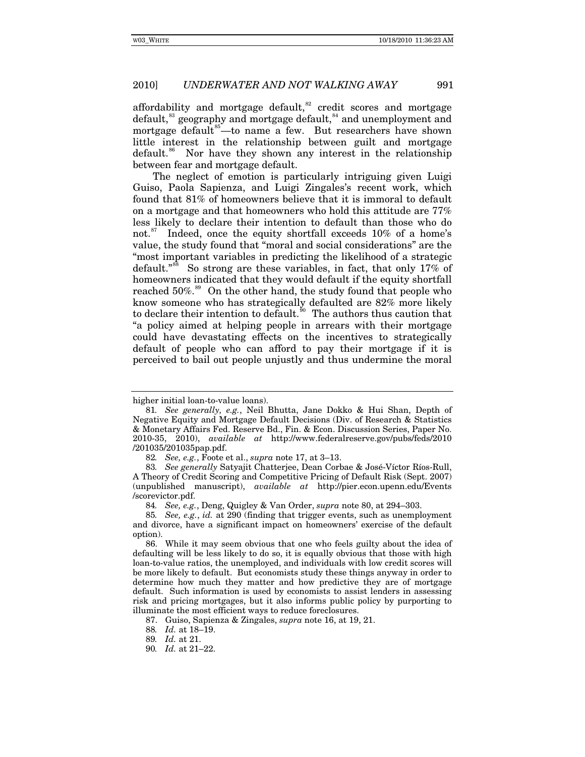affordability and mortgage default, $s<sup>2</sup>$  credit scores and mortgage default,<sup>[83](#page-20-1)</sup> geography and mortgage default,<sup>[84](#page-20-2)</sup> and unemployment and mortgage default<sup>[85](#page-20-3)</sup>—to name a few. But researchers have shown little interest in the relationship between guilt and mortgage default.<sup>[86](#page-20-4)</sup> Nor have they shown any interest in the relationship between fear and mortgage default.

The neglect of emotion is particularly intriguing given Luigi Guiso, Paola Sapienza, and Luigi Zingales's recent work, which found that 81% of homeowners believe that it is immoral to default on a mortgage and that homeowners who hold this attitude are 77% less likely to declare their intention to default than those who do not.<sup>[87](#page-20-5)</sup> Indeed, once the equity shortfall exceeds  $10\%$  of a home's value, the study found that "moral and social considerations" are the "most important variables in predicting the likelihood of a strategic default."<sup>[88](#page-20-6)</sup> So strong are these variables, in fact, that only 17% of homeowners indicated that they would default if the equity shortfall reached  $50\%$ .<sup>[89](#page-20-7)</sup> On the other hand, the study found that people who know someone who has strategically defaulted are 82% more likely to declare their intention to default.<sup>[90](#page-20-8)</sup> The authors thus caution that "a policy aimed at helping people in arrears with their mortgage could have devastating effects on the incentives to strategically default of people who can afford to pay their mortgage if it is perceived to bail out people unjustly and thus undermine the moral

higher initial loan-to-value loans).

<sup>81</sup>*. See generally, e.g.*, Neil Bhutta, Jane Dokko & Hui Shan, Depth of Negative Equity and Mortgage Default Decisions (Div. of Research & Statistics & Monetary Affairs Fed. Reserve Bd., Fin. & Econ. Discussion Series, Paper No. 2010-35, 2010), *available at* http://www.federalreserve.gov/pubs/feds/2010 /201035/201035pap.pdf.

<sup>82</sup>*. See, e.g.*, Foote et al., *supra* note 17, at 3–13.

<span id="page-20-1"></span><span id="page-20-0"></span><sup>83</sup>*. See generally* Satyajit Chatterjee, Dean Corbae & José-Víctor Ríos-Rull, A Theory of Credit Scoring and Competitive Pricing of Default Risk (Sept. 2007) (unpublished manuscript), *available at* http://pier.econ.upenn.edu/Events /scorevictor.pdf.

<sup>84</sup>*. See, e.g.*, Deng, Quigley & Van Order, *supra* note 80, at 294–303.

<span id="page-20-3"></span><span id="page-20-2"></span><sup>85</sup>*. See, e.g.*, *id.* at 290 (finding that trigger events, such as unemployment and divorce, have a significant impact on homeowners' exercise of the default option).

<span id="page-20-4"></span><sup>86.</sup> While it may seem obvious that one who feels guilty about the idea of defaulting will be less likely to do so, it is equally obvious that those with high loan-to-value ratios, the unemployed, and individuals with low credit scores will be more likely to default. But economists study these things anyway in order to determine how much they matter and how predictive they are of mortgage default. Such information is used by economists to assist lenders in assessing risk and pricing mortgages, but it also informs public policy by purporting to illuminate the most efficient ways to reduce foreclosures.

<span id="page-20-5"></span><sup>87.</sup> Guiso, Sapienza & Zingales, *supra* note 16, at 19, 21.

<sup>88</sup>*. Id.* at 18–19.

<span id="page-20-7"></span><span id="page-20-6"></span><sup>89</sup>*. Id.* at 21.

<span id="page-20-8"></span><sup>90</sup>*. Id.* at 21–22.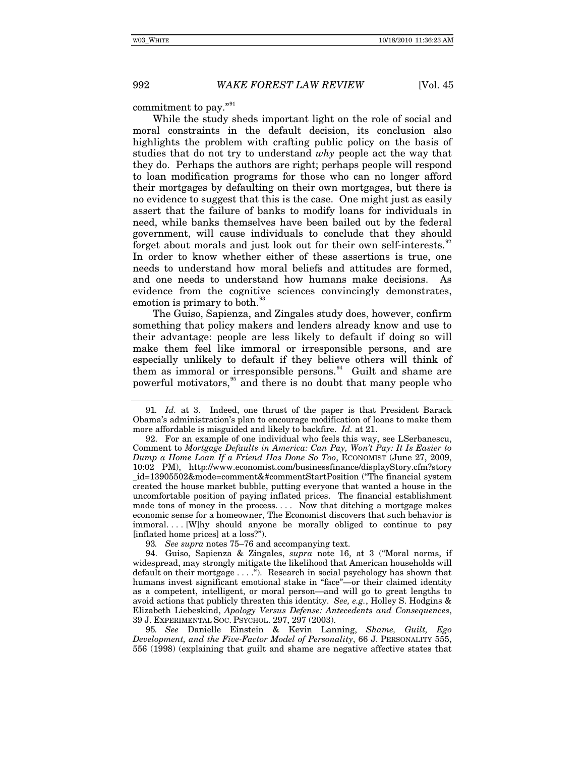commitment to pay."<sup>[91](#page-21-0)</sup>

While the study sheds important light on the role of social and moral constraints in the default decision, its conclusion also highlights the problem with crafting public policy on the basis of studies that do not try to understand *why* people act the way that they do. Perhaps the authors are right; perhaps people will respond to loan modification programs for those who can no longer afford their mortgages by defaulting on their own mortgages, but there is no evidence to suggest that this is the case. One might just as easily assert that the failure of banks to modify loans for individuals in need, while banks themselves have been bailed out by the federal government, will cause individuals to conclude that they should forget about morals and just look out for their own self-interests.<sup>32</sup> In order to know whether either of these assertions is true, one needs to understand how moral beliefs and attitudes are formed, and one needs to understand how humans make decisions. As evidence from the cognitive sciences convincingly demonstrates, emotion is primary to both.<sup>9</sup>

The Guiso, Sapienza, and Zingales study does, however, confirm something that policy makers and lenders already know and use to their advantage: people are less likely to default if doing so will make them feel like immoral or irresponsible persons, and are especially unlikely to default if they believe others will think of them as immoral or irresponsible persons. $94$  Guilt and shame are powerful motivators,<sup>[95](#page-21-4)</sup> and there is no doubt that many people who

93*. See supra* notes 75–76 and accompanying text.

<span id="page-21-4"></span>95*. See* Danielle Einstein & Kevin Lanning, *Shame, Guilt, Ego Development, and the Five-Factor Model of Personality*, 66 J. PERSONALITY 555, 556 (1998) (explaining that guilt and shame are negative affective states that

<span id="page-21-0"></span><sup>91</sup>*. Id.* at 3. Indeed, one thrust of the paper is that President Barack Obama's administration's plan to encourage modification of loans to make them more affordable is misguided and likely to backfire. *Id.* at 21.

<span id="page-21-1"></span><sup>92.</sup> For an example of one individual who feels this way, see LSerbanescu, Comment to *Mortgage Defaults in America: Can Pay, Won't Pay: It Is Easier to Dump a Home Loan If a Friend Has Done So Too*, ECONOMIST (June 27, 2009, 10:02 PM), http://www.economist.com/businessfinance/displayStory.cfm?story \_id=13905502&mode=comment&#commentStartPosition ("The financial system created the house market bubble, putting everyone that wanted a house in the uncomfortable position of paying inflated prices. The financial establishment made tons of money in the process. . . . Now that ditching a mortgage makes economic sense for a homeowner, The Economist discovers that such behavior is immoral. . . . [W]hy should anyone be morally obliged to continue to pay [inflated home prices] at a loss?").

<span id="page-21-3"></span><span id="page-21-2"></span><sup>94.</sup> Guiso, Sapienza & Zingales, *supra* note 16, at 3 ("Moral norms, if widespread, may strongly mitigate the likelihood that American households will default on their mortgage . . . ."). Research in social psychology has shown that humans invest significant emotional stake in "face"—or their claimed identity as a competent, intelligent, or moral person—and will go to great lengths to avoid actions that publicly threaten this identity. *See, e.g.*, Holley S. Hodgins & Elizabeth Liebeskind, *Apology Versus Defense: Antecedents and Consequences*, 39 J. EXPERIMENTAL SOC. PSYCHOL. 297, 297 (2003).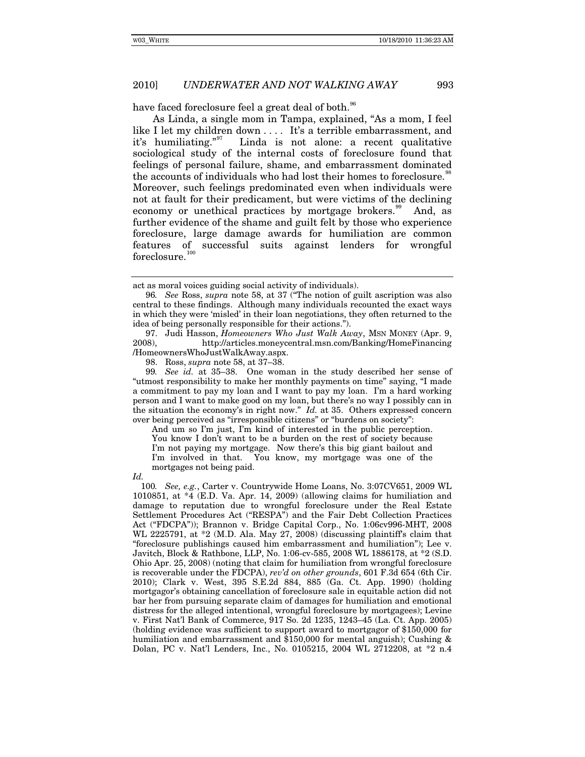have faced foreclosure feel a great deal of both.<sup>[96](#page-22-0)</sup>

As Linda, a single mom in Tampa, explained, "As a mom, I feel like I let my children down .... It's a terrible embarrassment, and it's humiliating."<sup>97</sup> Linda is not alone: a recent qualitative Linda is not alone: a recent qualitative sociological study of the internal costs of foreclosure found that feelings of personal failure, shame, and embarrassment dominated the accounts of individuals who had lost their homes to foreclosure.<sup>88</sup> Moreover, such feelings predominated even when individuals were not at fault for their predicament, but were victims of the declining economy or unethical practices by mortgage brokers.<sup>[99](#page-22-3)</sup> And, as further evidence of the shame and guilt felt by those who experience foreclosure, large damage awards for humiliation are common features of successful suits against lenders for wrongful  $forcelosure.<sup>100</sup>$  $forcelosure.<sup>100</sup>$  $forcelosure.<sup>100</sup>$ 

<span id="page-22-1"></span>97. Judi Hasson, *Homeowners Who Just Walk Away*, MSN MONEY (Apr. 9, 2008), http://articles.moneycentral.msn.com/Banking/HomeFinancing /HomeownersWhoJustWalkAway.aspx.

98. Ross, *supra* note 58, at 37–38.

<span id="page-22-3"></span><span id="page-22-2"></span>99*. See id.* at 35–38. One woman in the study described her sense of "utmost responsibility to make her monthly payments on time" saying, "I made a commitment to pay my loan and I want to pay my loan. I'm a hard working person and I want to make good on my loan, but there's no way I possibly can in the situation the economy's in right now." *Id.* at 35. Others expressed concern over being perceived as "irresponsible citizens" or "burdens on society":

And um so I'm just, I'm kind of interested in the public perception. You know I don't want to be a burden on the rest of society because I'm not paying my mortgage. Now there's this big giant bailout and I'm involved in that. You know, my mortgage was one of the mortgages not being paid.

*Id.*

act as moral voices guiding social activity of individuals).

<span id="page-22-0"></span><sup>96</sup>*. See* Ross, *supra* note 58, at 37 ("The notion of guilt ascription was also central to these findings. Although many individuals recounted the exact ways in which they were 'misled' in their loan negotiations, they often returned to the idea of being personally responsible for their actions.").

<span id="page-22-4"></span><sup>100</sup>*. See, e.g.*, Carter v. Countrywide Home Loans, No. 3:07CV651, 2009 WL 1010851, at \*4 (E.D. Va. Apr. 14, 2009) (allowing claims for humiliation and damage to reputation due to wrongful foreclosure under the Real Estate Settlement Procedures Act ("RESPA") and the Fair Debt Collection Practices Act ("FDCPA")); Brannon v. Bridge Capital Corp., No. 1:06cv996-MHT, 2008 WL 2225791, at  $*2$  (M.D. Ala. May 27, 2008) (discussing plaintiff's claim that "foreclosure publishings caused him embarrassment and humiliation"); Lee v. Javitch, Block & Rathbone, LLP, No. 1:06-cv-585, 2008 WL 1886178, at \*2 (S.D. Ohio Apr. 25, 2008) (noting that claim for humiliation from wrongful foreclosure is recoverable under the FDCPA), *rev'd on other grounds*, 601 F.3d 654 (6th Cir. 2010); Clark v. West, 395 S.E.2d 884, 885 (Ga. Ct. App. 1990) (holding mortgagor's obtaining cancellation of foreclosure sale in equitable action did not bar her from pursuing separate claim of damages for humiliation and emotional distress for the alleged intentional, wrongful foreclosure by mortgagees); Levine v. First Nat'l Bank of Commerce, 917 So. 2d 1235, 1243–45 (La. Ct. App. 2005) (holding evidence was sufficient to support award to mortgagor of \$150,000 for humiliation and embarrassment and \$150,000 for mental anguish); Cushing & Dolan, PC v. Nat'l Lenders, Inc., No. 0105215, 2004 WL 2712208, at \*2 n.4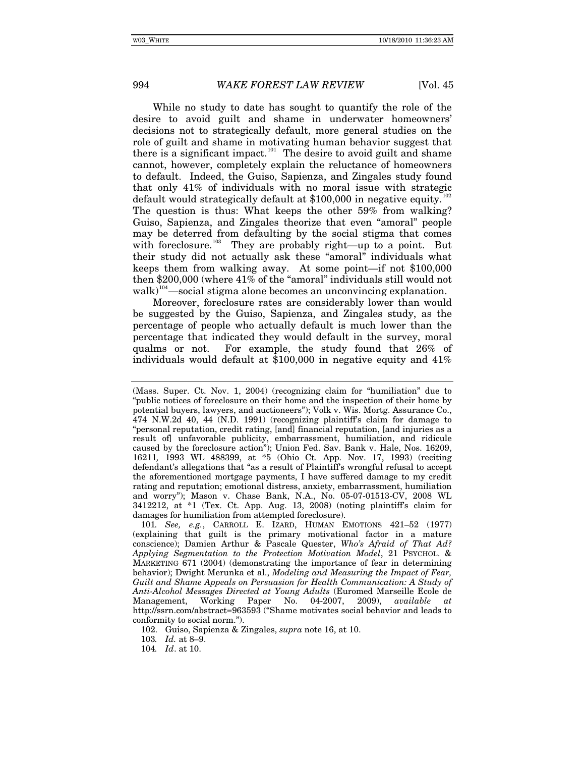While no study to date has sought to quantify the role of the desire to avoid guilt and shame in underwater homeowners' decisions not to strategically default, more general studies on the role of guilt and shame in motivating human behavior suggest that there is a significant impact.<sup>[101](#page-23-0)</sup> The desire to avoid guilt and shame cannot, however, completely explain the reluctance of homeowners to default. Indeed, the Guiso, Sapienza, and Zingales study found that only 41% of individuals with no moral issue with strategic default would strategically default at  $$100,000$  in negative equity.<sup>1</sup> The question is thus: What keeps the other 59% from walking? Guiso, Sapienza, and Zingales theorize that even "amoral" people may be deterred from defaulting by the social stigma that comes with foreclosure.<sup>[103](#page-23-2)</sup> They are probably right—up to a point. But their study did not actually ask these "amoral" individuals what keeps them from walking away. At some point—if not \$100,000 then \$200,000 (where 41% of the "amoral" individuals still would not walk)<sup>[104](#page-23-3)</sup>—social stigma alone becomes an unconvincing explanation.

Moreover, foreclosure rates are considerably lower than would be suggested by the Guiso, Sapienza, and Zingales study, as the percentage of people who actually default is much lower than the percentage that indicated they would default in the survey, moral qualms or not. For example, the study found that 26% of individuals would default at \$100,000 in negative equity and 41%

<sup>(</sup>Mass. Super. Ct. Nov. 1, 2004) (recognizing claim for "humiliation" due to "public notices of foreclosure on their home and the inspection of their home by potential buyers, lawyers, and auctioneers"); Volk v. Wis. Mortg. Assurance Co., 474 N.W.2d 40, 44 (N.D. 1991) (recognizing plaintiff's claim for damage to "personal reputation, credit rating, [and] financial reputation, [and injuries as a result of] unfavorable publicity, embarrassment, humiliation, and ridicule caused by the foreclosure action"); Union Fed. Sav. Bank v. Hale, Nos. 16209, 16211*,* 1993 WL 488399, at \*5 (Ohio Ct. App. Nov. 17, 1993) (reciting defendant's allegations that "as a result of Plaintiff's wrongful refusal to accept the aforementioned mortgage payments, I have suffered damage to my credit rating and reputation; emotional distress, anxiety, embarrassment, humiliation and worry"); Mason v. Chase Bank, N.A., No. 05-07-01513-CV, 2008 WL 3412212, at \*1 (Tex. Ct. App. Aug. 13, 2008) (noting plaintiff's claim for damages for humiliation from attempted foreclosure).

<span id="page-23-0"></span><sup>101</sup>*. See, e.g.*, CARROLL E. IZARD, HUMAN EMOTIONS 421–52 (1977) (explaining that guilt is the primary motivational factor in a mature conscience); Damien Arthur & Pascale Quester, *Who's Afraid of That Ad? Applying Segmentation to the Protection Motivation Model*, 21 PSYCHOL. & MARKETING 671 (2004) (demonstrating the importance of fear in determining behavior); Dwight Merunka et al., *Modeling and Measuring the Impact of Fear, Guilt and Shame Appeals on Persuasion for Health Communication: A Study of Anti-Alcohol Messages Directed at Young Adults* (Euromed Marseille Ecole de Management, Working Paper No. 04-2007, 2009), *available at* http://ssrn.com/abstract=963593 ("Shame motivates social behavior and leads to conformity to social norm.").

<span id="page-23-1"></span><sup>102.</sup> Guiso, Sapienza & Zingales, *supra* note 16, at 10.

<span id="page-23-2"></span><sup>103</sup>*. Id.* at 8–9.

<span id="page-23-3"></span><sup>104</sup>*. Id*. at 10.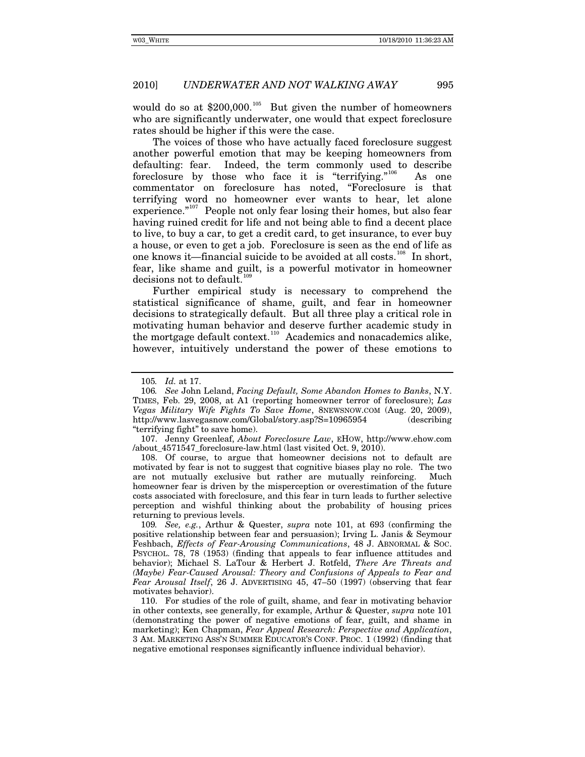would do so at  $$200,000$ .<sup>[105](#page-24-0)</sup> But given the number of homeowners who are significantly underwater, one would that expect foreclosure rates should be higher if this were the case.

The voices of those who have actually faced foreclosure suggest another powerful emotion that may be keeping homeowners from defaulting: fear. Indeed, the term commonly used to describe foreclosure by those who face it is "terrifying."<sup>[106](#page-24-1)</sup> As one commentator on foreclosure has noted, "Foreclosure is that terrifying word no homeowner ever wants to hear, let alone experience." $107$  People not only fear losing their homes, but also fear having ruined credit for life and not being able to find a decent place to live, to buy a car, to get a credit card, to get insurance, to ever buy a house, or even to get a job. Foreclosure is seen as the end of life as one knows it—financial suicide to be avoided at all costs.<sup>[108](#page-24-3)</sup> In short, fear, like shame and guilt, is a powerful motivator in homeowner decisions not to default.<sup>[109](#page-24-4)</sup>

Further empirical study is necessary to comprehend the statistical significance of shame, guilt, and fear in homeowner decisions to strategically default. But all three play a critical role in motivating human behavior and deserve further academic study in the mortgage default context.<sup>[110](#page-24-5)</sup> Academics and nonacademics alike, however, intuitively understand the power of these emotions to

<span id="page-24-3"></span>108. Of course, to argue that homeowner decisions not to default are motivated by fear is not to suggest that cognitive biases play no role. The two are not mutually exclusive but rather are mutually reinforcing. Much homeowner fear is driven by the misperception or overestimation of the future costs associated with foreclosure, and this fear in turn leads to further selective perception and wishful thinking about the probability of housing prices returning to previous levels.

<span id="page-24-4"></span>109*. See, e.g.*, Arthur & Quester, *supra* note 101, at 693 (confirming the positive relationship between fear and persuasion); Irving L. Janis & Seymour Feshbach, *Effects of Fear-Arousing Communications*, 48 J. ABNORMAL & SOC. PSYCHOL. 78, 78 (1953) (finding that appeals to fear influence attitudes and behavior); Michael S. LaTour & Herbert J. Rotfeld, *There Are Threats and (Maybe) Fear-Caused Arousal: Theory and Confusions of Appeals to Fear and Fear Arousal Itself*, 26 J. ADVERTISING 45, 47–50 (1997) (observing that fear motivates behavior).

<span id="page-24-5"></span>110. For studies of the role of guilt, shame, and fear in motivating behavior in other contexts, see generally, for example, Arthur & Quester, *supra* note 101 (demonstrating the power of negative emotions of fear, guilt, and shame in marketing); Ken Chapman, *Fear Appeal Research: Perspective and Application*, 3 AM. MARKETING ASS'N SUMMER EDUCATOR'S CONF. PROC. 1 (1992) (finding that negative emotional responses significantly influence individual behavior).

<sup>105</sup>*. Id.* at 17.

<span id="page-24-1"></span><span id="page-24-0"></span><sup>106</sup>*. See* John Leland, *Facing Default, Some Abandon Homes to Banks*, N.Y. TIMES, Feb. 29, 2008, at A1 (reporting homeowner terror of foreclosure); *Las Vegas Military Wife Fights To Save Home*, 8NEWSNOW.COM (Aug. 20, 2009), http://www.lasvegasnow.com/Global/story.asp?S=10965954 (describing "terrifying fight" to save home).

<span id="page-24-2"></span><sup>107.</sup> Jenny Greenleaf, *About Foreclosure Law*, EHOW, http://www.ehow.com /about\_4571547\_foreclosure-law.html (last visited Oct. 9, 2010).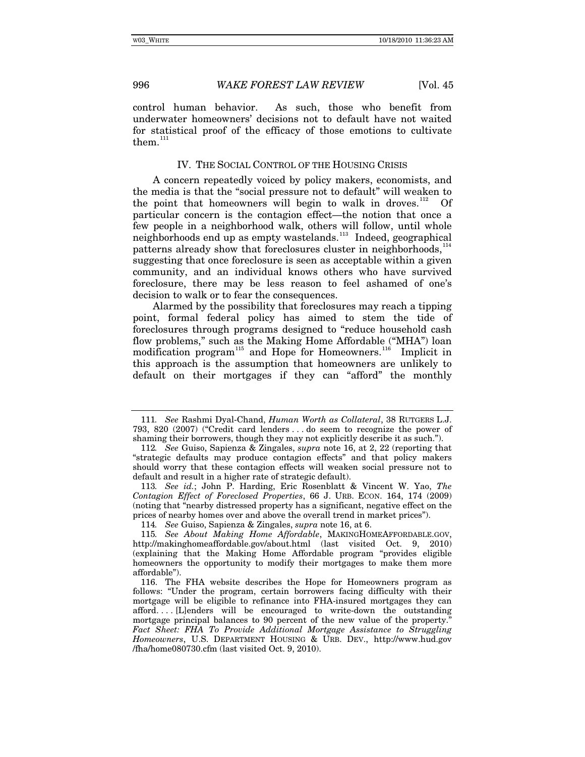control human behavior. As such, those who benefit from underwater homeowners' decisions not to default have not waited for statistical proof of the efficacy of those emotions to cultivate them.<sup>[111](#page-25-0)</sup>

## IV. THE SOCIAL CONTROL OF THE HOUSING CRISIS

A concern repeatedly voiced by policy makers, economists, and the media is that the "social pressure not to default" will weaken to the point that homeowners will begin to walk in droves.<sup>[112](#page-25-1)</sup> Of particular concern is the contagion effect—the notion that once a few people in a neighborhood walk, others will follow, until whole neighborhoods end up as empty wastelands.<sup>[113](#page-25-2)</sup> Indeed, geographical patterns already show that foreclosures cluster in neighborhoods,<sup>[114](#page-25-3)</sup> suggesting that once foreclosure is seen as acceptable within a given community, and an individual knows others who have survived foreclosure, there may be less reason to feel ashamed of one's decision to walk or to fear the consequences.

Alarmed by the possibility that foreclosures may reach a tipping point, formal federal policy has aimed to stem the tide of foreclosures through programs designed to "reduce household cash flow problems," such as the Making Home Affordable ("MHA") loan modification program<sup>[115](#page-25-4)</sup> and Hope for Homeowners.<sup>[116](#page-25-5)</sup> Implicit in this approach is the assumption that homeowners are unlikely to default on their mortgages if they can "afford" the monthly

<span id="page-25-0"></span><sup>111</sup>*. See* Rashmi Dyal-Chand, *Human Worth as Collateral*, 38 RUTGERS L.J. 793, 820 (2007) ("Credit card lenders . . . do seem to recognize the power of shaming their borrowers, though they may not explicitly describe it as such.").

<span id="page-25-1"></span><sup>112</sup>*. See* Guiso, Sapienza & Zingales, *supra* note 16, at 2, 22 (reporting that "strategic defaults may produce contagion effects" and that policy makers should worry that these contagion effects will weaken social pressure not to default and result in a higher rate of strategic default).

<span id="page-25-2"></span><sup>113</sup>*. See id.*; John P. Harding, Eric Rosenblatt & Vincent W. Yao, *The Contagion Effect of Foreclosed Properties*, 66 J. URB. ECON. 164, 174 (2009) (noting that "nearby distressed property has a significant, negative effect on the prices of nearby homes over and above the overall trend in market prices").

<sup>114</sup>*. See* Guiso, Sapienza & Zingales, *supra* note 16, at 6.

<span id="page-25-4"></span><span id="page-25-3"></span><sup>115</sup>*. See About Making Home Affordable*, MAKINGHOMEAFFORDABLE.GOV, http://makinghomeaffordable.gov/about.html (last visited Oct. 9, 2010) (explaining that the Making Home Affordable program "provides eligible homeowners the opportunity to modify their mortgages to make them more affordable").

<span id="page-25-5"></span><sup>116.</sup> The FHA website describes the Hope for Homeowners program as follows: "Under the program, certain borrowers facing difficulty with their mortgage will be eligible to refinance into FHA-insured mortgages they can afford. . . . [L]enders will be encouraged to write-down the outstanding mortgage principal balances to 90 percent of the new value of the property." Fact Sheet: FHA To Provide Additional Mortgage Assistance to Struggling *Homeowners*, U.S. DEPARTMENT HOUSING & URB. DEV., http://www.hud.gov /fha/home080730.cfm (last visited Oct. 9, 2010).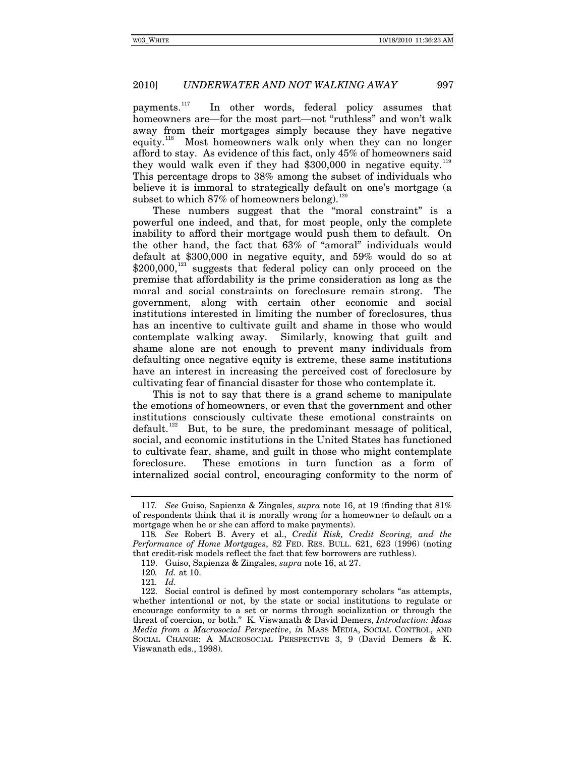payments.<sup>[117](#page-26-0)</sup> In other words, federal policy assumes that homeowners are—for the most part—not "ruthless" and won't walk away from their mortgages simply because they have negative equity.<sup>[118](#page-26-1)</sup> Most homeowners walk only when they can no longer afford to stay. As evidence of this fact, only 45% of homeowners said they would walk even if they had  $$300,000$  in negative equity.<sup>[119](#page-26-2)</sup> This percentage drops to 38% among the subset of individuals who believe it is immoral to strategically default on one's mortgage (a subset to which 87% of homeowners belong).<sup>12</sup>

These numbers suggest that the "moral constraint" is a powerful one indeed, and that, for most people, only the complete inability to afford their mortgage would push them to default. On the other hand, the fact that 63% of "amoral" individuals would default at \$300,000 in negative equity, and 59% would do so at  $$200,000$ ,<sup>[121](#page-26-4)</sup> suggests that federal policy can only proceed on the premise that affordability is the prime consideration as long as the moral and social constraints on foreclosure remain strong. The government, along with certain other economic and social institutions interested in limiting the number of foreclosures, thus has an incentive to cultivate guilt and shame in those who would contemplate walking away. Similarly, knowing that guilt and shame alone are not enough to prevent many individuals from defaulting once negative equity is extreme, these same institutions have an interest in increasing the perceived cost of foreclosure by cultivating fear of financial disaster for those who contemplate it.

This is not to say that there is a grand scheme to manipulate the emotions of homeowners, or even that the government and other institutions consciously cultivate these emotional constraints on default.<sup>[122](#page-26-5)</sup> But, to be sure, the predominant message of political, social, and economic institutions in the United States has functioned to cultivate fear, shame, and guilt in those who might contemplate foreclosure. These emotions in turn function as a form of internalized social control, encouraging conformity to the norm of

<span id="page-26-0"></span><sup>117</sup>*. See* Guiso, Sapienza & Zingales, *supra* note 16, at 19 (finding that 81% of respondents think that it is morally wrong for a homeowner to default on a mortgage when he or she can afford to make payments).

<span id="page-26-2"></span><span id="page-26-1"></span><sup>118</sup>*. See* Robert B. Avery et al., *Credit Risk, Credit Scoring, and the Performance of Home Mortgages*, 82 FED. RES. BULL. 621, 623 (1996) (noting that credit-risk models reflect the fact that few borrowers are ruthless).

<sup>119.</sup> Guiso, Sapienza & Zingales, *supra* note 16, at 27.

<sup>120</sup>*. Id.* at 10.

<sup>121</sup>*. Id.*

<span id="page-26-5"></span><span id="page-26-4"></span><span id="page-26-3"></span><sup>122.</sup> Social control is defined by most contemporary scholars "as attempts, whether intentional or not, by the state or social institutions to regulate or encourage conformity to a set or norms through socialization or through the threat of coercion, or both." K. Viswanath & David Demers, *Introduction: Mass Media from a Macrosocial Perspective*, *in* MASS MEDIA, SOCIAL CONTROL, AND SOCIAL CHANGE: A MACROSOCIAL PERSPECTIVE 3, 9 (David Demers & K. Viswanath eds., 1998).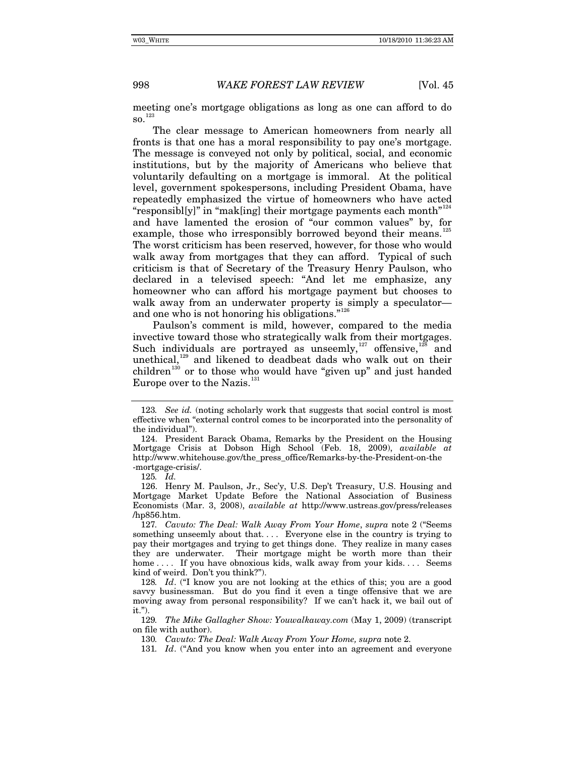meeting one's mortgage obligations as long as one can afford to do  $\text{SO}$ .<sup>[123](#page-27-0)</sup>

The clear message to American homeowners from nearly all fronts is that one has a moral responsibility to pay one's mortgage. The message is conveyed not only by political, social, and economic institutions, but by the majority of Americans who believe that voluntarily defaulting on a mortgage is immoral. At the political level, government spokespersons, including President Obama, have repeatedly emphasized the virtue of homeowners who have acted "responsibl[y]" in "mak[ing] their mortgage payments each month"<sup>[124](#page-27-1)</sup> and have lamented the erosion of "our common values" by, for example, those who irresponsibly borrowed beyond their means.<sup>1</sup> The worst criticism has been reserved, however, for those who would walk away from mortgages that they can afford. Typical of such criticism is that of Secretary of the Treasury Henry Paulson, who declared in a televised speech: "And let me emphasize, any homeowner who can afford his mortgage payment but chooses to walk away from an underwater property is simply a speculator— and one who is not honoring his obligations."<sup>[126](#page-27-3)</sup>

Paulson's comment is mild, however, compared to the media invective toward those who strategically walk from their mortgages. Such individuals are portrayed as unseemly, $127$  offensive,  $128$  and unethical,<sup>[129](#page-27-6)</sup> and likened to deadbeat dads who walk out on their children<sup>[130](#page-27-7)</sup> or to those who would have "given up" and just handed Europe over to the Nazis.<sup>[131](#page-27-8)</sup>

<span id="page-27-0"></span><sup>123</sup>*. See id.* (noting scholarly work that suggests that social control is most effective when "external control comes to be incorporated into the personality of the individual").

<span id="page-27-1"></span><sup>124.</sup> President Barack Obama, Remarks by the President on the Housing Mortgage Crisis at Dobson High School (Feb. 18, 2009), *available at* http://www.whitehouse.gov/the\_press\_office/Remarks-by-the-President-on-the -mortgage-crisis/.

<sup>125</sup>*. Id.*

<span id="page-27-3"></span><span id="page-27-2"></span><sup>126.</sup> Henry M. Paulson, Jr., Sec'y, U.S. Dep't Treasury, U.S. Housing and Mortgage Market Update Before the National Association of Business Economists (Mar. 3, 2008), *available at* http://www.ustreas.gov/press/releases /hp856.htm.

<span id="page-27-4"></span><sup>127</sup>*. Cavuto: The Deal: Walk Away From Your Home*, *supra* note 2 ("Seems something unseemly about that.... Everyone else in the country is trying to pay their mortgages and trying to get things done. They realize in many cases they are underwater. Their mortgage might be worth more than their home .... If you have obnoxious kids, walk away from your kids.... Seems kind of weird. Don't you think?").

<span id="page-27-5"></span><sup>128</sup>*. Id*. ("I know you are not looking at the ethics of this; you are a good savvy businessman. But do you find it even a tinge offensive that we are moving away from personal responsibility? If we can't hack it, we bail out of it.").

<span id="page-27-8"></span><span id="page-27-7"></span><span id="page-27-6"></span><sup>129</sup>*. The Mike Gallagher Show: Youwalkaway.com* (May 1, 2009) (transcript on file with author).

<sup>130</sup>*. Cavuto: The Deal: Walk Away From Your Home, supra* note 2.

<sup>131</sup>*. Id*. ("And you know when you enter into an agreement and everyone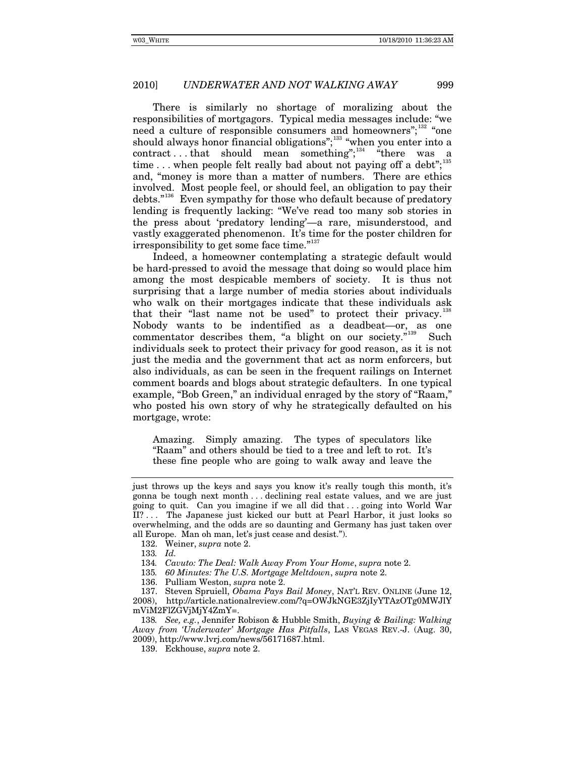There is similarly no shortage of moralizing about the responsibilities of mortgagors. Typical media messages include: "we need a culture of responsible consumers and homeowners"; $132$  "one should always honor financial obligations";<sup>[133](#page-28-1)</sup> "when you enter into a  $contract \dots that \text{ should mean} \text{ something}$ " "there was a time ... when people felt really bad about not paying off a debt";<sup>[135](#page-28-3)</sup> and, "money is more than a matter of numbers. There are ethics involved. Most people feel, or should feel, an obligation to pay their debts."<sup>[136](#page-28-4)</sup> Even sympathy for those who default because of predatory lending is frequently lacking: "We've read too many sob stories in the press about 'predatory lending'—a rare, misunderstood, and vastly exaggerated phenomenon. It's time for the poster children for irresponsibility to get some face time."<sup>[137](#page-28-5)</sup>

Indeed, a homeowner contemplating a strategic default would be hard-pressed to avoid the message that doing so would place him among the most despicable members of society. It is thus not surprising that a large number of media stories about individuals who walk on their mortgages indicate that these individuals ask that their "last name not be used" to protect their privacy.<sup>1</sup> Nobody wants to be indentified as a deadbeat—or, as one commentator describes them, "a blight on our society."<sup>[139](#page-28-7)</sup> Such individuals seek to protect their privacy for good reason, as it is not just the media and the government that act as norm enforcers, but also individuals, as can be seen in the frequent railings on Internet comment boards and blogs about strategic defaulters. In one typical example, "Bob Green," an individual enraged by the story of "Raam," who posted his own story of why he strategically defaulted on his mortgage, wrote:

Amazing. Simply amazing. The types of speculators like "Raam" and others should be tied to a tree and left to rot. It's these fine people who are going to walk away and leave the

136. Pulliam Weston, *supra* note 2.

137. Steven Spruiell, *Obama Pays Bail Money*, NAT'L REV. ONLINE (June 12,

<span id="page-28-5"></span><span id="page-28-4"></span><span id="page-28-3"></span><span id="page-28-2"></span>2008), http://article.nationalreview.com/?q=OWJkNGE3ZjIyYTAzOTg0MWJlY mViM2FlZGVjMjY4ZmY=.

just throws up the keys and says you know it's really tough this month, it's gonna be tough next month . . . declining real estate values, and we are just going to quit. Can you imagine if we all did that . . . going into World War II? . . . The Japanese just kicked our butt at Pearl Harbor, it just looks so overwhelming, and the odds are so daunting and Germany has just taken over all Europe. Man oh man, let's just cease and desist.").

<span id="page-28-1"></span><span id="page-28-0"></span><sup>132.</sup> Weiner, *supra* note 2.

<sup>133</sup>*. Id.*

<sup>134</sup>*. Cavuto: The Deal: Walk Away From Your Home*, *supra* note 2.

<sup>135</sup>*. 60 Minutes: The U.S. Mortgage Meltdown*, *supra* note 2.

<span id="page-28-7"></span><span id="page-28-6"></span><sup>138</sup>*. See, e.g.*, Jennifer Robison & Hubble Smith, *Buying & Bailing: Walking Away from 'Underwater' Mortgage Has Pitfalls*, LAS VEGAS REV.-J. (Aug. 30, 2009), http://www.lvrj.com/news/56171687.html.

<sup>139.</sup> Eckhouse, *supra* note 2.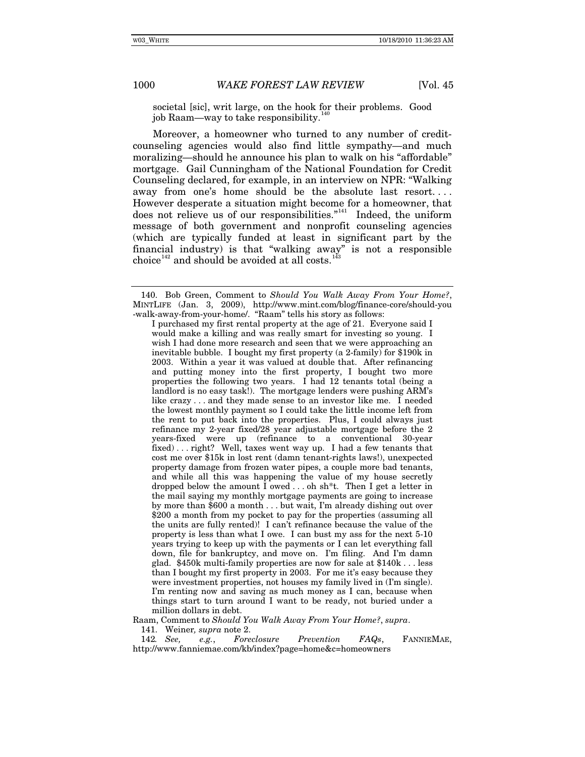societal [sic], writ large, on the hook for their problems. Good job Raam—way to take responsibility.<sup>1</sup>

Moreover, a homeowner who turned to any number of creditcounseling agencies would also find little sympathy—and much moralizing—should he announce his plan to walk on his "affordable" mortgage. Gail Cunningham of the National Foundation for Credit Counseling declared, for example, in an interview on NPR: "Walking away from one's home should be the absolute last resort. . . . However desperate a situation might become for a homeowner, that does not relieve us of our responsibilities."<sup>[141](#page-29-1)</sup> Indeed, the uniform message of both government and nonprofit counseling agencies (which are typically funded at least in significant part by the financial industry) is that "walking away" is not a responsible choice<sup>[142](#page-29-2)</sup> and should be avoided at all costs.<sup>[143](#page-29-3)</sup>

I purchased my first rental property at the age of 21. Everyone said I would make a killing and was really smart for investing so young. I wish I had done more research and seen that we were approaching an inevitable bubble. I bought my first property (a 2-family) for \$190k in 2003. Within a year it was valued at double that. After refinancing and putting money into the first property, I bought two more properties the following two years. I had 12 tenants total (being a landlord is no easy task!). The mortgage lenders were pushing ARM's like crazy . . . and they made sense to an investor like me. I needed the lowest monthly payment so I could take the little income left from the rent to put back into the properties. Plus, I could always just refinance my 2-year fixed/28 year adjustable mortgage before the 2 years-fixed were up (refinance to a conventional 30-year fixed) . . . right? Well, taxes went way up. I had a few tenants that cost me over \$15k in lost rent (damn tenant-rights laws!), unexpected property damage from frozen water pipes, a couple more bad tenants, and while all this was happening the value of my house secretly dropped below the amount I owed . . . oh sh\*t. Then I get a letter in the mail saying my monthly mortgage payments are going to increase by more than \$600 a month . . . but wait, I'm already dishing out over \$200 a month from my pocket to pay for the properties (assuming all the units are fully rented)! I can't refinance because the value of the property is less than what I owe. I can bust my ass for the next 5-10 years trying to keep up with the payments or I can let everything fall down, file for bankruptcy, and move on. I'm filing. And I'm damn glad. \$450k multi-family properties are now for sale at \$140k . . . less than I bought my first property in 2003. For me it's easy because they were investment properties, not houses my family lived in (I'm single). I'm renting now and saving as much money as I can, because when things start to turn around I want to be ready, not buried under a million dollars in debt.

<span id="page-29-3"></span>Raam, Comment to *Should You Walk Away From Your Home?*, *supra*.

141. Weiner*, supra* note 2.

<span id="page-29-2"></span><span id="page-29-1"></span>142*. See, e.g.*, *Foreclosure Prevention FAQs*, FANNIEMAE, http://www.fanniemae.com/kb/index?page=home&c=homeowners

<span id="page-29-0"></span><sup>140.</sup> Bob Green, Comment to *Should You Walk Away From Your Home?*, MINTLIFE (Jan. 3, 2009), http://www.mint.com/blog/finance-core/should-you -walk-away-from-your-home/. "Raam" tells his story as follows: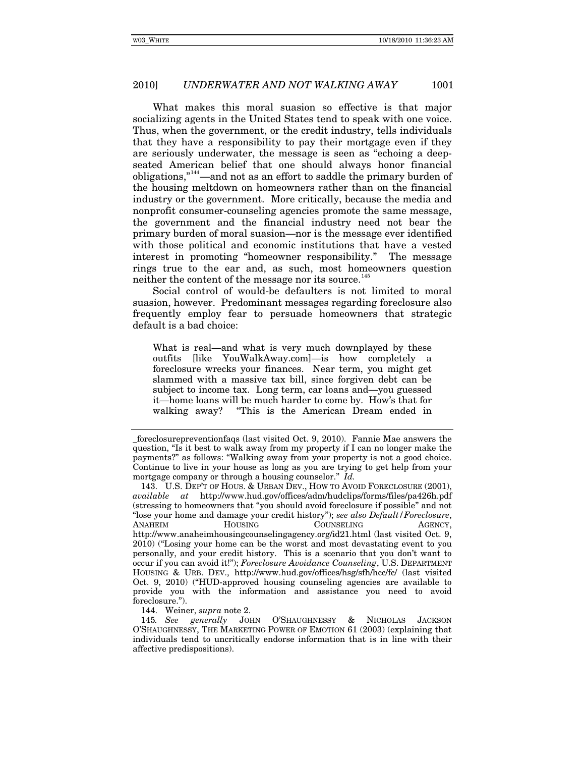What makes this moral suasion so effective is that major socializing agents in the United States tend to speak with one voice. Thus, when the government, or the credit industry, tells individuals that they have a responsibility to pay their mortgage even if they are seriously underwater, the message is seen as "echoing a deepseated American belief that one should always honor financial obligations,"[144](#page-30-0)—and not as an effort to saddle the primary burden of the housing meltdown on homeowners rather than on the financial industry or the government. More critically, because the media and nonprofit consumer-counseling agencies promote the same message, the government and the financial industry need not bear the primary burden of moral suasion—nor is the message ever identified with those political and economic institutions that have a vested interest in promoting "homeowner responsibility." The message rings true to the ear and, as such, most homeowners question neither the content of the message nor its source.<sup>[145](#page-30-1)</sup>

Social control of would-be defaulters is not limited to moral suasion, however. Predominant messages regarding foreclosure also frequently employ fear to persuade homeowners that strategic default is a bad choice:

What is real—and what is very much downplayed by these outfits [like YouWalkAway.com]—is how completely a foreclosure wrecks your finances. Near term, you might get slammed with a massive tax bill, since forgiven debt can be subject to income tax. Long term, car loans and—you guessed it—home loans will be much harder to come by. How's that for walking away? "This is the American Dream ended in

144. Weiner, *supra* note 2.

<span id="page-30-1"></span><span id="page-30-0"></span>145*. See generally* JOHN O'SHAUGHNESSY & NICHOLAS JACKSON O'SHAUGHNESSY, THE MARKETING POWER OF EMOTION 61 (2003) (explaining that individuals tend to uncritically endorse information that is in line with their affective predispositions).

\_foreclosurepreventionfaqs (last visited Oct. 9, 2010). Fannie Mae answers the question, "Is it best to walk away from my property if I can no longer make the payments?" as follows: "Walking away from your property is not a good choice. Continue to live in your house as long as you are trying to get help from your mortgage company or through a housing counselor." *Id.* 

<sup>143.</sup> U.S. DEP'T OF HOUS. & URBAN DEV., HOW TO AVOID FORECLOSURE (2001), *available at* http://www.hud.gov/offices/adm/hudclips/forms/files/pa426h.pdf (stressing to homeowners that "you should avoid foreclosure if possible" and not "lose your home and damage your credit history"); *see also Default/Foreclosure*, COUNSELING AGENCY, http://www.anaheimhousingcounselingagency.org/id21.html (last visited Oct. 9, 2010) ("Losing your home can be the worst and most devastating event to you personally, and your credit history. This is a scenario that you don't want to occur if you can avoid it!"); *Foreclosure Avoidance Counseling*, U.S. DEPARTMENT HOUSING & URB. DEV., http://www.hud.gov/offices/hsg/sfh/hcc/fc/ (last visited Oct. 9, 2010) ("HUD-approved housing counseling agencies are available to provide you with the information and assistance you need to avoid foreclosure.").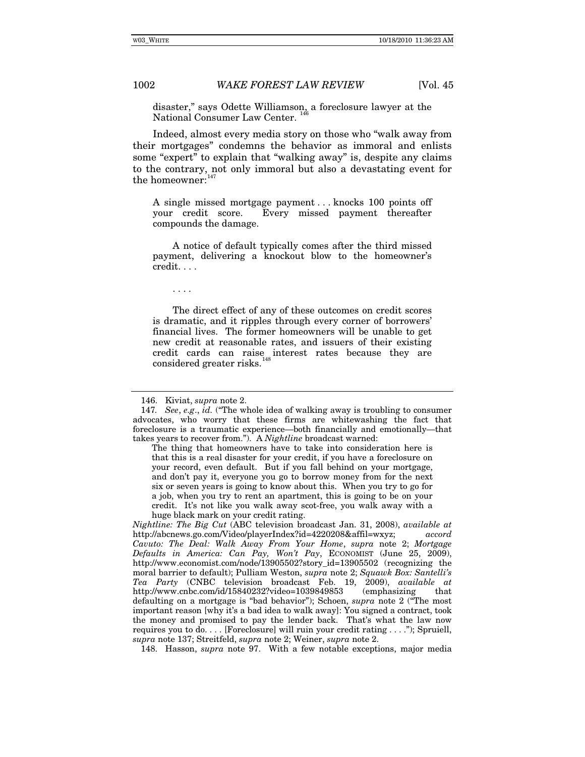disaster," says Odette Williamson, a foreclosure lawyer at the National Consumer Law Center.

Indeed, almost every media story on those who "walk away from their mortgages" condemns the behavior as immoral and enlists some "expert" to explain that "walking away" is, despite any claims to the contrary, not only immoral but also a devastating event for the homeowner:<sup>[147](#page-31-1)</sup>

A single missed mortgage payment . . . knocks 100 points off your credit score. Every missed payment thereafter compounds the damage.

A notice of default typically comes after the third missed payment, delivering a knockout blow to the homeowner's credit. . . .

. . . .

The direct effect of any of these outcomes on credit scores is dramatic, and it ripples through every corner of borrowers' financial lives. The former homeowners will be unable to get new credit at reasonable rates, and issuers of their existing credit cards can raise interest rates because they are considered greater risks.<sup>[148](#page-31-2)</sup>

<span id="page-31-2"></span>148. Hasson, *supra* note 97. With a few notable exceptions, major media

<sup>146.</sup> Kiviat, *supra* note 2.

<span id="page-31-1"></span><span id="page-31-0"></span><sup>147</sup>*. See*, *e.g*., *id.* ("The whole idea of walking away is troubling to consumer advocates, who worry that these firms are whitewashing the fact that foreclosure is a traumatic experience—both financially and emotionally—that takes years to recover from."). A *Nightline* broadcast warned:

The thing that homeowners have to take into consideration here is that this is a real disaster for your credit, if you have a foreclosure on your record, even default. But if you fall behind on your mortgage, and don't pay it, everyone you go to borrow money from for the next six or seven years is going to know about this. When you try to go for a job, when you try to rent an apartment, this is going to be on your credit. It's not like you walk away scot-free, you walk away with a huge black mark on your credit rating.

*Nightline: The Big Cut* (ABC television broadcast Jan. 31, 2008), *available at* http://abcnews.go.com/Video/playerIndex?id=4220208&affil=wxyz; *accord Cavuto: The Deal: Walk Away From Your Home*, *supra* note 2; *Mortgage Defaults in America: Can Pay, Won't Pay*, ECONOMIST (June 25, 2009), http://www.economist.com/node/13905502?story\_id=13905502 (recognizing the moral barrier to default); Pulliam Weston, *supra* note 2; *Squawk Box: Santelli's Tea Party* (CNBC television broadcast Feb. 19, 2009), *available at* http://www.cnbc.com/id/15840232?video=1039849853 (emphasizing that defaulting on a mortgage is "bad behavior"); Schoen, *supra* note 2 ("The most important reason [why it's a bad idea to walk away]: You signed a contract, took the money and promised to pay the lender back. That's what the law now requires you to do. . . . [Foreclosure] will ruin your credit rating . . . ."); Spruiell, *supra* note 137; Streitfeld, *supra* note 2; Weiner, *supra* note 2.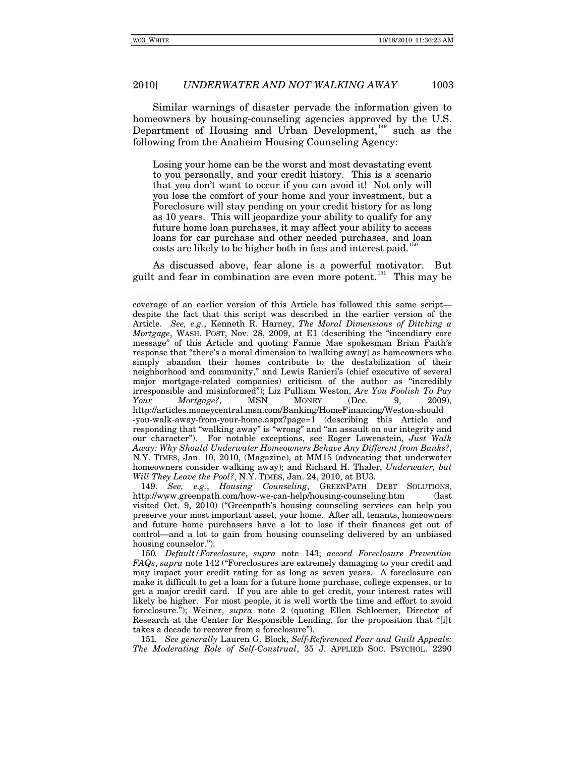Similar warnings of disaster pervade the information given to homeowners by housing-counseling agencies approved by the U.S. Department of Housing and Urban Development,<sup>[149](#page-32-0)</sup> such as the following from the Anaheim Housing Counseling Agency:

Losing your home can be the worst and most devastating event to you personally, and your credit history. This is a scenario that you don't want to occur if you can avoid it! Not only will you lose the comfort of your home and your investment, but a Foreclosure will stay pending on your credit history for as long as 10 years. This will jeopardize your ability to qualify for any future home loan purchases, it may affect your ability to access loans for car purchase and other needed purchases, and loan costs are likely to be higher both in fees and interest paid.<sup>1</sup>

As discussed above, fear alone is a powerful motivator. But guilt and fear in combination are even more potent.<sup>[151](#page-32-2)</sup> This may be

<span id="page-32-0"></span>149. *See, e.g.*, *Housing Counseling*, GREENPATH DEBT SOLUTIONS, http://www.greenpath.com/how-we-can-help/housing-counseling.htm (last visited Oct. 9, 2010) ("Greenpath's housing counseling services can help you preserve your most important asset, your home. After all, tenants, homeowners and future home purchasers have a lot to lose if their finances get out of control—and a lot to gain from housing counseling delivered by an unbiased housing counselor.").

<span id="page-32-1"></span>150*. Default/Foreclosure*, *supra* note 143; *accord Foreclosure Prevention FAQs*, *supra* note 142 ("Foreclosures are extremely damaging to your credit and may impact your credit rating for as long as seven years. A foreclosure can make it difficult to get a loan for a future home purchase, college expenses, or to get a major credit card. If you are able to get credit, your interest rates will likely be higher. For most people, it is well worth the time and effort to avoid foreclosure."); Weiner, *supra* note 2 (quoting Ellen Schloemer, Director of Research at the Center for Responsible Lending, for the proposition that "[i]t takes a decade to recover from a foreclosure").

<span id="page-32-2"></span>151*. See generally* Lauren G. Block, *Self-Referenced Fear and Guilt Appeals: The Moderating Role of Self-Construal*, 35 J. APPLIED SOC. PSYCHOL. 2290

coverage of an earlier version of this Article has followed this same script despite the fact that this script was described in the earlier version of the Article. *See, e.g.*, Kenneth R. Harney, *The Moral Dimensions of Ditching a Mortgage*, WASH. POST, Nov. 28, 2009, at E1 (describing the "incendiary core message" of this Article and quoting Fannie Mae spokesman Brian Faith's response that "there's a moral dimension to [walking away] as homeowners who simply abandon their homes contribute to the destabilization of their neighborhood and community," and Lewis Ranieri's (chief executive of several major mortgage-related companies) criticism of the author as "incredibly irresponsible and misinformed"); Liz Pulliam Weston, *Are You Foolish To Pay Your Mortgage?*, MSN MONEY (Dec. 9, 2009), http://articles.moneycentral.msn.com/Banking/HomeFinancing/Weston-should -you-walk-away-from-your-home.aspx?page=1 (describing this Article and responding that "walking away" is "wrong" and "an assault on our integrity and our character"). For notable exceptions, see Roger Lowenstein, *Just Walk Away: Why Should Underwater Homeowners Behave Any Different from Banks?*, N.Y. TIMES, Jan. 10, 2010, (Magazine), at MM15 (advocating that underwater homeowners consider walking away); and Richard H. Thaler, *Underwater, but Will They Leave the Pool?*, N.Y. TIMES, Jan. 24, 2010, at BU3.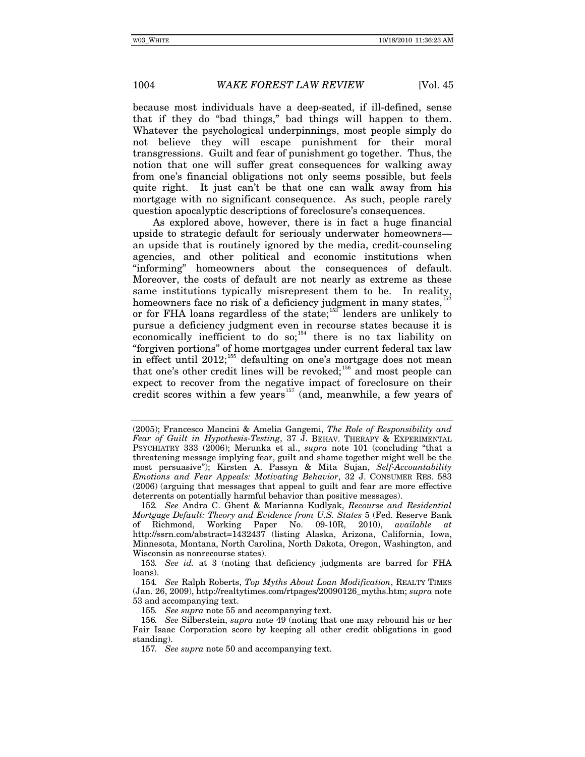because most individuals have a deep-seated, if ill-defined, sense that if they do "bad things," bad things will happen to them. Whatever the psychological underpinnings, most people simply do not believe they will escape punishment for their moral transgressions. Guilt and fear of punishment go together. Thus, the notion that one will suffer great consequences for walking away from one's financial obligations not only seems possible, but feels quite right. It just can't be that one can walk away from his mortgage with no significant consequence. As such, people rarely question apocalyptic descriptions of foreclosure's consequences.

As explored above, however, there is in fact a huge financial upside to strategic default for seriously underwater homeowners an upside that is routinely ignored by the media, credit-counseling agencies, and other political and economic institutions when "informing" homeowners about the consequences of default. Moreover, the costs of default are not nearly as extreme as these same institutions typically misrepresent them to be. In reality, homeowners face no risk of a deficiency judgment in many states, $15$ or for FHA loans regardless of the state;<sup>[153](#page-33-1)</sup> lenders are unlikely to pursue a deficiency judgment even in recourse states because it is economically inefficient to do so;<sup>[154](#page-33-2)</sup> there is no tax liability on "forgiven portions" of home mortgages under current federal tax law in effect until 2012;<sup>[155](#page-33-3)</sup> defaulting on one's mortgage does not mean that one's other credit lines will be revoked;<sup>[156](#page-33-4)</sup> and most people can expect to recover from the negative impact of foreclosure on their credit scores within a few years<sup> $157$ </sup> (and, meanwhile, a few years of

<span id="page-33-1"></span>153*. See id.* at 3 (noting that deficiency judgments are barred for FHA loans).

<sup>(2005);</sup> Francesco Mancini & Amelia Gangemi, *The Role of Responsibility and Fear of Guilt in Hypothesis-Testing*, 37 J. BEHAV. THERAPY & EXPERIMENTAL PSYCHIATRY 333 (2006); Merunka et al., *supra* note 101 (concluding "that a threatening message implying fear, guilt and shame together might well be the most persuasive"); Kirsten A. Passyn & Mita Sujan, *Self-Accountability Emotions and Fear Appeals: Motivating Behavior*, 32 J. CONSUMER RES. 583 (2006) (arguing that messages that appeal to guilt and fear are more effective deterrents on potentially harmful behavior than positive messages).

<span id="page-33-0"></span><sup>152</sup>*. See* Andra C. Ghent & Marianna Kudlyak, *Recourse and Residential Mortgage Default: Theory and Evidence from U.S. States* 5 (Fed. Reserve Bank of Richmond, Working Paper No. 09-10R, 2010), *available at* http://ssrn.com/abstract=1432437 (listing Alaska, Arizona, California, Iowa, Minnesota, Montana, North Carolina, North Dakota, Oregon, Washington, and Wisconsin as nonrecourse states).

<span id="page-33-2"></span><sup>154</sup>*. See* Ralph Roberts, *Top Myths About Loan Modification*, REALTY TIMES (Jan. 26, 2009), http://realtytimes.com/rtpages/20090126\_myths.htm; *supra* note 53 and accompanying text.

<sup>155</sup>*. See supra* note 55 and accompanying text.

<span id="page-33-5"></span><span id="page-33-4"></span><span id="page-33-3"></span><sup>156</sup>*. See* Silberstein, *supra* note 49 (noting that one may rebound his or her Fair Isaac Corporation score by keeping all other credit obligations in good standing).

<sup>157</sup>*. See supra* note 50 and accompanying text.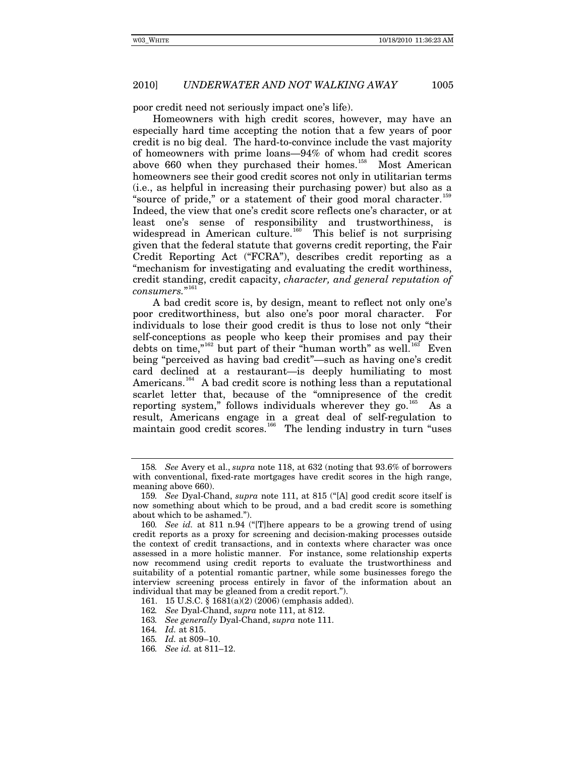poor credit need not seriously impact one's life).

Homeowners with high credit scores, however, may have an especially hard time accepting the notion that a few years of poor credit is no big deal. The hard-to-convince include the vast majority of homeowners with prime loans—94% of whom had credit scores above 660 when they purchased their homes.<sup>[158](#page-34-0)</sup> Most American homeowners see their good credit scores not only in utilitarian terms (i.e., as helpful in increasing their purchasing power) but also as a "source of pride," or a statement of their good moral character.<sup>15</sup> Indeed, the view that one's credit score reflects one's character, or at least one's sense of responsibility and trustworthiness, is widespread in American culture.<sup>[160](#page-34-2)</sup> This belief is not surprising given that the federal statute that governs credit reporting, the Fair Credit Reporting Act ("FCRA"), describes credit reporting as a "mechanism for investigating and evaluating the credit worthiness, credit standing, credit capacity, *character, and general reputation of consumers.*" [161](#page-34-3)

A bad credit score is, by design, meant to reflect not only one's poor creditworthiness, but also one's poor moral character. For individuals to lose their good credit is thus to lose not only "their self-conceptions as people who keep their promises and pay their debts on time," $162$  but part of their "human worth" as well. $163$  Even being "perceived as having bad credit"—such as having one's credit card declined at a restaurant—is deeply humiliating to most Americans.<sup>[164](#page-34-6)</sup> A bad credit score is nothing less than a reputational scarlet letter that, because of the "omnipresence of the credit reporting system," follows individuals wherever they go.<sup>[165](#page-34-7)</sup> As a result, Americans engage in a great deal of self-regulation to maintain good credit scores.<sup>[166](#page-34-8)</sup> The lending industry in turn "uses

<span id="page-34-0"></span><sup>158</sup>*. See* Avery et al., *supra* note 118, at 632 (noting that 93.6% of borrowers with conventional, fixed-rate mortgages have credit scores in the high range, meaning above 660).

<span id="page-34-1"></span><sup>159</sup>*. See* Dyal-Chand, *supra* note 111, at 815 ("[A] good credit score itself is now something about which to be proud, and a bad credit score is something about which to be ashamed.").

<span id="page-34-2"></span><sup>160</sup>*. See id.* at 811 n.94 ("[T]here appears to be a growing trend of using credit reports as a proxy for screening and decision-making processes outside the context of credit transactions, and in contexts where character was once assessed in a more holistic manner. For instance, some relationship experts now recommend using credit reports to evaluate the trustworthiness and suitability of a potential romantic partner, while some businesses forego the interview screening process entirely in favor of the information about an individual that may be gleaned from a credit report.").

<span id="page-34-4"></span><span id="page-34-3"></span><sup>161. 15</sup> U.S.C. § 1681(a)(2) (2006) (emphasis added).

<sup>162</sup>*. See* Dyal-Chand, *supra* note 111, at 812.

<span id="page-34-5"></span><sup>163</sup>*. See generally* Dyal-Chand, *supra* note 111.

<sup>164</sup>*. Id.* at 815.

<span id="page-34-8"></span><span id="page-34-7"></span><span id="page-34-6"></span><sup>165</sup>*. Id.* at 809–10.

<sup>166</sup>*. See id.* at 811–12.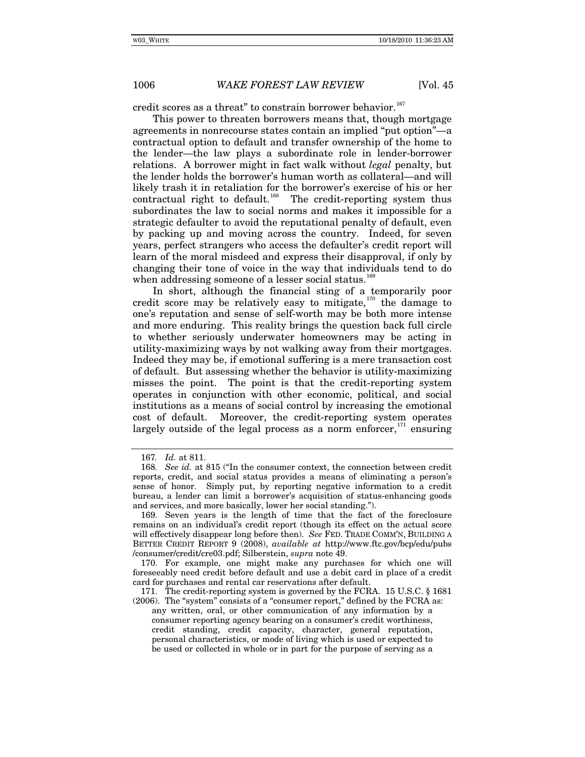credit scores as a threat" to constrain borrower behavior.<sup>[167](#page-35-0)</sup>

This power to threaten borrowers means that, though mortgage agreements in nonrecourse states contain an implied "put option"—a contractual option to default and transfer ownership of the home to the lender—the law plays a subordinate role in lender-borrower relations. A borrower might in fact walk without *legal* penalty, but the lender holds the borrower's human worth as collateral—and will likely trash it in retaliation for the borrower's exercise of his or her contractual right to default.<sup>[168](#page-35-1)</sup> The credit-reporting system thus subordinates the law to social norms and makes it impossible for a strategic defaulter to avoid the reputational penalty of default, even by packing up and moving across the country. Indeed, for seven years, perfect strangers who access the defaulter's credit report will learn of the moral misdeed and express their disapproval, if only by changing their tone of voice in the way that individuals tend to do when addressing someone of a lesser social status.<sup>16</sup>

In short, although the financial sting of a temporarily poor credit score may be relatively easy to mitigate, $170$  the damage to one's reputation and sense of self-worth may be both more intense and more enduring. This reality brings the question back full circle to whether seriously underwater homeowners may be acting in utility-maximizing ways by not walking away from their mortgages. Indeed they may be, if emotional suffering is a mere transaction cost of default. But assessing whether the behavior is utility-maximizing misses the point. The point is that the credit-reporting system operates in conjunction with other economic, political, and social institutions as a means of social control by increasing the emotional cost of default. Moreover, the credit-reporting system operates largely outside of the legal process as a norm enforcer, $171$  ensuring

<span id="page-35-4"></span>171. The credit-reporting system is governed by the FCRA. 15 U.S.C. § 1681 (2006). The "system" consists of a "consumer report," defined by the FCRA as:

any written, oral, or other communication of any information by a consumer reporting agency bearing on a consumer's credit worthiness, credit standing, credit capacity, character, general reputation, personal characteristics, or mode of living which is used or expected to be used or collected in whole or in part for the purpose of serving as a

<sup>167</sup>*. Id.* at 811.

<span id="page-35-1"></span><span id="page-35-0"></span><sup>168</sup>*. See id.* at 815 ("In the consumer context, the connection between credit reports, credit, and social status provides a means of eliminating a person's sense of honor. Simply put, by reporting negative information to a credit bureau, a lender can limit a borrower's acquisition of status-enhancing goods and services, and more basically, lower her social standing.").

<span id="page-35-2"></span><sup>169.</sup> Seven years is the length of time that the fact of the foreclosure remains on an individual's credit report (though its effect on the actual score will effectively disappear long before then). *See* FED. TRADE COMM'N, BUILDING A BETTER CREDIT REPORT 9 (2008), *available at* http://www.ftc.gov/bcp/edu/pubs /consumer/credit/cre03.pdf; Silberstein, *supra* note 49.

<span id="page-35-3"></span><sup>170.</sup> For example, one might make any purchases for which one will foreseeably need credit before default and use a debit card in place of a credit card for purchases and rental car reservations after default.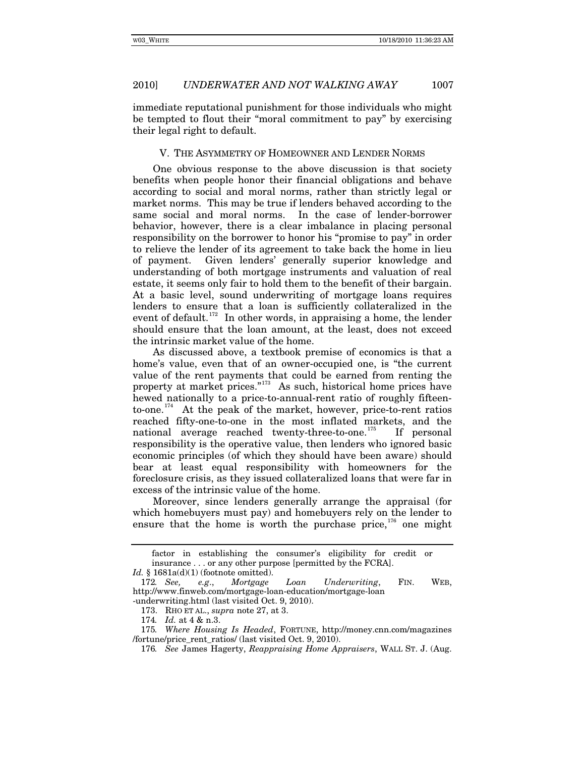immediate reputational punishment for those individuals who might be tempted to flout their "moral commitment to pay" by exercising their legal right to default.

### V. THE ASYMMETRY OF HOMEOWNER AND LENDER NORMS

One obvious response to the above discussion is that society benefits when people honor their financial obligations and behave according to social and moral norms, rather than strictly legal or market norms. This may be true if lenders behaved according to the same social and moral norms. In the case of lender-borrower behavior, however, there is a clear imbalance in placing personal responsibility on the borrower to honor his "promise to pay" in order to relieve the lender of its agreement to take back the home in lieu of payment. Given lenders' generally superior knowledge and understanding of both mortgage instruments and valuation of real estate, it seems only fair to hold them to the benefit of their bargain. At a basic level, sound underwriting of mortgage loans requires lenders to ensure that a loan is sufficiently collateralized in the event of default.<sup>[172](#page-36-0)</sup> In other words, in appraising a home, the lender should ensure that the loan amount, at the least, does not exceed the intrinsic market value of the home.

As discussed above, a textbook premise of economics is that a home's value, even that of an owner-occupied one, is "the current value of the rent payments that could be earned from renting the property at market prices."<sup>[173](#page-36-1)</sup> As such, historical home prices have hewed nationally to a price-to-annual-rent ratio of roughly fifteento-one.[174](#page-36-2) At the peak of the market, however, price-to-rent ratios reached fifty-one-to-one in the most inflated markets, and the national average reached twenty-three-to-one.<sup>[175](#page-36-3)</sup> If personal responsibility is the operative value, then lenders who ignored basic economic principles (of which they should have been aware) should bear at least equal responsibility with homeowners for the foreclosure crisis, as they issued collateralized loans that were far in excess of the intrinsic value of the home.

Moreover, since lenders generally arrange the appraisal (for which homebuyers must pay) and homebuyers rely on the lender to ensure that the home is worth the purchase price, $176$  one might

factor in establishing the consumer's eligibility for credit or insurance . . . or any other purpose [permitted by the FCRA].

*Id.* § 1681a(d)(1) (footnote omitted).

<span id="page-36-0"></span><sup>172</sup>*. See, e.g*., *Mortgage Loan Underwriting*, FIN. WEB, http://www.finweb.com/mortgage-loan-education/mortgage-loan

<span id="page-36-1"></span><sup>-</sup>underwriting.html (last visited Oct. 9, 2010).

<sup>173.</sup> RHO ET AL., *supra* note 27, at 3.

<sup>174</sup>*. Id.* at 4 & n.3.

<span id="page-36-4"></span><span id="page-36-3"></span><span id="page-36-2"></span><sup>175</sup>*. Where Housing Is Headed*, FORTUNE, http://money.cnn.com/magazines /fortune/price\_rent\_ratios/ (last visited Oct. 9, 2010).

<sup>176</sup>*. See* James Hagerty, *Reappraising Home Appraisers*, WALL ST. J. (Aug.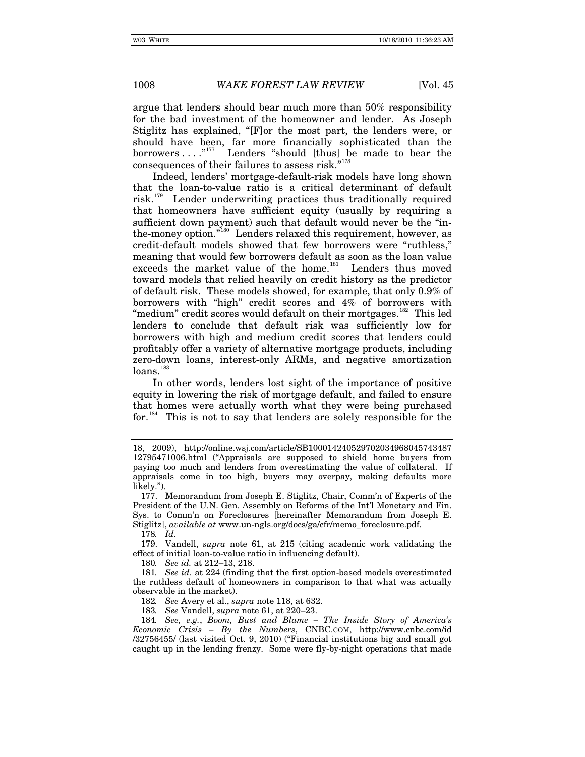argue that lenders should bear much more than 50% responsibility for the bad investment of the homeowner and lender. As Joseph Stiglitz has explained, "[F]or the most part, the lenders were, or should have been, far more financially sophisticated than the borrowers  $\dots$ ."<sup>[177](#page-37-0)</sup> Lenders "should [thus] be made to bear the consequences of their failures to assess risk."<sup>[178](#page-37-1)</sup>

Indeed, lenders' mortgage-default-risk models have long shown that the loan-to-value ratio is a critical determinant of default risk.<sup>[179](#page-37-2)</sup> Lender underwriting practices thus traditionally required that homeowners have sufficient equity (usually by requiring a sufficient down payment) such that default would never be the "in-the-money option."<sup>[180](#page-37-3)</sup> Lenders relaxed this requirement, however, as credit-default models showed that few borrowers were "ruthless," meaning that would few borrowers default as soon as the loan value exceeds the market value of the home.<sup>[181](#page-37-4)</sup> Lenders thus moved toward models that relied heavily on credit history as the predictor of default risk. These models showed, for example, that only 0.9% of borrowers with "high" credit scores and 4% of borrowers with "medium" credit scores would default on their mortgages.<sup>[182](#page-37-5)</sup> This led lenders to conclude that default risk was sufficiently low for borrowers with high and medium credit scores that lenders could profitably offer a variety of alternative mortgage products, including zero-down loans, interest-only ARMs, and negative amortization loans.<sup>[183](#page-37-6)</sup>

In other words, lenders lost sight of the importance of positive equity in lowering the risk of mortgage default, and failed to ensure that homes were actually worth what they were being purchased for.<sup>[184](#page-37-7)</sup> This is not to say that lenders are solely responsible for the

178*. Id.*

180*. See id.* at 212–13, 218.

182*. See* Avery et al., *supra* note 118, at 632.

183*. See* Vandell, *supra* note 61, at 220–23.

<sup>18, 2009),</sup> http://online.wsj.com/article/SB100014240529702034968045743487 12795471006.html ("Appraisals are supposed to shield home buyers from paying too much and lenders from overestimating the value of collateral. If appraisals come in too high, buyers may overpay, making defaults more likely.").

<span id="page-37-0"></span><sup>177.</sup> Memorandum from Joseph E. Stiglitz, Chair, Comm'n of Experts of the President of the U.N. Gen. Assembly on Reforms of the Int'l Monetary and Fin. Sys. to Comm'n on Foreclosures [hereinafter Memorandum from Joseph E. Stiglitz], *available at* www.un-ngls.org/docs/ga/cfr/memo\_foreclosure.pdf.

<span id="page-37-2"></span><span id="page-37-1"></span><sup>179.</sup> Vandell, *supra* note 61, at 215 (citing academic work validating the effect of initial loan-to-value ratio in influencing default).

<span id="page-37-4"></span><span id="page-37-3"></span><sup>181</sup>*. See id.* at 224 (finding that the first option-based models overestimated the ruthless default of homeowners in comparison to that what was actually observable in the market).

<span id="page-37-7"></span><span id="page-37-6"></span><span id="page-37-5"></span><sup>184</sup>*. See, e.g.*, *Boom, Bust and Blame – The Inside Story of America's Economic Crisis – By the Numbers*, CNBC.COM, http://www.cnbc.com/id /32756455/ (last visited Oct. 9, 2010) ("Financial institutions big and small got caught up in the lending frenzy. Some were fly-by-night operations that made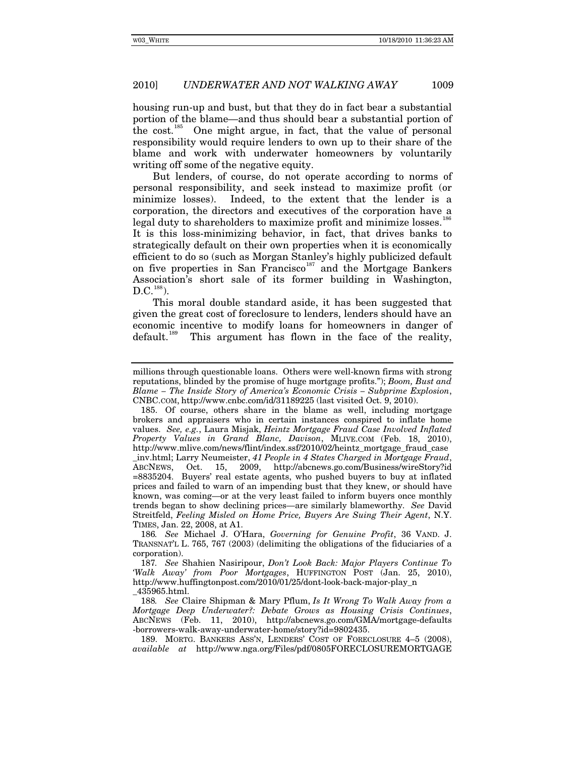housing run-up and bust, but that they do in fact bear a substantial portion of the blame—and thus should bear a substantial portion of the cost.<sup>[185](#page-38-0)</sup> One might argue, in fact, that the value of personal responsibility would require lenders to own up to their share of the blame and work with underwater homeowners by voluntarily writing off some of the negative equity.

But lenders, of course, do not operate according to norms of personal responsibility, and seek instead to maximize profit (or minimize losses). Indeed, to the extent that the lender is a corporation, the directors and executives of the corporation have a legal duty to shareholders to maximize profit and minimize losses.<sup>18</sup>

It is this loss-minimizing behavior, in fact, that drives banks to strategically default on their own properties when it is economically efficient to do so (such as Morgan Stanley's highly publicized default on five properties in San Francisco<sup>[187](#page-38-2)</sup> and the Mortgage Bankers Association's short sale of its former building in Washington,  $D.C.<sup>188</sup>$  $D.C.<sup>188</sup>$  $D.C.<sup>188</sup>$ ).

This moral double standard aside, it has been suggested that given the great cost of foreclosure to lenders, lenders should have an economic incentive to modify loans for homeowners in danger of default.<sup>[189](#page-38-4)</sup> This argument has flown in the face of the reality,

<span id="page-38-3"></span>188*. See* Claire Shipman & Mary Pflum, *Is It Wrong To Walk Away from a Mortgage Deep Underwater?: Debate Grows as Housing Crisis Continues*, ABCNEWS (Feb. 11, 2010), http://abcnews.go.com/GMA/mortgage-defaults -borrowers-walk-away-underwater-home/story?id=9802435.

<span id="page-38-4"></span>189. MORTG. BANKERS ASS'N, LENDERS' COST OF FORECLOSURE 4–5 (2008), *available at* http://www.nga.org/Files/pdf/0805FORECLOSUREMORTGAGE

millions through questionable loans. Others were well-known firms with strong reputations, blinded by the promise of huge mortgage profits."); *Boom, Bust and Blame – The Inside Story of America's Economic Crisis – Subprime Explosion*, CNBC.COM, http://www.cnbc.com/id/31189225 (last visited Oct. 9, 2010).

<span id="page-38-0"></span><sup>185.</sup> Of course, others share in the blame as well, including mortgage brokers and appraisers who in certain instances conspired to inflate home values. *See, e.g.*, Laura Misjak, *Heintz Mortgage Fraud Case Involved Inflated Property Values in Grand Blanc, Davison*, MLIVE.COM (Feb. 18, 2010), http://www.mlive.com/news/flint/index.ssf/2010/02/heintz\_mortgage\_fraud\_case \_inv.html; Larry Neumeister, *41 People in 4 States Charged in Mortgage Fraud*, Oct. 15, 2009, http://abcnews.go.com/Business/wireStory?id =8835204. Buyers' real estate agents, who pushed buyers to buy at inflated prices and failed to warn of an impending bust that they knew, or should have known, was coming—or at the very least failed to inform buyers once monthly trends began to show declining prices—are similarly blameworthy. *See* David Streitfeld, *Feeling Misled on Home Price, Buyers Are Suing Their Agent*, N.Y. TIMES, Jan. 22, 2008, at A1.

<span id="page-38-1"></span><sup>186</sup>*. See* Michael J. O'Hara, *Governing for Genuine Profit*, 36 VAND. J. TRANSNAT'L L. 765, 767 (2003) (delimiting the obligations of the fiduciaries of a corporation).

<span id="page-38-2"></span><sup>187</sup>*. See* Shahien Nasiripour, *Don't Look Back: Major Players Continue To 'Walk Away' from Poor Mortgages*, HUFFINGTON POST (Jan. 25, 2010), http://www.huffingtonpost.com/2010/01/25/dont-look-back-major-play\_n \_435965.html.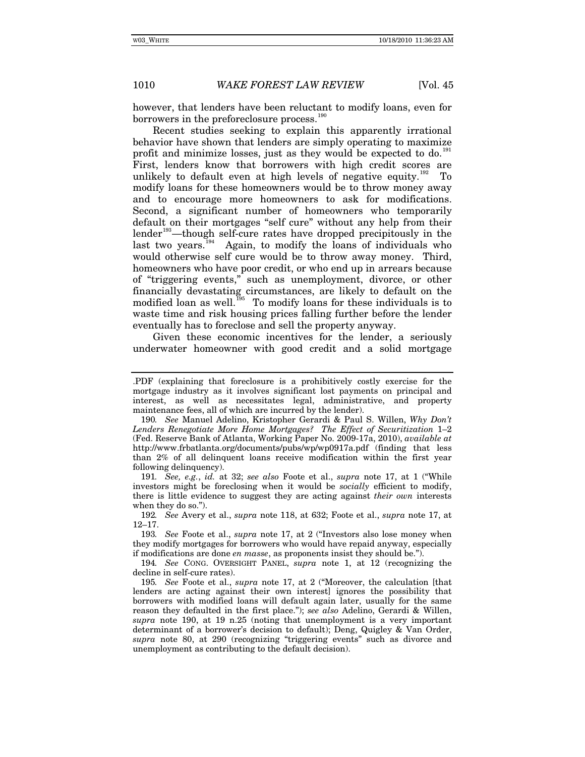however, that lenders have been reluctant to modify loans, even for borrowers in the preforeclosure process.<sup>1</sup>

Recent studies seeking to explain this apparently irrational behavior have shown that lenders are simply operating to maximize profit and minimize losses, just as they would be expected to do. $^{191}$  $^{191}$  $^{191}$ First, lenders know that borrowers with high credit scores are unlikely to default even at high levels of negative equity.<sup>[192](#page-39-2)</sup> modify loans for these homeowners would be to throw money away and to encourage more homeowners to ask for modifications. Second, a significant number of homeowners who temporarily default on their mortgages "self cure" without any help from their lender<sup>[193](#page-39-3)</sup>—though self-cure rates have dropped precipitously in the last two years.<sup>[194](#page-39-4)</sup> Again, to modify the loans of individuals who would otherwise self cure would be to throw away money. Third, homeowners who have poor credit, or who end up in arrears because of "triggering events," such as unemployment, divorce, or other financially devastating circumstances, are likely to default on the modified loan as well.<sup>[195](#page-39-5)</sup> To modify loans for these individuals is to waste time and risk housing prices falling further before the lender eventually has to foreclose and sell the property anyway.

Given these economic incentives for the lender, a seriously underwater homeowner with good credit and a solid mortgage

<span id="page-39-1"></span>191*. See, e.g.*, *id.* at 32; *see also* Foote et al., *supra* note 17, at 1 ("While investors might be foreclosing when it would be *socially* efficient to modify, there is little evidence to suggest they are acting against *their own* interests when they do so.").

<span id="page-39-2"></span>192*. See* Avery et al., *supra* note 118, at 632; Foote et al., *supra* note 17, at 12–17.

<span id="page-39-3"></span>193*. See* Foote et al., *supra* note 17, at 2 ("Investors also lose money when they modify mortgages for borrowers who would have repaid anyway, especially if modifications are done *en masse*, as proponents insist they should be.").

<span id="page-39-4"></span>194*. See* CONG. OVERSIGHT PANEL, *supra* note 1, at 12 (recognizing the decline in self-cure rates).

<sup>.</sup>PDF (explaining that foreclosure is a prohibitively costly exercise for the mortgage industry as it involves significant lost payments on principal and interest, as well as necessitates legal, administrative, and property maintenance fees, all of which are incurred by the lender).

<span id="page-39-0"></span><sup>190</sup>*. See* Manuel Adelino, Kristopher Gerardi & Paul S. Willen, *Why Don't*  Lenders Renegotiate More Home Mortgages? The Effect of Securitization 1-2 (Fed. Reserve Bank of Atlanta, Working Paper No. 2009-17a, 2010), *available at* http://www.frbatlanta.org/documents/pubs/wp/wp0917a.pdf (finding that less than 2% of all delinquent loans receive modification within the first year following delinquency).

<span id="page-39-5"></span><sup>195</sup>*. See* Foote et al., *supra* note 17, at 2 ("Moreover, the calculation [that lenders are acting against their own interest] ignores the possibility that borrowers with modified loans will default again later, usually for the same reason they defaulted in the first place."); *see also* Adelino, Gerardi & Willen, *supra* note 190, at 19 n.25 (noting that unemployment is a very important determinant of a borrower's decision to default); Deng, Quigley & Van Order, *supra* note 80, at 290 (recognizing "triggering events" such as divorce and unemployment as contributing to the default decision).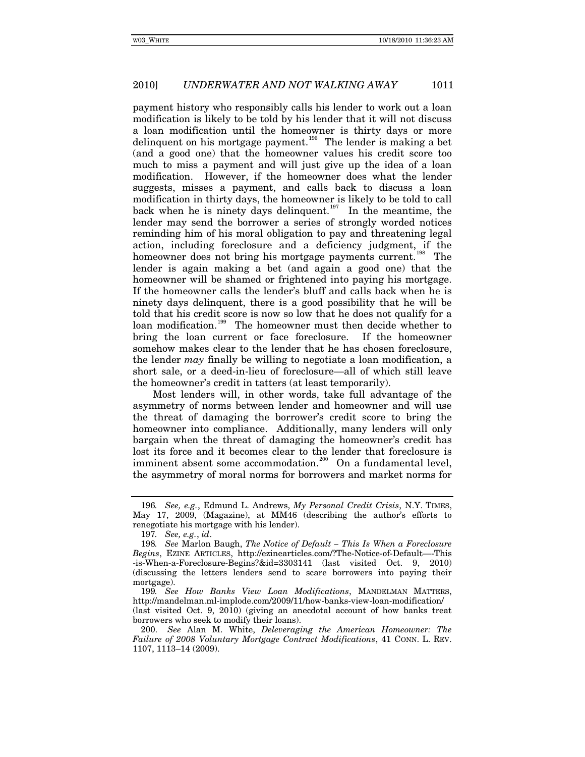payment history who responsibly calls his lender to work out a loan modification is likely to be told by his lender that it will not discuss a loan modification until the homeowner is thirty days or more delinquent on his mortgage payment.<sup>[196](#page-40-0)</sup> The lender is making a bet (and a good one) that the homeowner values his credit score too much to miss a payment and will just give up the idea of a loan modification. However, if the homeowner does what the lender suggests, misses a payment, and calls back to discuss a loan modification in thirty days, the homeowner is likely to be told to call back when he is ninety days delinquent.<sup>[197](#page-40-1)</sup> In the meantime, the lender may send the borrower a series of strongly worded notices reminding him of his moral obligation to pay and threatening legal action, including foreclosure and a deficiency judgment, if the homeowner does not bring his mortgage payments current.<sup>[198](#page-40-2)</sup> The lender is again making a bet (and again a good one) that the homeowner will be shamed or frightened into paying his mortgage. If the homeowner calls the lender's bluff and calls back when he is ninety days delinquent, there is a good possibility that he will be told that his credit score is now so low that he does not qualify for a loan modification.<sup>[199](#page-40-3)</sup> The homeowner must then decide whether to bring the loan current or face foreclosure. If the homeowner somehow makes clear to the lender that he has chosen foreclosure, the lender *may* finally be willing to negotiate a loan modification, a short sale, or a deed-in-lieu of foreclosure—all of which still leave the homeowner's credit in tatters (at least temporarily).

Most lenders will, in other words, take full advantage of the asymmetry of norms between lender and homeowner and will use the threat of damaging the borrower's credit score to bring the homeowner into compliance. Additionally, many lenders will only bargain when the threat of damaging the homeowner's credit has lost its force and it becomes clear to the lender that foreclosure is imminent absent some accommodation.<sup>[200](#page-40-4)</sup> On a fundamental level, the asymmetry of moral norms for borrowers and market norms for

<span id="page-40-0"></span><sup>196</sup>*. See, e.g.*, Edmund L. Andrews, *My Personal Credit Crisis*, N.Y. TIMES, May 17, 2009, (Magazine), at MM46 (describing the author's efforts to renegotiate his mortgage with his lender).

<sup>197</sup>*. See, e.g.*, *id*.

<span id="page-40-2"></span><span id="page-40-1"></span><sup>198</sup>*. See* Marlon Baugh, *The Notice of Default – This Is When a Foreclosure Begins*, EZINE ARTICLES, http://ezinearticles.com/?The-Notice-of-Default—-This -is-When-a-Foreclosure-Begins?&id=3303141 (last visited Oct. 9, 2010) (discussing the letters lenders send to scare borrowers into paying their mortgage).

<span id="page-40-3"></span><sup>199</sup>*. See How Banks View Loan Modifications*, MANDELMAN MATTERS, http://mandelman.ml-implode.com/2009/11/how-banks-view-loan-modification/ (last visited Oct. 9, 2010) (giving an anecdotal account of how banks treat borrowers who seek to modify their loans).

<span id="page-40-4"></span><sup>200.</sup> *See* Alan M. White, *Deleveraging the American Homeowner: The Failure of 2008 Voluntary Mortgage Contract Modifications*, 41 CONN. L. REV. 1107, 1113–14 (2009).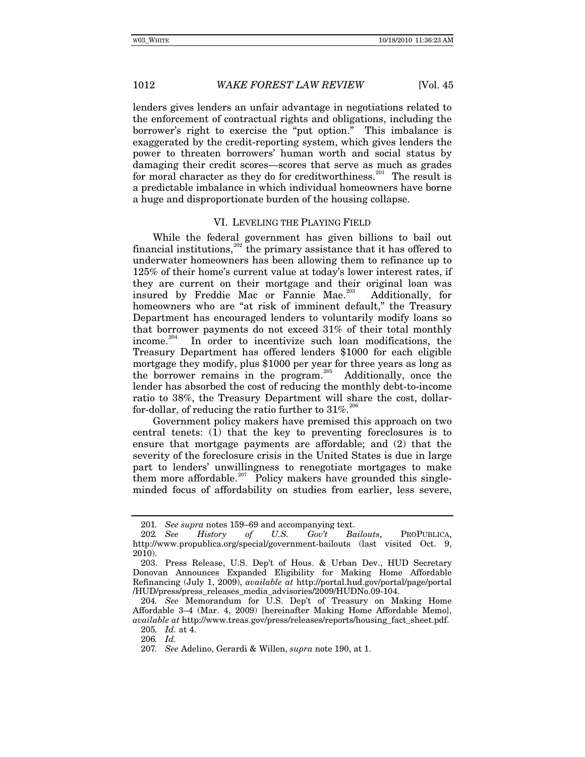lenders gives lenders an unfair advantage in negotiations related to the enforcement of contractual rights and obligations, including the borrower's right to exercise the "put option." This imbalance is exaggerated by the credit-reporting system, which gives lenders the power to threaten borrowers' human worth and social status by damaging their credit scores—scores that serve as much as grades for moral character as they do for creditworthiness.<sup>[201](#page-41-0)</sup> The result is a predictable imbalance in which individual homeowners have borne a huge and disproportionate burden of the housing collapse.

### VI. LEVELING THE PLAYING FIELD

While the federal government has given billions to bail out financial institutions,<sup>[202](#page-41-1)</sup> the primary assistance that it has offered to underwater homeowners has been allowing them to refinance up to 125% of their home's current value at today's lower interest rates, if they are current on their mortgage and their original loan was insured by Freddie Mac or Fannie Mae.<sup>[203](#page-41-2)</sup> Additionally, for homeowners who are "at risk of imminent default," the Treasury Department has encouraged lenders to voluntarily modify loans so that borrower payments do not exceed 31% of their total monthly income.<sup>[204](#page-41-3)</sup> In order to incentivize such loan modifications, the Treasury Department has offered lenders \$1000 for each eligible mortgage they modify, plus \$1000 per year for three years as long as the borrower remains in the program.<sup>[205](#page-41-4)</sup> Additionally, once the lender has absorbed the cost of reducing the monthly debt-to-income ratio to 38%, the Treasury Department will share the cost, dollarfor-dollar, of reducing the ratio further to  $31\%$ .<sup>[206](#page-41-5)</sup>

Government policy makers have premised this approach on two central tenets: (1) that the key to preventing foreclosures is to ensure that mortgage payments are affordable; and (2) that the severity of the foreclosure crisis in the United States is due in large part to lenders' unwillingness to renegotiate mortgages to make them more affordable.<sup>[207](#page-41-6)</sup> Policy makers have grounded this singleminded focus of affordability on studies from earlier, less severe,

205*. Id.* at 4.

<span id="page-41-6"></span>206*. Id.*

<sup>201</sup>*.* See supra notes 159–69 and accompanying text.<br>202. See History of U.S. Gov't Bo

<span id="page-41-1"></span><span id="page-41-0"></span><sup>202</sup>*. See History of U.S. Gov't Bailouts*, PROPUBLICA, http://www.propublica.org/special/government-bailouts (last visited Oct. 9, 2010).

<span id="page-41-2"></span><sup>203.</sup> Press Release, U.S. Dep't of Hous. & Urban Dev., HUD Secretary Donovan Announces Expanded Eligibility for Making Home Affordable Refinancing (July 1, 2009), *available at* http://portal.hud.gov/portal/page/portal /HUD/press/press\_releases\_media\_advisories/2009/HUDNo.09-104.

<span id="page-41-5"></span><span id="page-41-4"></span><span id="page-41-3"></span><sup>204</sup>*. See* Memorandum for U.S. Dep't of Treasury on Making Home Affordable 3–4 (Mar. 4, 2009) [hereinafter Making Home Affordable Memo], *available at* http://www.treas.gov/press/releases/reports/housing\_fact\_sheet.pdf.

<sup>207</sup>*. See* Adelino, Gerardi & Willen, *supra* note 190, at 1.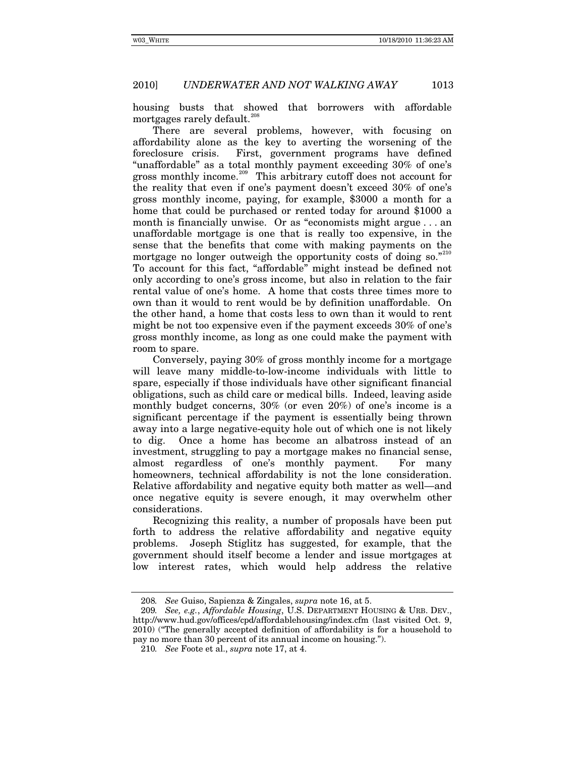housing busts that showed that borrowers with affordable mortgages rarely default. $^{2}$ 

There are several problems, however, with focusing on affordability alone as the key to averting the worsening of the foreclosure crisis. First, government programs have defined "unaffordable" as a total monthly payment exceeding 30% of one's gross monthly income.<sup>[209](#page-42-1)</sup> This arbitrary cutoff does not account for the reality that even if one's payment doesn't exceed 30% of one's gross monthly income, paying, for example, \$3000 a month for a home that could be purchased or rented today for around \$1000 a month is financially unwise. Or as "economists might argue . . . an unaffordable mortgage is one that is really too expensive, in the sense that the benefits that come with making payments on the mortgage no longer outweigh the opportunity costs of doing so."[210](#page-42-2) To account for this fact, "affordable" might instead be defined not only according to one's gross income, but also in relation to the fair rental value of one's home. A home that costs three times more to own than it would to rent would be by definition unaffordable. On the other hand, a home that costs less to own than it would to rent might be not too expensive even if the payment exceeds 30% of one's gross monthly income, as long as one could make the payment with room to spare.

Conversely, paying 30% of gross monthly income for a mortgage will leave many middle-to-low-income individuals with little to spare, especially if those individuals have other significant financial obligations, such as child care or medical bills. Indeed, leaving aside monthly budget concerns, 30% (or even 20%) of one's income is a significant percentage if the payment is essentially being thrown away into a large negative-equity hole out of which one is not likely to dig. Once a home has become an albatross instead of an investment, struggling to pay a mortgage makes no financial sense, almost regardless of one's monthly payment. For many homeowners, technical affordability is not the lone consideration. Relative affordability and negative equity both matter as well—and once negative equity is severe enough, it may overwhelm other considerations.

Recognizing this reality, a number of proposals have been put forth to address the relative affordability and negative equity problems. Joseph Stiglitz has suggested, for example, that the government should itself become a lender and issue mortgages at low interest rates, which would help address the relative

<sup>208</sup>*. See* Guiso, Sapienza & Zingales, *supra* note 16, at 5.

<span id="page-42-2"></span><span id="page-42-1"></span><span id="page-42-0"></span><sup>209</sup>*. See, e.g.*, *Affordable Housing*, U.S. DEPARTMENT HOUSING & URB. DEV., http://www.hud.gov/offices/cpd/affordablehousing/index.cfm (last visited Oct. 9, 2010) ("The generally accepted definition of affordability is for a household to pay no more than 30 percent of its annual income on housing.").

<sup>210</sup>*. See* Foote et al., *supra* note 17, at 4.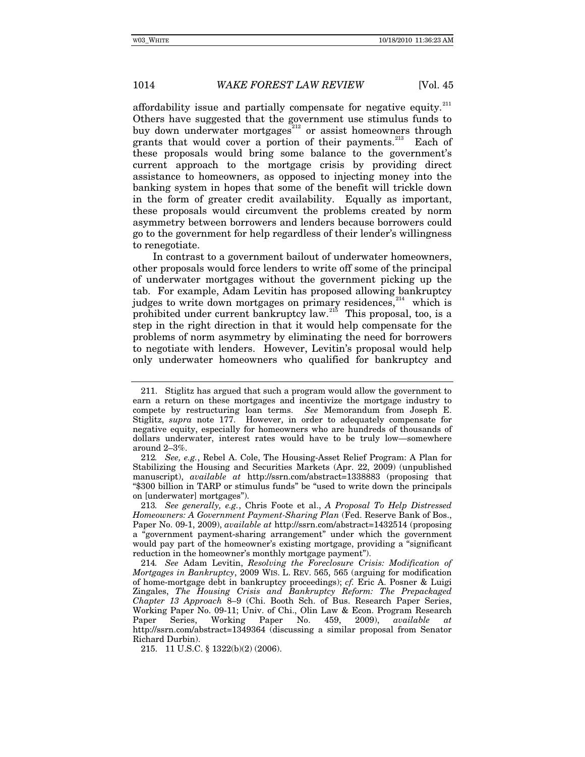affordability issue and partially compensate for negative equity.<sup>[211](#page-43-0)</sup> Others have suggested that the government use stimulus funds to buy down underwater mortgages<sup>[212](#page-43-1)</sup> or assist homeowners through grants that would cover a portion of their payments.<sup>[213](#page-43-2)</sup> Each of these proposals would bring some balance to the government's current approach to the mortgage crisis by providing direct assistance to homeowners, as opposed to injecting money into the banking system in hopes that some of the benefit will trickle down in the form of greater credit availability. Equally as important, these proposals would circumvent the problems created by norm asymmetry between borrowers and lenders because borrowers could go to the government for help regardless of their lender's willingness to renegotiate.

In contrast to a government bailout of underwater homeowners, other proposals would force lenders to write off some of the principal of underwater mortgages without the government picking up the tab. For example, Adam Levitin has proposed allowing bankruptcy judges to write down mortgages on primary residences, $214$  which is prohibited under current bankruptcy law.<sup>[215](#page-43-4)</sup> This proposal, too, is a step in the right direction in that it would help compensate for the problems of norm asymmetry by eliminating the need for borrowers to negotiate with lenders. However, Levitin's proposal would help only underwater homeowners who qualified for bankruptcy and

<span id="page-43-4"></span>215. 11 U.S.C. § 1322(b)(2) (2006).

<span id="page-43-0"></span><sup>211.</sup> Stiglitz has argued that such a program would allow the government to earn a return on these mortgages and incentivize the mortgage industry to compete by restructuring loan terms. *See* Memorandum from Joseph E. Stiglitz, *supra* note 177. However, in order to adequately compensate for negative equity, especially for homeowners who are hundreds of thousands of dollars underwater, interest rates would have to be truly low—somewhere around 2–3%.

<span id="page-43-1"></span><sup>212</sup>*. See, e.g.*, Rebel A. Cole, The Housing-Asset Relief Program: A Plan for Stabilizing the Housing and Securities Markets (Apr. 22, 2009) (unpublished manuscript), *available at* http://ssrn.com/abstract=1338883 (proposing that "\$300 billion in TARP or stimulus funds" be "used to write down the principals on [underwater] mortgages").

<span id="page-43-2"></span><sup>213</sup>*. See generally, e.g.*, Chris Foote et al., *A Proposal To Help Distressed Homeowners: A Government Payment-Sharing Plan* (Fed. Reserve Bank of Bos., Paper No. 09-1, 2009), *available at* http://ssrn.com/abstract=1432514 (proposing a "government payment-sharing arrangement" under which the government would pay part of the homeowner's existing mortgage, providing a "significant reduction in the homeowner's monthly mortgage payment").

<span id="page-43-3"></span><sup>214</sup>*. See* Adam Levitin, *Resolving the Foreclosure Crisis: Modification of Mortgages in Bankruptcy*, 2009 WIS. L. REV. 565, 565 (arguing for modification of home-mortgage debt in bankruptcy proceedings); *cf.* Eric A. Posner & Luigi Zingales, *The Housing Crisis and Bankruptcy Reform: The Prepackaged Chapter 13 Approach* 8–9 (Chi. Booth Sch. of Bus. Research Paper Series, Working Paper No. 09-11; Univ. of Chi., Olin Law & Econ. Program Research Paper Series, Working Paper No. 459, 2009), *available at* http://ssrn.com/abstract=1349364 (discussing a similar proposal from Senator Richard Durbin).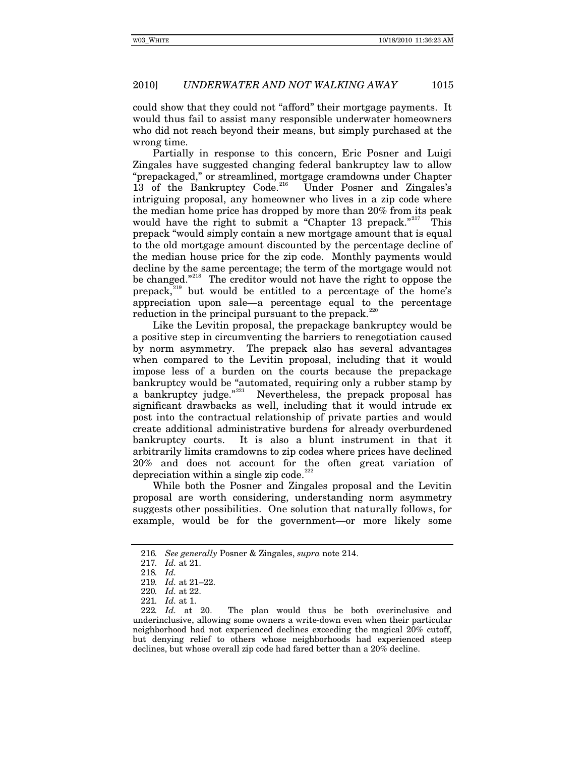could show that they could not "afford" their mortgage payments. It would thus fail to assist many responsible underwater homeowners who did not reach beyond their means, but simply purchased at the wrong time.

Partially in response to this concern, Eric Posner and Luigi Zingales have suggested changing federal bankruptcy law to allow "prepackaged," or streamlined, mortgage cramdowns under Chapter 13 of the Bankruptcy Code.<sup>[216](#page-44-0)</sup> Under Posner and Zingales's intriguing proposal, any homeowner who lives in a zip code where the median home price has dropped by more than 20% from its peak would have the right to submit a "Chapter 13 prepack."<sup>[217](#page-44-1)</sup> This prepack "would simply contain a new mortgage amount that is equal to the old mortgage amount discounted by the percentage decline of the median house price for the zip code. Monthly payments would decline by the same percentage; the term of the mortgage would not be changed."<sup>[218](#page-44-2)</sup> The creditor would not have the right to oppose the prepack, $^{219}$  $^{219}$  $^{219}$  but would be entitled to a percentage of the home's appreciation upon sale—a percentage equal to the percentage reduction in the principal pursuant to the prepack.<sup>2</sup>

Like the Levitin proposal, the prepackage bankruptcy would be a positive step in circumventing the barriers to renegotiation caused by norm asymmetry. The prepack also has several advantages when compared to the Levitin proposal, including that it would impose less of a burden on the courts because the prepackage bankruptcy would be "automated, requiring only a rubber stamp by a bankruptcy judge."<sup>[221](#page-44-5)</sup> Nevertheless, the prepack proposal has significant drawbacks as well, including that it would intrude ex post into the contractual relationship of private parties and would create additional administrative burdens for already overburdened bankruptcy courts. It is also a blunt instrument in that it arbitrarily limits cramdowns to zip codes where prices have declined 20% and does not account for the often great variation of depreciation within a single zip code. $2$ 

While both the Posner and Zingales proposal and the Levitin proposal are worth considering, understanding norm asymmetry suggests other possibilities. One solution that naturally follows, for example, would be for the government—or more likely some

<span id="page-44-1"></span><span id="page-44-0"></span><sup>216</sup>*. See generally* Posner & Zingales, *supra* note 214.

<sup>217</sup>*. Id.* at 21.

<sup>218</sup>*. Id.*

<sup>219</sup>*. Id.* at 21–22.

<sup>220</sup>*. Id.* at 22.

<sup>221</sup>*. Id.* at 1.

<span id="page-44-6"></span><span id="page-44-5"></span><span id="page-44-4"></span><span id="page-44-3"></span><span id="page-44-2"></span><sup>222</sup>*. Id.* at 20. The plan would thus be both overinclusive and underinclusive, allowing some owners a write-down even when their particular neighborhood had not experienced declines exceeding the magical 20% cutoff, but denying relief to others whose neighborhoods had experienced steep declines, but whose overall zip code had fared better than a 20% decline.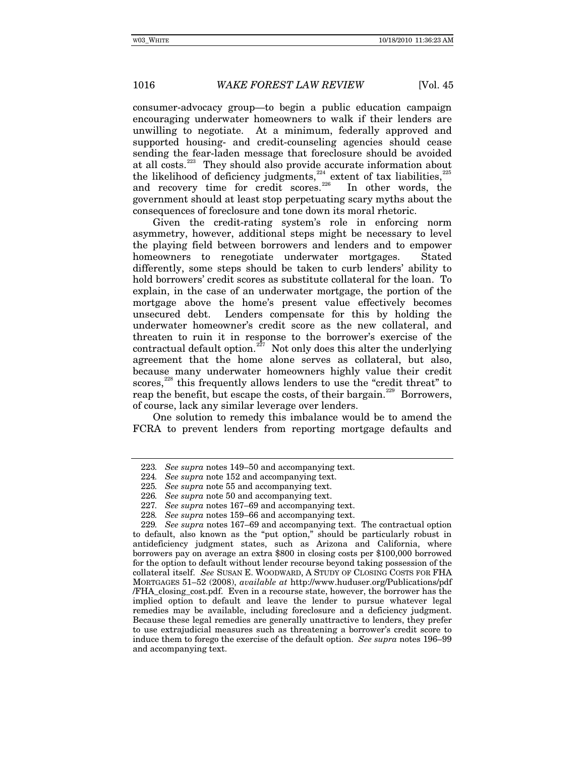consumer-advocacy group—to begin a public education campaign encouraging underwater homeowners to walk if their lenders are unwilling to negotiate. At a minimum, federally approved and supported housing- and credit-counseling agencies should cease sending the fear-laden message that foreclosure should be avoided at all costs.<sup>[223](#page-45-0)</sup> They should also provide accurate information about the likelihood of deficiency judgments,<sup>[224](#page-45-1)</sup> extent of tax liabilities,<sup>[225](#page-45-2)</sup> and recovery time for credit scores.<sup>[226](#page-45-3)</sup> In other words, the government should at least stop perpetuating scary myths about the consequences of foreclosure and tone down its moral rhetoric.

Given the credit-rating system's role in enforcing norm asymmetry, however, additional steps might be necessary to level the playing field between borrowers and lenders and to empower homeowners to renegotiate underwater mortgages. Stated differently, some steps should be taken to curb lenders' ability to hold borrowers' credit scores as substitute collateral for the loan. To explain, in the case of an underwater mortgage, the portion of the mortgage above the home's present value effectively becomes unsecured debt. Lenders compensate for this by holding the underwater homeowner's credit score as the new collateral, and threaten to ruin it in response to the borrower's exercise of the contractual default option.<sup>[227](#page-45-4)</sup> Not only does this alter the underlying agreement that the home alone serves as collateral, but also, because many underwater homeowners highly value their credit scores,<sup>[228](#page-45-5)</sup> this frequently allows lenders to use the "credit threat" to reap the benefit, but escape the costs, of their bargain.<sup>[229](#page-45-6)</sup> Borrowers, of course, lack any similar leverage over lenders.

One solution to remedy this imbalance would be to amend the FCRA to prevent lenders from reporting mortgage defaults and

<span id="page-45-0"></span><sup>223</sup>*. See supra* notes 149–50 and accompanying text.

<span id="page-45-1"></span><sup>224</sup>*. See supra* note 152 and accompanying text.

<sup>225</sup>*. See supra* note 55 and accompanying text.

<sup>226</sup>*. See supra* note 50 and accompanying text.

<sup>227</sup>*. See supra* notes 167–69 and accompanying text.

<sup>228</sup>*. See supra* notes 159–66 and accompanying text.

<span id="page-45-6"></span><span id="page-45-5"></span><span id="page-45-4"></span><span id="page-45-3"></span><span id="page-45-2"></span><sup>229</sup>*. See supra* notes 167–69 and accompanying text. The contractual option to default, also known as the "put option," should be particularly robust in antideficiency judgment states, such as Arizona and California, where borrowers pay on average an extra \$800 in closing costs per \$100,000 borrowed for the option to default without lender recourse beyond taking possession of the collateral itself. *See* SUSAN E. WOODWARD, A STUDY OF CLOSING COSTS FOR FHA MORTGAGES 51–52 (2008), *available at* http://www.huduser.org/Publications/pdf /FHA\_closing\_cost.pdf. Even in a recourse state, however, the borrower has the implied option to default and leave the lender to pursue whatever legal remedies may be available, including foreclosure and a deficiency judgment. Because these legal remedies are generally unattractive to lenders, they prefer to use extrajudicial measures such as threatening a borrower's credit score to induce them to forego the exercise of the default option. *See supra* notes 196–99 and accompanying text.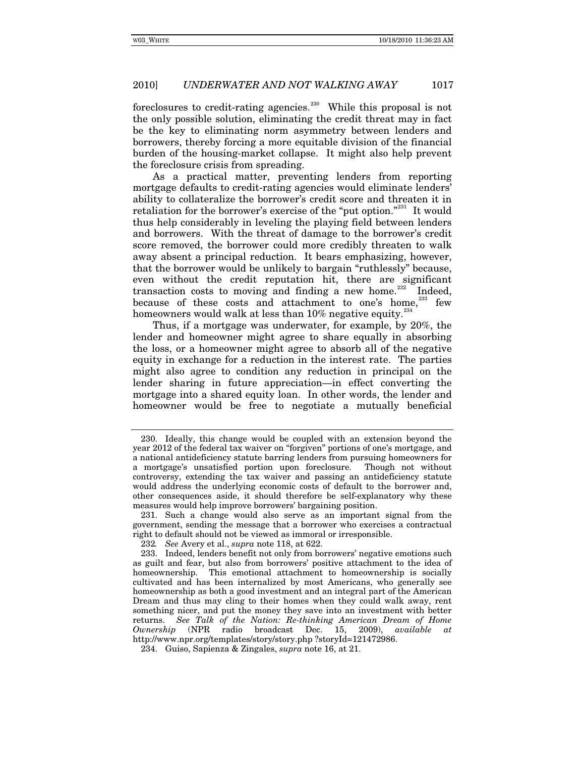foreclosures to credit-rating agencies.<sup>[230](#page-46-0)</sup> While this proposal is not the only possible solution, eliminating the credit threat may in fact be the key to eliminating norm asymmetry between lenders and borrowers, thereby forcing a more equitable division of the financial burden of the housing-market collapse. It might also help prevent the foreclosure crisis from spreading.

As a practical matter, preventing lenders from reporting mortgage defaults to credit-rating agencies would eliminate lenders' ability to collateralize the borrower's credit score and threaten it in retaliation for the borrower's exercise of the "put option."<sup>[231](#page-46-1)</sup> It would thus help considerably in leveling the playing field between lenders and borrowers. With the threat of damage to the borrower's credit score removed, the borrower could more credibly threaten to walk away absent a principal reduction. It bears emphasizing, however, that the borrower would be unlikely to bargain "ruthlessly" because, even without the credit reputation hit, there are significant transaction costs to moving and finding a new home.<sup>[232](#page-46-2)</sup> Indeed, because of these costs and attachment to one's home, $233$  few homeowners would walk at less than  $10\%$  negative equity.<sup>2</sup>

Thus, if a mortgage was underwater, for example, by 20%, the lender and homeowner might agree to share equally in absorbing the loss, or a homeowner might agree to absorb all of the negative equity in exchange for a reduction in the interest rate. The parties might also agree to condition any reduction in principal on the lender sharing in future appreciation—in effect converting the mortgage into a shared equity loan. In other words, the lender and homeowner would be free to negotiate a mutually beneficial

<span id="page-46-0"></span><sup>230.</sup> Ideally, this change would be coupled with an extension beyond the year 2012 of the federal tax waiver on "forgiven" portions of one's mortgage, and a national antideficiency statute barring lenders from pursuing homeowners for a mortgage's unsatisfied portion upon foreclosure. controversy, extending the tax waiver and passing an antideficiency statute would address the underlying economic costs of default to the borrower and, other consequences aside, it should therefore be self-explanatory why these measures would help improve borrowers' bargaining position.

<span id="page-46-1"></span><sup>231.</sup> Such a change would also serve as an important signal from the government, sending the message that a borrower who exercises a contractual right to default should not be viewed as immoral or irresponsible.

<sup>232</sup>*. See* Avery et al., *supra* note 118, at 622.

<span id="page-46-3"></span><span id="page-46-2"></span><sup>233.</sup> Indeed, lenders benefit not only from borrowers' negative emotions such as guilt and fear, but also from borrowers' positive attachment to the idea of homeownership. This emotional attachment to homeownership is socially cultivated and has been internalized by most Americans, who generally see homeownership as both a good investment and an integral part of the American Dream and thus may cling to their homes when they could walk away, rent something nicer, and put the money they save into an investment with better returns. *See Talk of the Nation: Re-thinking American Dream of Home Ownership* (NPR radio broadcast Dec. 15, 2009), *available at* http://www.npr.org/templates/story/story.php ?storyId=121472986.

<span id="page-46-4"></span><sup>234.</sup> Guiso, Sapienza & Zingales, *supra* note 16, at 21.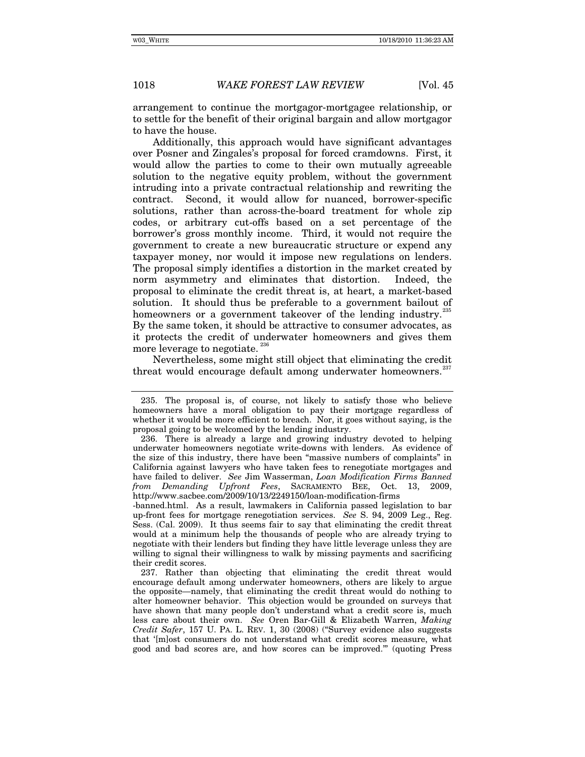arrangement to continue the mortgagor-mortgagee relationship, or to settle for the benefit of their original bargain and allow mortgagor to have the house.

Additionally, this approach would have significant advantages over Posner and Zingales's proposal for forced cramdowns. First, it would allow the parties to come to their own mutually agreeable solution to the negative equity problem, without the government intruding into a private contractual relationship and rewriting the contract. Second, it would allow for nuanced, borrower-specific solutions, rather than across-the-board treatment for whole zip codes, or arbitrary cut-offs based on a set percentage of the borrower's gross monthly income. Third, it would not require the government to create a new bureaucratic structure or expend any taxpayer money, nor would it impose new regulations on lenders. The proposal simply identifies a distortion in the market created by norm asymmetry and eliminates that distortion. Indeed, the proposal to eliminate the credit threat is, at heart, a market-based solution. It should thus be preferable to a government bailout of homeowners or a government takeover of the lending industry.<sup>2</sup> By the same token, it should be attractive to consumer advocates, as it protects the credit of underwater homeowners and gives them more leverage to negotiate.<sup>[236](#page-47-1)</sup>

Nevertheless, some might still object that eliminating the credit threat would encourage default among underwater homeowners. $25$ 

-banned.html. As a result, lawmakers in California passed legislation to bar up-front fees for mortgage renegotiation services. *See* S. 94, 2009 Leg., Reg. Sess. (Cal. 2009). It thus seems fair to say that eliminating the credit threat would at a minimum help the thousands of people who are already trying to negotiate with their lenders but finding they have little leverage unless they are willing to signal their willingness to walk by missing payments and sacrificing their credit scores.

<span id="page-47-2"></span>237. Rather than objecting that eliminating the credit threat would encourage default among underwater homeowners, others are likely to argue the opposite—namely, that eliminating the credit threat would do nothing to alter homeowner behavior. This objection would be grounded on surveys that have shown that many people don't understand what a credit score is, much less care about t[h](http://www.westlaw.com/Find/Default.wl?rs=dfa1.0&vr=2.0&DB=1268&FindType=Y&SerialNum=0341728588)eir own. *See* Oren Bar-Gill & Elizabeth Warren, *Making Credit Safer*, 157 U. PA. L. REV. 1, 30 (200[8\)](http://www.westlaw.com/Find/Default.wl?rs=dfa1.0&vr=2.0&DB=1268&FindType=Y&SerialNum=0341728588) ("Survey evidence also suggests that '[m]ost consumers do not understand what credit scores measure, what good and bad scores are, and how scores can be improved.'" (quoting Press

<span id="page-47-0"></span><sup>235.</sup> The proposal is, of course, not likely to satisfy those who believe homeowners have a moral obligation to pay their mortgage regardless of whether it would be more efficient to breach. Nor, it goes without saying, is the proposal going to be welcomed by the lending industry.

<span id="page-47-1"></span><sup>236.</sup> There is already a large and growing industry devoted to helping underwater homeowners negotiate write-downs with lenders. As evidence of the size of this industry, there have been "massive numbers of complaints" in California against lawyers who have taken fees to renegotiate mortgages and have failed to deliver. *See* Jim Wasserman, *Loan Modification Firms Banned from Demanding Upfront Fees*, SACRAMENTO BEE, Oct. 13, 2009, http://www.sacbee.com/2009/10/13/2249150/loan-modification-firms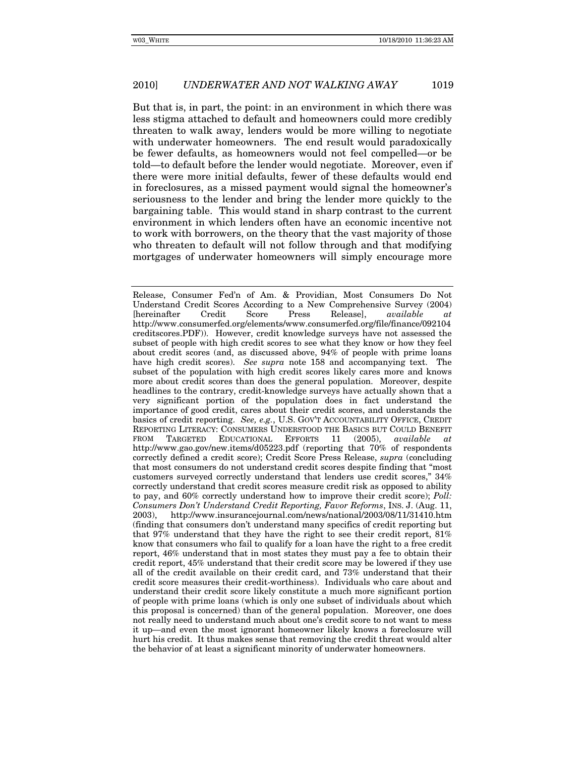But that is, in part, the point: in an environment in which there was less stigma attached to default and homeowners could more credibly threaten to walk away, lenders would be more willing to negotiate with underwater homeowners. The end result would paradoxically be fewer defaults, as homeowners would not feel compelled—or be told—to default before the lender would negotiate. Moreover, even if there were more initial defaults, fewer of these defaults would end in foreclosures, as a missed payment would signal the homeowner's seriousness to the lender and bring the lender more quickly to the bargaining table. This would stand in sharp contrast to the current environment in which lenders often have an economic incentive not to work with borrowers, on the theory that the vast majority of those who threaten to default will not follow through and that modifying mortgages of underwater homeowners will simply encourage more

Release, Consumer Fed'n of Am. & Providian, Most Consumers Do Not Understand Credit Scores According to a New Comprehensive Survey (2004) [hereinafter Credit Score Press Release], *available at*  http://www.consumerfed.org/elements/www.consumerfed.org/file/finance/092104 creditscores.PDF)). However, credit knowledge surveys have not assessed the subset of people with high credit scores to see what they know or how they feel about credit scores (and, as discussed above, 94% of people with prime loans have high credit scores). *See supra* note 158 and accompanying text. The subset of the population with high credit scores likely cares more and knows more about credit scores than does the general population. Moreover, despite headlines to the contrary, credit-knowledge surveys have actually shown that a very significant portion of the population does in fact understand the importance of good credit, cares about their credit scores, and understands the basics of credit reporting. *See, e.g.*, U.S. GOV'T ACCOUNTABILITY OFFICE, CREDIT REPORTING LITERACY: CONSUMERS UNDERSTOOD THE BASICS BUT COULD BENEFIT FROM TARGETED EDUCATIONAL EFFORTS 11 (2005), *available at* http://www.gao.gov/new.items/d05223.pdf (reporting that 70% of respondents correctly defined a credit score); Credit Score Press Release, *supra* (concluding that most consumers do not understand credit scores despite finding that "most customers surveyed correctly understand that lenders use credit scores," 34% correctly understand that credit scores measure credit risk as opposed to ability to pay, and 60% correctly understand how to improve their credit score); *Poll: Consumers Don't Understand Credit Reporting, Favor Reforms*, INS. J. (Aug. 11, 2003), http://www.insurancejournal.com/news/national/2003/08/11/31410.htm (finding that consumers don't understand many specifics of credit reporting but that 97% understand that they have the right to see their credit report, 81% know that consumers who fail to qualify for a loan have the right to a free credit report, 46% understand that in most states they must pay a fee to obtain their credit report, 45% understand that their credit score may be lowered if they use all of the credit available on their credit card, and 73% understand that their credit score measures their credit-worthiness). Individuals who care about and understand their credit score likely constitute a much more significant portion of people with prime loans (which is only one subset of individuals about which this proposal is concerned) than of the general population. Moreover, one does not really need to understand much about one's credit score to not want to mess it up—and even the most ignorant homeowner likely knows a foreclosure will hurt his credit. It thus makes sense that removing the credit threat would alter the behavior of at least a significant minority of underwater homeowners.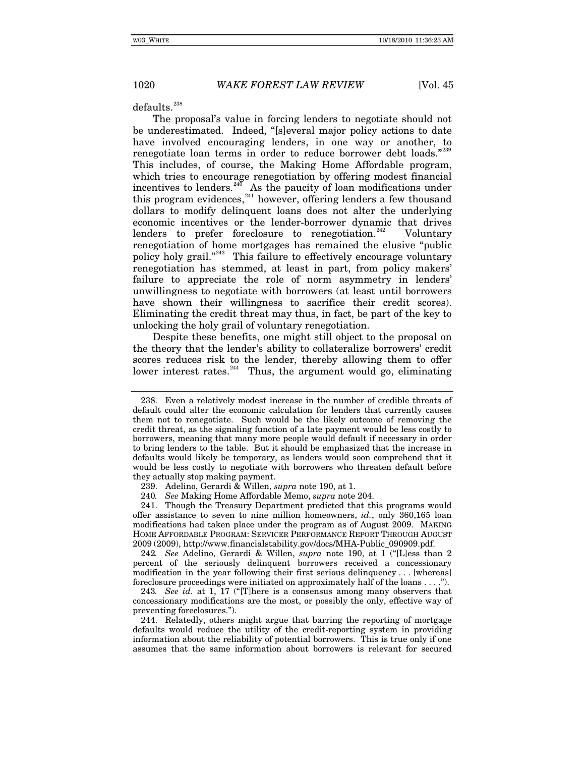defaults.<sup>[238](#page-49-0)</sup>

The proposal's value in forcing lenders to negotiate should not be underestimated. Indeed, "[s]everal major policy actions to date have involved encouraging lenders, in one way or another, to renegotiate loan terms in order to reduce borrower debt loads."<sup>[239](#page-49-1)</sup> This includes, of course, the Making Home Affordable program, which tries to encourage renegotiation by offering modest financial incentives to lenders.<sup>246</sup> As the paucity of loan modifications under this program evidences,  $241$  however, offering lenders a few thousand dollars to modify delinquent loans does not alter the underlying economic incentives or the lender-borrower dynamic that drives lenders to prefer foreclosure to renegotiation.<sup>[242](#page-49-4)</sup> Voluntary renegotiation of home mortgages has remained the elusive "public policy holy grail."<sup>[243](#page-49-5)</sup> This failure to effectively encourage voluntary renegotiation has stemmed, at least in part, from policy makers' failure to appreciate the role of norm asymmetry in lenders' unwillingness to negotiate with borrowers (at least until borrowers have shown their willingness to sacrifice their credit scores). Eliminating the credit threat may thus, in fact, be part of the key to unlocking the holy grail of voluntary renegotiation.

Despite these benefits, one might still object to the proposal on the theory that the lender's ability to collateralize borrowers' credit scores reduces risk to the lender, thereby allowing them to offer lower interest rates.<sup>[244](#page-49-6)</sup> Thus, the argument would go, eliminating

240*. See* Making Home Affordable Memo, *supra* note 204.

<span id="page-49-3"></span><span id="page-49-2"></span><span id="page-49-1"></span>241. Though the Treasury Department predicted that this programs would offer assistance to seven to nine million homeowners, *id.*, only 360,165 loan modifications had taken place under the program as of August 2009. MAKING HOME AFFORDABLE PROGRAM: SERVICER PERFORMANCE REPORT THROUGH AUGUST 2009 (2009), http://www.financialstability.gov/docs/MHA-Public\_090909.pdf.

<span id="page-49-4"></span>242*. See* Adelino, Gerardi & Willen, *supra* note 190, at 1 ("[L]ess than 2 percent of the seriously delinquent borrowers received a concessionary modification in the year following their first serious delinquency . . . [whereas] foreclosure proceedings were initiated on approximately half of the loans . . . .").

<span id="page-49-5"></span>243*. See id.* at 1, 17 ("[T]here is a consensus among many observers that concessionary modifications are the most, or possibly the only, effective way of preventing foreclosures.").

<span id="page-49-6"></span>244. Relatedly, others might argue that barring the reporting of mortgage defaults would reduce the utility of the credit-reporting system in providing information about the reliability of potential borrowers. This is true only if one assumes that the same information about borrowers is relevant for secured

<span id="page-49-0"></span><sup>238.</sup> Even a relatively modest increase in the number of credible threats of default could alter the economic calculation for lenders that currently causes them not to renegotiate. Such would be the likely outcome of removing the credit threat, as the signaling function of a late payment would be less costly to borrowers, meaning that many more people would default if necessary in order to bring lenders to the table. But it should be emphasized that the increase in defaults would likely be temporary, as lenders would soon comprehend that it would be less costly to negotiate with borrowers who threaten default before they actually stop making payment.

<sup>239.</sup> Adelino, Gerardi & Willen, *supra* note 190, at 1.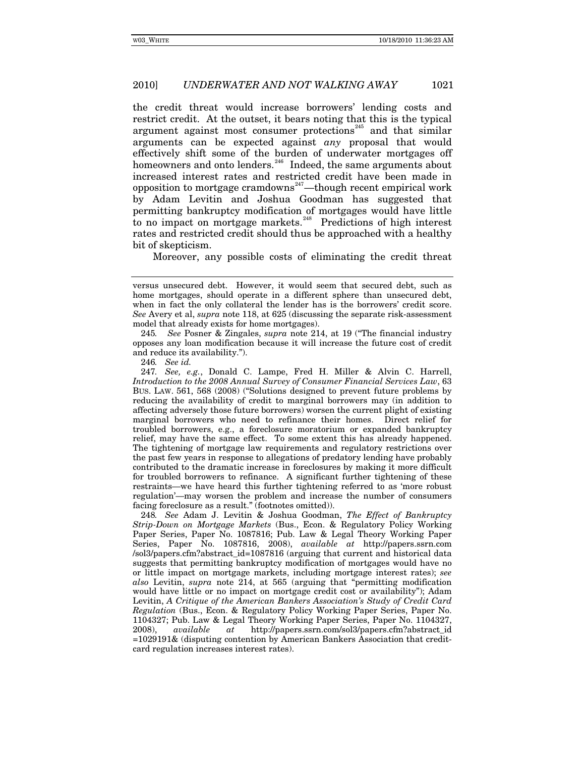the credit threat would increase borrowers' lending costs and restrict credit. At the outset, it bears noting that this is the typical argument against most consumer protections $245$  and that similar arguments can be expected against *any* proposal that would effectively shift some of the burden of underwater mortgages off homeowners and onto lenders.<sup>[246](#page-50-1)</sup> Indeed, the same arguments about increased interest rates and restricted credit have been made in opposition to mortgage cramdowns<sup>[247](#page-50-2)</sup>—though recent empirical work by Adam Levitin and Joshua Goodman has suggested that permitting bankruptcy modification of mortgages would have little to no impact on mortgage markets.<sup>[248](#page-50-3)</sup> Predictions of high interest rates and restricted credit should thus be approached with a healthy bit of skepticism.

Moreover, any possible costs of eliminating the credit threat

<span id="page-50-0"></span>245*. See* Posner & Zingales, *supra* note 214, at 19 ("The financial industry opposes any loan modification because it will increase the future cost of credit and reduce its availability.").

246*. See id.*

versus unsecured debt. However, it would seem that secured debt, such as home mortgages, should operate in a different sphere than unsecured debt, when in fact the only collateral the lender has is the borrowers' credit score. *See* Avery et al, *supra* note 118, at 625 (discussing the separate risk-assessment model that already exists for home mortgages).

<span id="page-50-2"></span><span id="page-50-1"></span><sup>247</sup>*. See, e.g.*, Donald C. Lampe, Fred H. Miller & Alvin C. Harrell, *Introduction to the 2008 Annual Survey of Consumer Financial Services Law*, 63 BUS. LAW. 561, 568 (2008) ("Solutions designed to prevent future problems by reducing the availability of credit to marginal borrowers may (in addition to affecting adversely those future borrowers) worsen the current plight of existing marginal borrowers who need to refinance their homes. Direct relief for troubled borrowers, e.g., a foreclosure moratorium or expanded bankruptcy relief, may have the same effect. To some extent this has already happened. The tightening of mortgage law requirements and regulatory restrictions over the past few years in response to allegations of predatory lending have probably contributed to the dramatic increase in foreclosures by making it more difficult for troubled borrowers to refinance. A significant further tightening of these restraints—we have heard this further tightening referred to as 'more robust regulation'—may worsen the problem and increase the number of consumers facing foreclosure as a result." (footnotes omitted)).

<span id="page-50-3"></span><sup>248</sup>*. See* Adam J. Levitin & Joshua Goodman, *The Effect of Bankruptcy Strip-Down on Mortgage Markets* (Bus., Econ. & Regulatory Policy Working Paper Series, Paper No. 1087816; Pub. Law & Legal Theory Working Paper Series, Paper No. 1087816, 2008), *available at* http://papers.ssrn.com /sol3/papers.cfm?abstract\_id=1087816 (arguing that current and historical data suggests that permitting bankruptcy modification of mortgages would have no or little impact on mortgage markets, including mortgage interest rates); *see also* Levitin, *supra* note 214, at 565 (arguing that "permitting modification would have little or no impact on mortgage credit cost or availability"); Adam Levitin, *A Critique of the American Bankers Association's Study of Credit Card Regulation* (Bus., Econ. & Regulatory Policy Working Paper Series, Paper No. 1104327; Pub. Law & Legal Theory Working Paper Series, Paper No. 1104327, 2008), *available at* http://papers.ssrn.com/sol3/papers.cfm?abstract\_id =1029191& (disputing contention by American Bankers Association that creditcard regulation increases interest rates).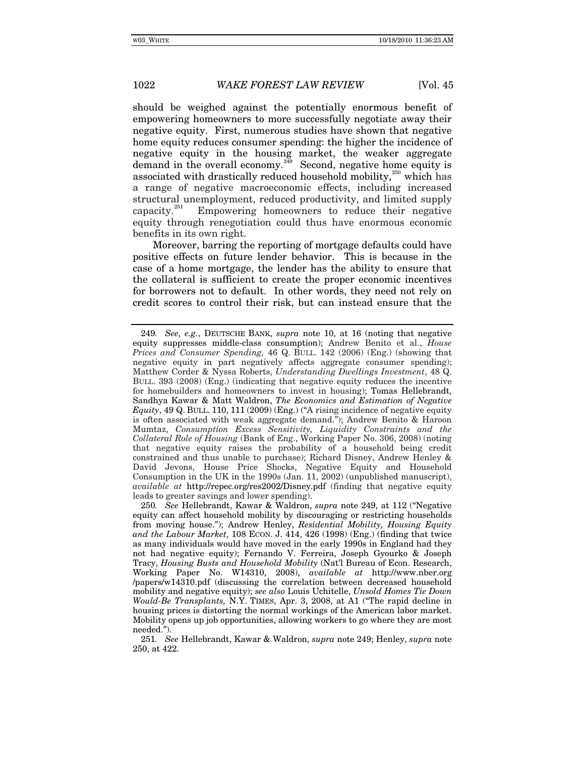should be weighed against the potentially enormous benefit of empowering homeowners to more successfully negotiate away their negative equity. First, numerous studies have shown that negative home equity reduces consumer spending: the higher the incidence of negative equity in the housing market, the weaker aggregate demand in the overall economy.<sup>[249](#page-51-0)</sup> Second, negative home equity is associated with drastically reduced household mobility,<sup>[250](#page-51-1)</sup> which has a range of negative macroeconomic effects, including increased structural unemployment, reduced productivity, and limited supply capacity.<sup>[251](#page-51-2)</sup> Empowering homeowners to reduce their negative equity through renegotiation could thus have enormous economic benefits in its own right.

Moreover, barring the reporting of mortgage defaults could have positive effects on future lender behavior. This is because in the case of a home mortgage, the lender has the ability to ensure that the collateral is sufficient to create the proper economic incentives for borrowers not to default. In other words, they need not rely on credit scores to control their risk, but can instead ensure that the

<span id="page-51-0"></span><sup>249</sup>*. See, e.g.*, DEUTSCHE BANK, *supra* note 10, at 16 (noting that negative equity suppresses middle-class consumption); Andrew Benito et al., *House Prices and Consumer Spending,* 46 Q. BULL. 142 (2006) (Eng.) (showing that negative equity in part negatively affects aggregate consumer spending); Matthew Corder & Nyssa Roberts, *Understanding Dwellings Investment*, 48 Q. BULL. 393 (2008) (Eng.) (indicating that negative equity reduces the incentive for homebuilders and homeowners to invest in housing); Tomas Hellebrandt, Sandhya Kawar & Matt Waldron, *The Economics and Estimation of Negative Equity*, 49 Q. BULL. 110, 111 (2009) (Eng.) ("A rising incidence of negative equity is often associated with weak aggregate demand."); Andrew Benito & Haroon Mumtaz, *Consumption Excess Sensitivity, Liquidity Constraints and the Collateral Role of Housing* (Bank of Eng., Working Paper No. 306, 2008) (noting that negative equity raises the probability of a household being credit constrained and thus unable to purchase); Richard Disney, Andrew Henley & David Jevons, House Price Shocks, Negative Equity and Household Consumption in the UK in the 1990s (Jan. 11, 2002) (unpublished manuscript), *available at* http://repec.org/res2002/Disney.pdf (finding that negative equity leads to greater savings and lower spending).

<span id="page-51-1"></span><sup>250</sup>*. See* Hellebrandt, Kawar & Waldron, *supra* note 249, at 112 ("Negative equity can affect household mobility by discouraging or restricting households from moving house."); Andrew Henley, *Residential Mobility, Housing Equity and the Labour Market*, 108 ECON. J. 414, 426 (1998) (Eng.) (finding that twice as many individuals would have moved in the early 1990s in England had they not had negative equity); Fernando V. Ferreira, Joseph Gyourko & Joseph Tracy, *Housing Busts and Household Mobility* (Nat'l Bureau of Econ. Research, Working Paper No. W14310, 2008), *available at* http://www.nber.org /papers/w14310.pdf (discussing the correlation between decreased household mobility and negative equity); *see also* Louis Uchitelle, *Unsold Homes Tie Down Would-Be Transplants,* N.Y. TIMES, Apr. 3, 2008, at A1 ("The rapid decline in housing prices is distorting the normal workings of the American labor market. Mobility opens up job opportunities, allowing workers to go where they are most needed.").

<span id="page-51-2"></span><sup>251</sup>*. See* Hellebrandt, Kawar & Waldron, *supra* note 249; Henley, *supra* note 250, at 422.